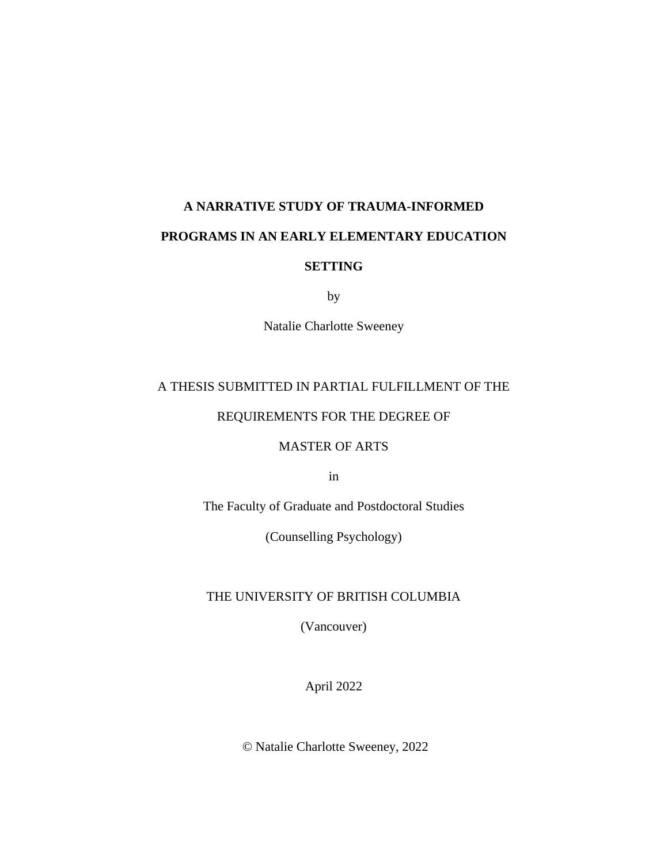# **A NARRATIVE STUDY OF TRAUMA-INFORMED**

# **PROGRAMS IN AN EARLY ELEMENTARY EDUCATION**

# **SETTING**

by

Natalie Charlotte Sweeney

# A THESIS SUBMITTED IN PARTIAL FULFILLMENT OF THE

# REQUIREMENTS FOR THE DEGREE OF

# MASTER OF ARTS

in

The Faculty of Graduate and Postdoctoral Studies

(Counselling Psychology)

# THE UNIVERSITY OF BRITISH COLUMBIA

(Vancouver)

April 2022

© Natalie Charlotte Sweeney, 2022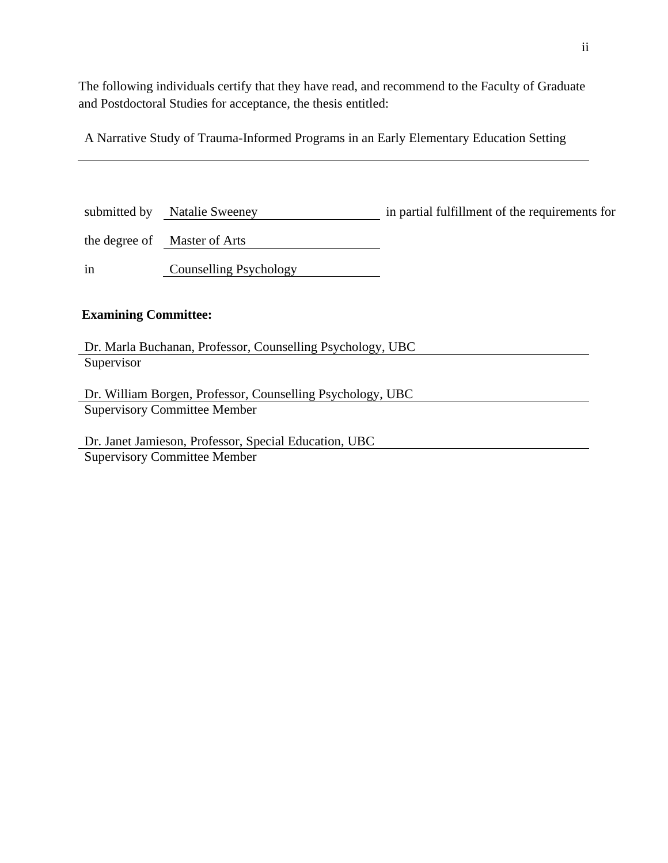The following individuals certify that they have read, and recommend to the Faculty of Graduate and Postdoctoral Studies for acceptance, the thesis entitled:

A Narrative Study of Trauma-Informed Programs in an Early Elementary Education Setting

|    | submitted by Natalie Sweeney | in partial fulfillment of the requirements for |
|----|------------------------------|------------------------------------------------|
|    | the degree of Master of Arts |                                                |
| in | Counselling Psychology       |                                                |

# **Examining Committee:**

Dr. Marla Buchanan, Professor, Counselling Psychology, UBC **Supervisor** 

Dr. William Borgen, Professor, Counselling Psychology, UBC Supervisory Committee Member

Dr. Janet Jamieson, Professor, Special Education, UBC Supervisory Committee Member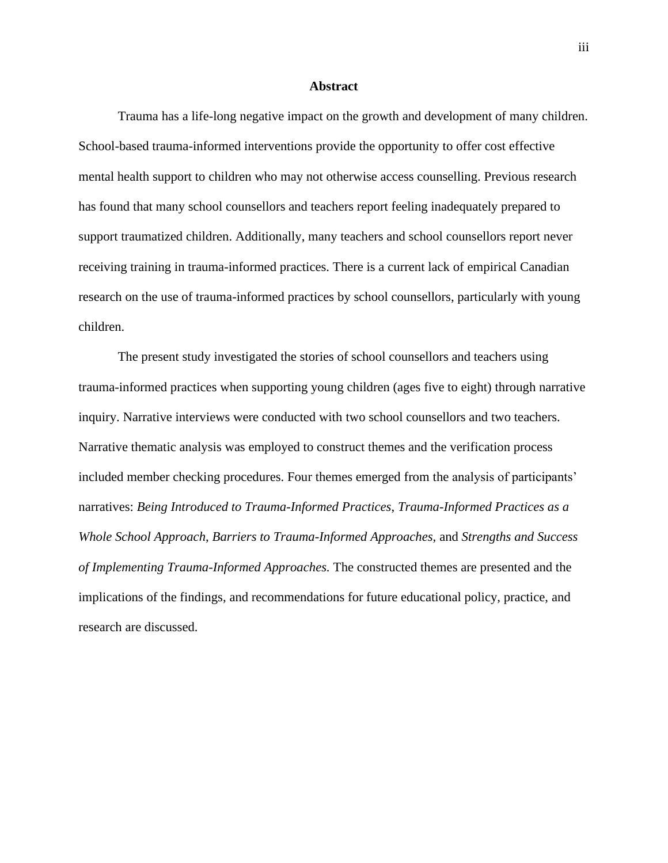#### **Abstract**

<span id="page-2-0"></span>Trauma has a life-long negative impact on the growth and development of many children. School-based trauma-informed interventions provide the opportunity to offer cost effective mental health support to children who may not otherwise access counselling. Previous research has found that many school counsellors and teachers report feeling inadequately prepared to support traumatized children. Additionally, many teachers and school counsellors report never receiving training in trauma-informed practices. There is a current lack of empirical Canadian research on the use of trauma-informed practices by school counsellors, particularly with young children.

The present study investigated the stories of school counsellors and teachers using trauma-informed practices when supporting young children (ages five to eight) through narrative inquiry. Narrative interviews were conducted with two school counsellors and two teachers. Narrative thematic analysis was employed to construct themes and the verification process included member checking procedures. Four themes emerged from the analysis of participants' narratives: *Being Introduced to Trauma-Informed Practices*, *Trauma-Informed Practices as a Whole School Approach*, *Barriers to Trauma-Informed Approaches*, and *Strengths and Success of Implementing Trauma-Informed Approaches.* The constructed themes are presented and the implications of the findings, and recommendations for future educational policy, practice, and research are discussed.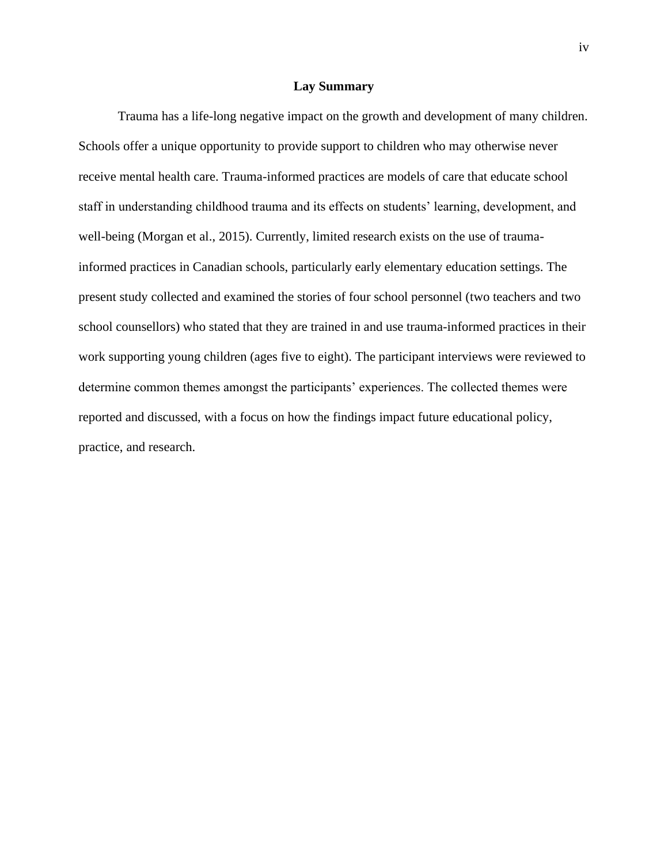## **Lay Summary**

<span id="page-3-0"></span>Trauma has a life-long negative impact on the growth and development of many children. Schools offer a unique opportunity to provide support to children who may otherwise never receive mental health care. Trauma-informed practices are models of care that educate school staff in understanding childhood trauma and its effects on students' learning, development, and well-being (Morgan et al., 2015). Currently, limited research exists on the use of traumainformed practices in Canadian schools, particularly early elementary education settings. The present study collected and examined the stories of four school personnel (two teachers and two school counsellors) who stated that they are trained in and use trauma-informed practices in their work supporting young children (ages five to eight). The participant interviews were reviewed to determine common themes amongst the participants' experiences. The collected themes were reported and discussed, with a focus on how the findings impact future educational policy, practice, and research.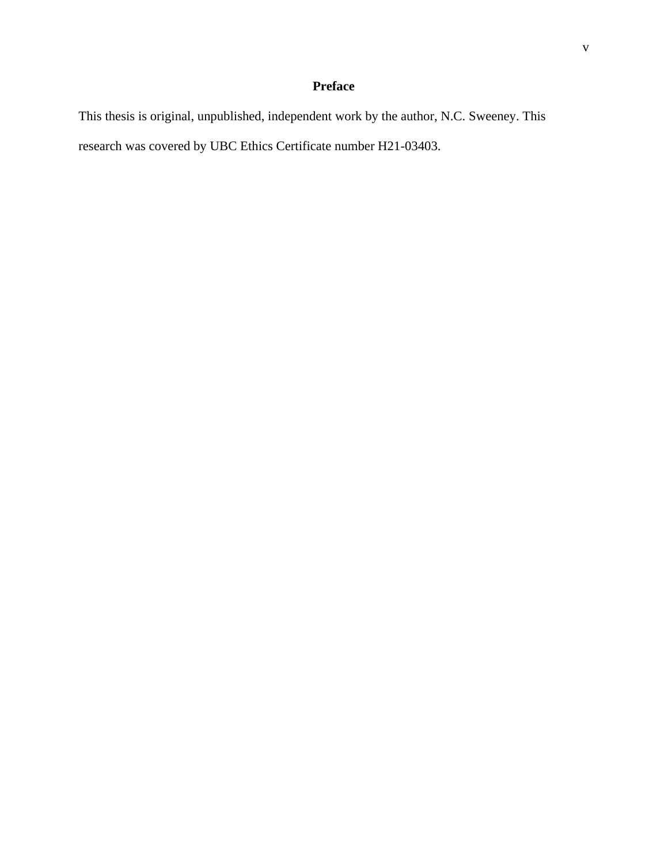# **Preface**

<span id="page-4-0"></span>This thesis is original, unpublished, independent work by the author, N.C. Sweeney. This research was covered by UBC Ethics Certificate number H21-03403.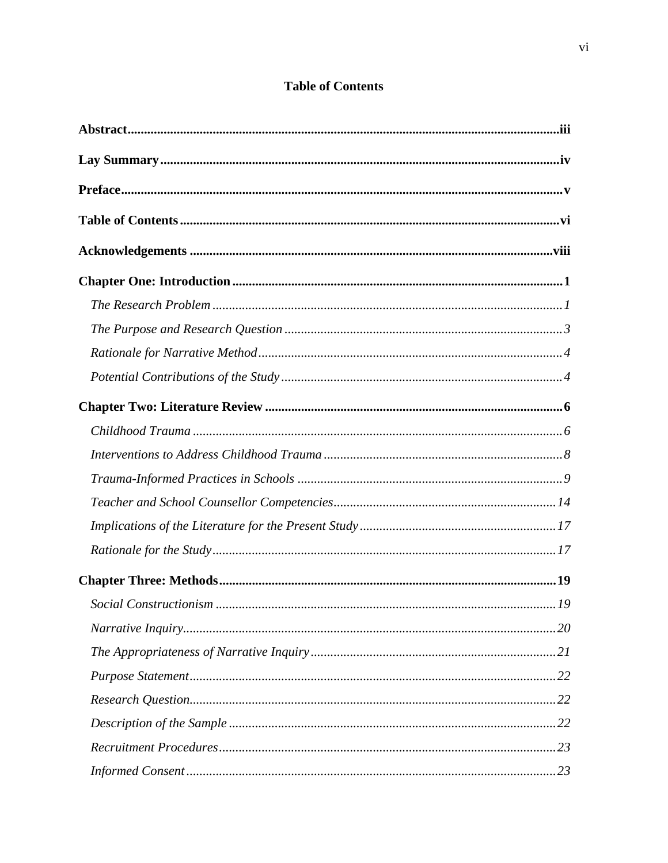# **Table of Contents**

<span id="page-5-0"></span>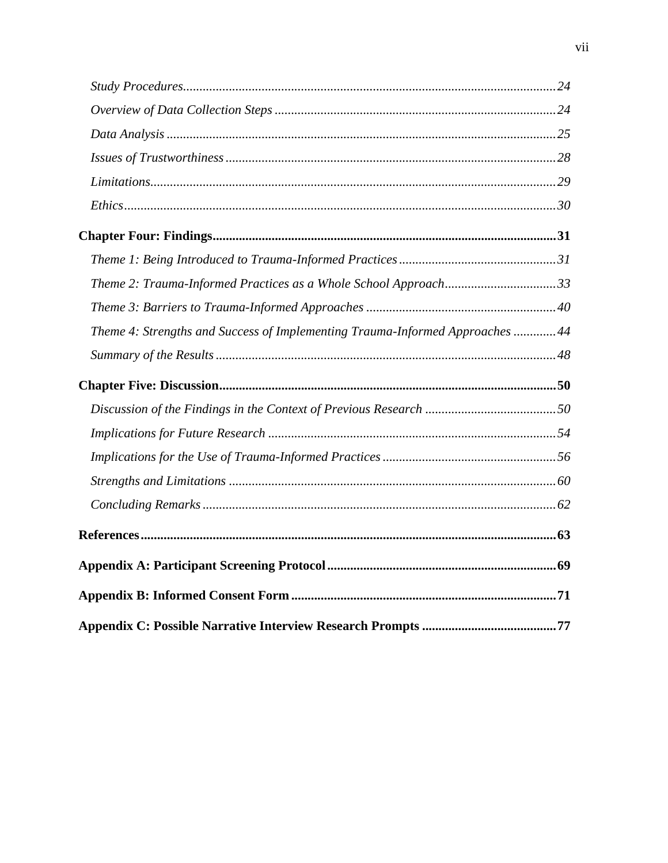<span id="page-6-0"></span>

| Theme 2: Trauma-Informed Practices as a Whole School Approach33               |  |
|-------------------------------------------------------------------------------|--|
|                                                                               |  |
| Theme 4: Strengths and Success of Implementing Trauma-Informed Approaches  44 |  |
|                                                                               |  |
|                                                                               |  |
|                                                                               |  |
|                                                                               |  |
|                                                                               |  |
|                                                                               |  |
|                                                                               |  |
|                                                                               |  |
|                                                                               |  |
|                                                                               |  |
|                                                                               |  |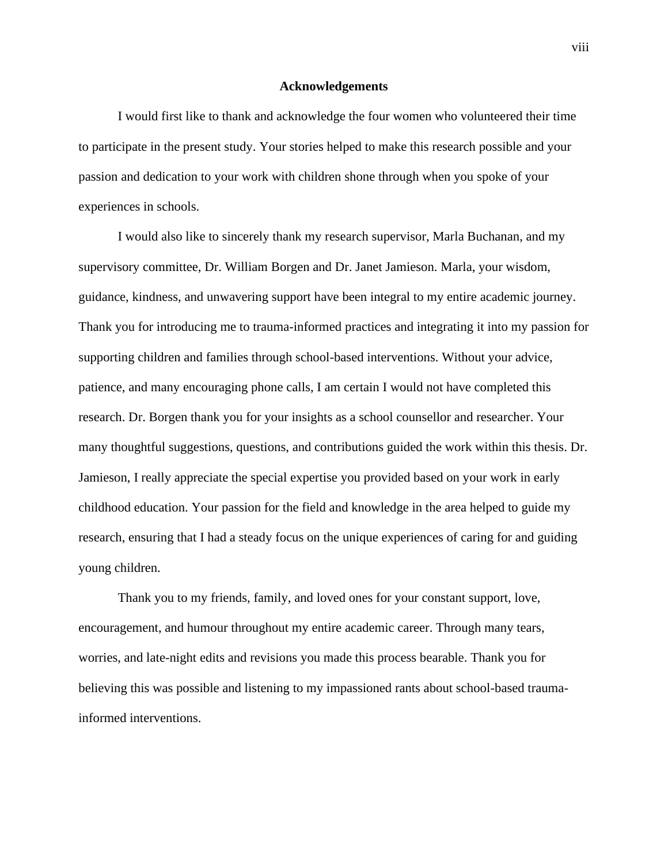#### **Acknowledgements**

I would first like to thank and acknowledge the four women who volunteered their time to participate in the present study. Your stories helped to make this research possible and your passion and dedication to your work with children shone through when you spoke of your experiences in schools.

I would also like to sincerely thank my research supervisor, Marla Buchanan, and my supervisory committee, Dr. William Borgen and Dr. Janet Jamieson. Marla, your wisdom, guidance, kindness, and unwavering support have been integral to my entire academic journey. Thank you for introducing me to trauma-informed practices and integrating it into my passion for supporting children and families through school-based interventions. Without your advice, patience, and many encouraging phone calls, I am certain I would not have completed this research. Dr. Borgen thank you for your insights as a school counsellor and researcher. Your many thoughtful suggestions, questions, and contributions guided the work within this thesis. Dr. Jamieson, I really appreciate the special expertise you provided based on your work in early childhood education. Your passion for the field and knowledge in the area helped to guide my research, ensuring that I had a steady focus on the unique experiences of caring for and guiding young children.

Thank you to my friends, family, and loved ones for your constant support, love, encouragement, and humour throughout my entire academic career. Through many tears, worries, and late-night edits and revisions you made this process bearable. Thank you for believing this was possible and listening to my impassioned rants about school-based traumainformed interventions.

viii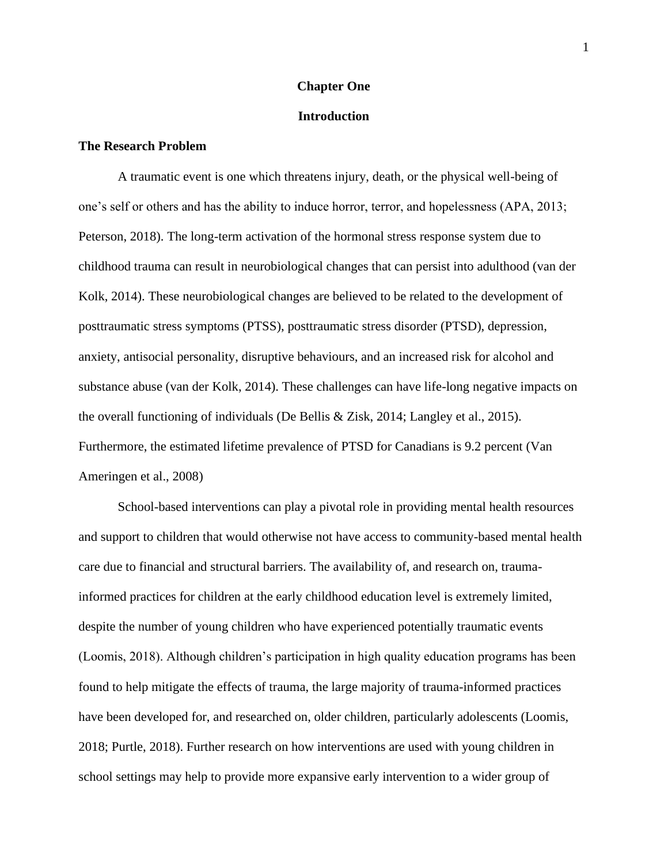## **Chapter One**

# **Introduction**

# <span id="page-8-1"></span><span id="page-8-0"></span>**The Research Problem**

 A traumatic event is one which threatens injury, death, or the physical well-being of one's self or others and has the ability to induce horror, terror, and hopelessness (APA, 2013; Peterson, 2018). The long-term activation of the hormonal stress response system due to childhood trauma can result in neurobiological changes that can persist into adulthood (van der Kolk, 2014). These neurobiological changes are believed to be related to the development of posttraumatic stress symptoms (PTSS), posttraumatic stress disorder (PTSD), depression, anxiety, antisocial personality, disruptive behaviours, and an increased risk for alcohol and substance abuse (van der Kolk, 2014). These challenges can have life-long negative impacts on the overall functioning of individuals (De Bellis & Zisk, 2014; Langley et al., 2015). Furthermore, the estimated lifetime prevalence of PTSD for Canadians is 9.2 percent (Van Ameringen et al., 2008)

 School-based interventions can play a pivotal role in providing mental health resources and support to children that would otherwise not have access to community-based mental health care due to financial and structural barriers. The availability of, and research on, traumainformed practices for children at the early childhood education level is extremely limited, despite the number of young children who have experienced potentially traumatic events (Loomis, 2018). Although children's participation in high quality education programs has been found to help mitigate the effects of trauma, the large majority of trauma-informed practices have been developed for, and researched on, older children, particularly adolescents (Loomis, 2018; Purtle, 2018). Further research on how interventions are used with young children in school settings may help to provide more expansive early intervention to a wider group of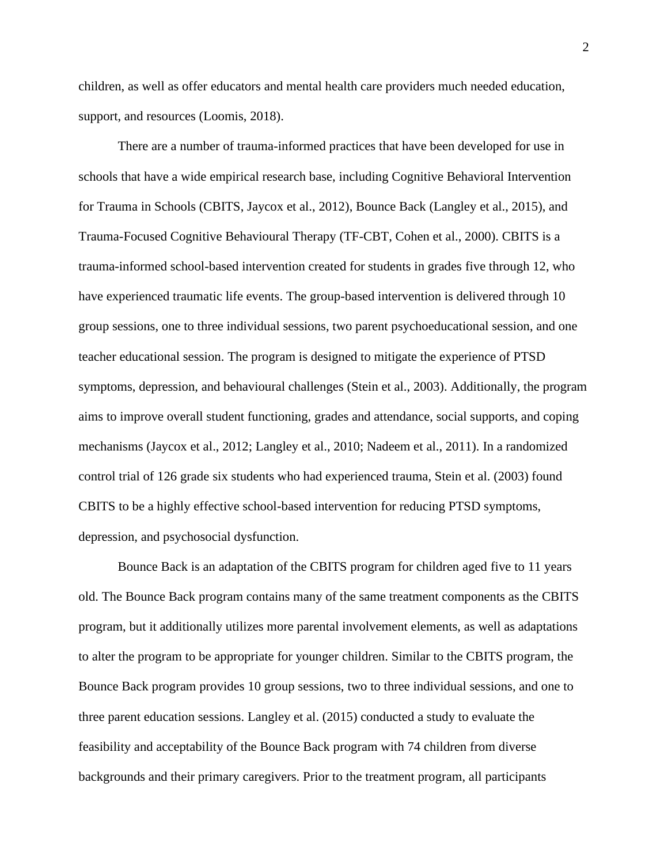children, as well as offer educators and mental health care providers much needed education, support, and resources (Loomis, 2018).

 There are a number of trauma-informed practices that have been developed for use in schools that have a wide empirical research base, including Cognitive Behavioral Intervention for Trauma in Schools (CBITS, Jaycox et al., 2012), Bounce Back (Langley et al., 2015), and Trauma-Focused Cognitive Behavioural Therapy (TF-CBT, Cohen et al., 2000). CBITS is a trauma-informed school-based intervention created for students in grades five through 12, who have experienced traumatic life events. The group-based intervention is delivered through 10 group sessions, one to three individual sessions, two parent psychoeducational session, and one teacher educational session. The program is designed to mitigate the experience of PTSD symptoms, depression, and behavioural challenges (Stein et al., 2003). Additionally, the program aims to improve overall student functioning, grades and attendance, social supports, and coping mechanisms (Jaycox et al., 2012; Langley et al., 2010; Nadeem et al., 2011). In a randomized control trial of 126 grade six students who had experienced trauma, Stein et al. (2003) found CBITS to be a highly effective school-based intervention for reducing PTSD symptoms, depression, and psychosocial dysfunction.

 Bounce Back is an adaptation of the CBITS program for children aged five to 11 years old. The Bounce Back program contains many of the same treatment components as the CBITS program, but it additionally utilizes more parental involvement elements, as well as adaptations to alter the program to be appropriate for younger children. Similar to the CBITS program, the Bounce Back program provides 10 group sessions, two to three individual sessions, and one to three parent education sessions. Langley et al. (2015) conducted a study to evaluate the feasibility and acceptability of the Bounce Back program with 74 children from diverse backgrounds and their primary caregivers. Prior to the treatment program, all participants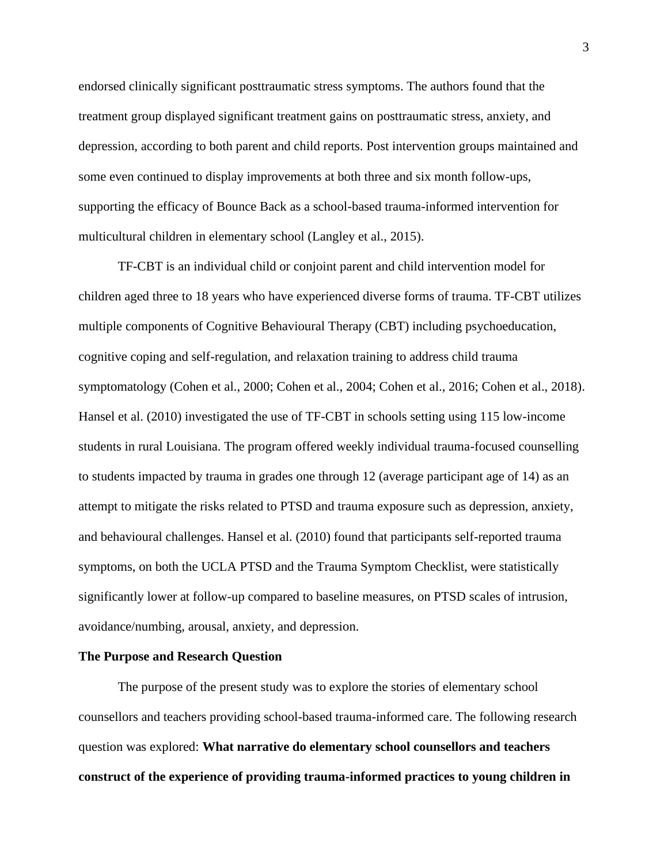endorsed clinically significant posttraumatic stress symptoms. The authors found that the treatment group displayed significant treatment gains on posttraumatic stress, anxiety, and depression, according to both parent and child reports. Post intervention groups maintained and some even continued to display improvements at both three and six month follow-ups, supporting the efficacy of Bounce Back as a school-based trauma-informed intervention for multicultural children in elementary school (Langley et al., 2015).

 TF-CBT is an individual child or conjoint parent and child intervention model for children aged three to 18 years who have experienced diverse forms of trauma. TF-CBT utilizes multiple components of Cognitive Behavioural Therapy (CBT) including psychoeducation, cognitive coping and self-regulation, and relaxation training to address child trauma symptomatology (Cohen et al., 2000; Cohen et al., 2004; Cohen et al., 2016; Cohen et al., 2018). Hansel et al. (2010) investigated the use of TF-CBT in schools setting using 115 low-income students in rural Louisiana. The program offered weekly individual trauma-focused counselling to students impacted by trauma in grades one through 12 (average participant age of 14) as an attempt to mitigate the risks related to PTSD and trauma exposure such as depression, anxiety, and behavioural challenges. Hansel et al. (2010) found that participants self-reported trauma symptoms, on both the UCLA PTSD and the Trauma Symptom Checklist, were statistically significantly lower at follow-up compared to baseline measures, on PTSD scales of intrusion, avoidance/numbing, arousal, anxiety, and depression.

### <span id="page-10-0"></span>**The Purpose and Research Question**

The purpose of the present study was to explore the stories of elementary school counsellors and teachers providing school-based trauma-informed care. The following research question was explored: **What narrative do elementary school counsellors and teachers construct of the experience of providing trauma-informed practices to young children in**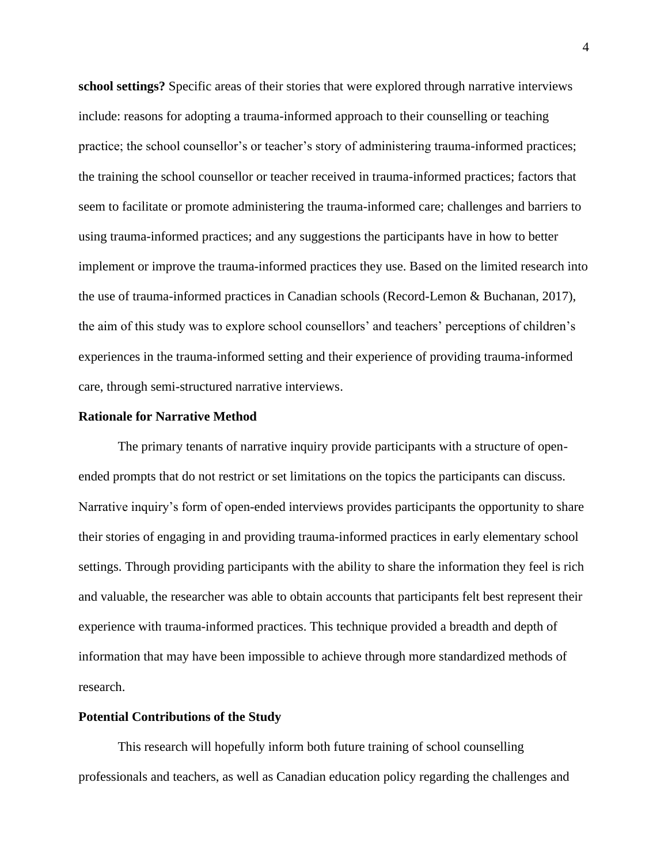**school settings?** Specific areas of their stories that were explored through narrative interviews include: reasons for adopting a trauma-informed approach to their counselling or teaching practice; the school counsellor's or teacher's story of administering trauma-informed practices; the training the school counsellor or teacher received in trauma-informed practices; factors that seem to facilitate or promote administering the trauma-informed care; challenges and barriers to using trauma-informed practices; and any suggestions the participants have in how to better implement or improve the trauma-informed practices they use. Based on the limited research into the use of trauma-informed practices in Canadian schools (Record-Lemon & Buchanan, 2017), the aim of this study was to explore school counsellors' and teachers' perceptions of children's experiences in the trauma-informed setting and their experience of providing trauma-informed care, through semi-structured narrative interviews.

# <span id="page-11-0"></span>**Rationale for Narrative Method**

The primary tenants of narrative inquiry provide participants with a structure of openended prompts that do not restrict or set limitations on the topics the participants can discuss. Narrative inquiry's form of open-ended interviews provides participants the opportunity to share their stories of engaging in and providing trauma-informed practices in early elementary school settings. Through providing participants with the ability to share the information they feel is rich and valuable, the researcher was able to obtain accounts that participants felt best represent their experience with trauma-informed practices. This technique provided a breadth and depth of information that may have been impossible to achieve through more standardized methods of research.

#### <span id="page-11-1"></span>**Potential Contributions of the Study**

This research will hopefully inform both future training of school counselling professionals and teachers, as well as Canadian education policy regarding the challenges and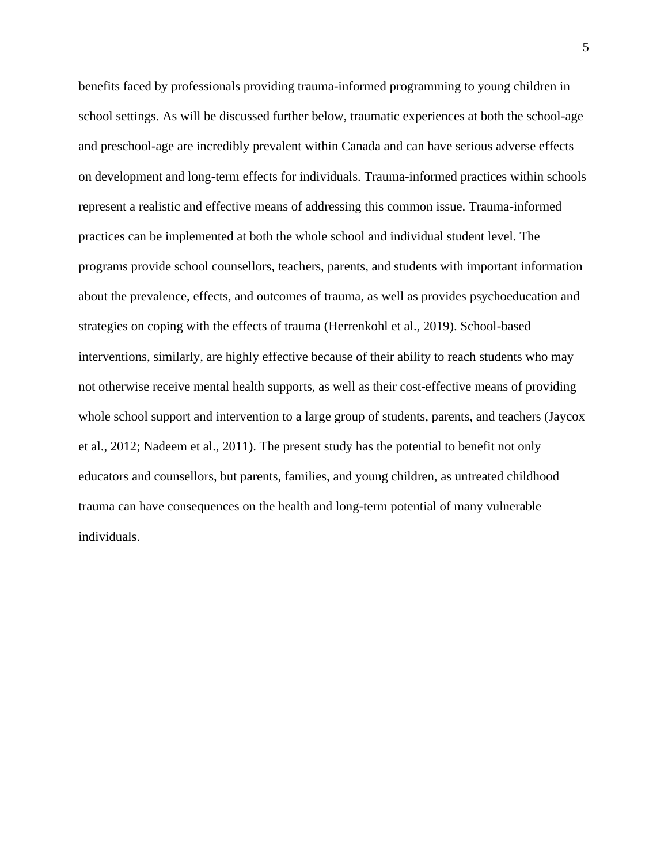benefits faced by professionals providing trauma-informed programming to young children in school settings. As will be discussed further below, traumatic experiences at both the school-age and preschool-age are incredibly prevalent within Canada and can have serious adverse effects on development and long-term effects for individuals. Trauma-informed practices within schools represent a realistic and effective means of addressing this common issue. Trauma-informed practices can be implemented at both the whole school and individual student level. The programs provide school counsellors, teachers, parents, and students with important information about the prevalence, effects, and outcomes of trauma, as well as provides psychoeducation and strategies on coping with the effects of trauma (Herrenkohl et al., 2019). School-based interventions, similarly, are highly effective because of their ability to reach students who may not otherwise receive mental health supports, as well as their cost-effective means of providing whole school support and intervention to a large group of students, parents, and teachers (Jaycox et al., 2012; Nadeem et al., 2011). The present study has the potential to benefit not only educators and counsellors, but parents, families, and young children, as untreated childhood trauma can have consequences on the health and long-term potential of many vulnerable individuals.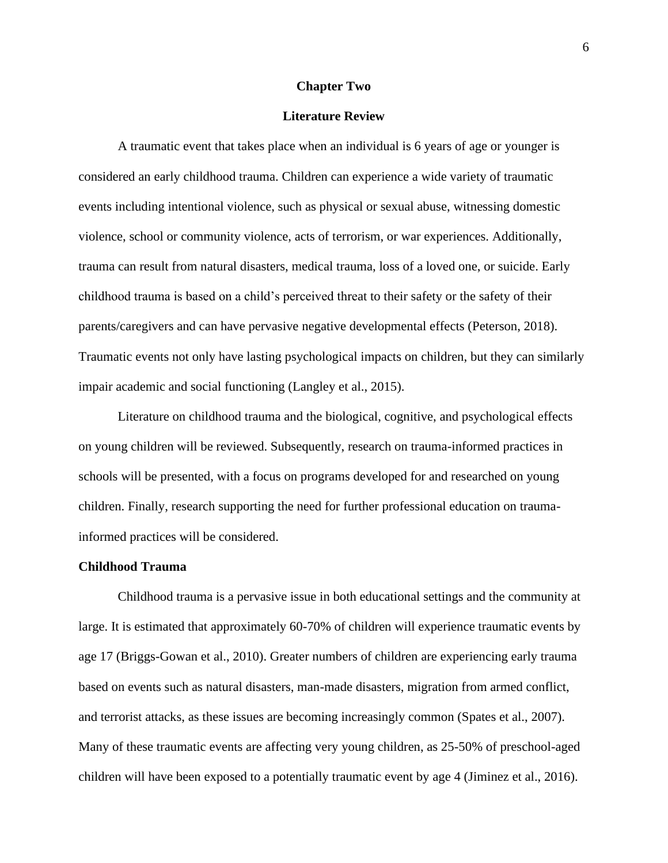#### **Chapter Two**

# **Literature Review**

<span id="page-13-0"></span>A traumatic event that takes place when an individual is 6 years of age or younger is considered an early childhood trauma. Children can experience a wide variety of traumatic events including intentional violence, such as physical or sexual abuse, witnessing domestic violence, school or community violence, acts of terrorism, or war experiences. Additionally, trauma can result from natural disasters, medical trauma, loss of a loved one, or suicide. Early childhood trauma is based on a child's perceived threat to their safety or the safety of their parents/caregivers and can have pervasive negative developmental effects (Peterson, 2018). Traumatic events not only have lasting psychological impacts on children, but they can similarly impair academic and social functioning (Langley et al., 2015).

Literature on childhood trauma and the biological, cognitive, and psychological effects on young children will be reviewed. Subsequently, research on trauma-informed practices in schools will be presented, with a focus on programs developed for and researched on young children. Finally, research supporting the need for further professional education on traumainformed practices will be considered.

# <span id="page-13-1"></span>**Childhood Trauma**

Childhood trauma is a pervasive issue in both educational settings and the community at large. It is estimated that approximately 60-70% of children will experience traumatic events by age 17 (Briggs-Gowan et al., 2010). Greater numbers of children are experiencing early trauma based on events such as natural disasters, man-made disasters, migration from armed conflict, and terrorist attacks, as these issues are becoming increasingly common (Spates et al., 2007). Many of these traumatic events are affecting very young children, as 25-50% of preschool-aged children will have been exposed to a potentially traumatic event by age 4 (Jiminez et al., 2016).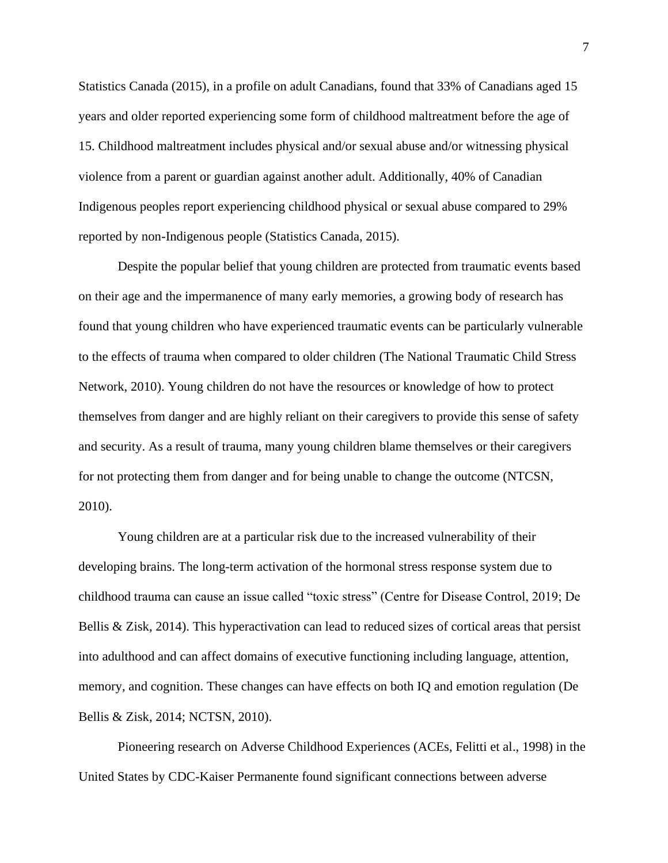Statistics Canada (2015), in a profile on adult Canadians, found that 33% of Canadians aged 15 years and older reported experiencing some form of childhood maltreatment before the age of 15. Childhood maltreatment includes physical and/or sexual abuse and/or witnessing physical violence from a parent or guardian against another adult. Additionally, 40% of Canadian Indigenous peoples report experiencing childhood physical or sexual abuse compared to 29% reported by non-Indigenous people (Statistics Canada, 2015).

Despite the popular belief that young children are protected from traumatic events based on their age and the impermanence of many early memories, a growing body of research has found that young children who have experienced traumatic events can be particularly vulnerable to the effects of trauma when compared to older children (The National Traumatic Child Stress Network, 2010). Young children do not have the resources or knowledge of how to protect themselves from danger and are highly reliant on their caregivers to provide this sense of safety and security. As a result of trauma, many young children blame themselves or their caregivers for not protecting them from danger and for being unable to change the outcome (NTCSN, 2010).

Young children are at a particular risk due to the increased vulnerability of their developing brains. The long-term activation of the hormonal stress response system due to childhood trauma can cause an issue called "toxic stress" (Centre for Disease Control, 2019; De Bellis & Zisk, 2014). This hyperactivation can lead to reduced sizes of cortical areas that persist into adulthood and can affect domains of executive functioning including language, attention, memory, and cognition. These changes can have effects on both IQ and emotion regulation (De Bellis & Zisk, 2014; NCTSN, 2010).

Pioneering research on Adverse Childhood Experiences (ACEs, Felitti et al., 1998) in the United States by CDC-Kaiser Permanente found significant connections between adverse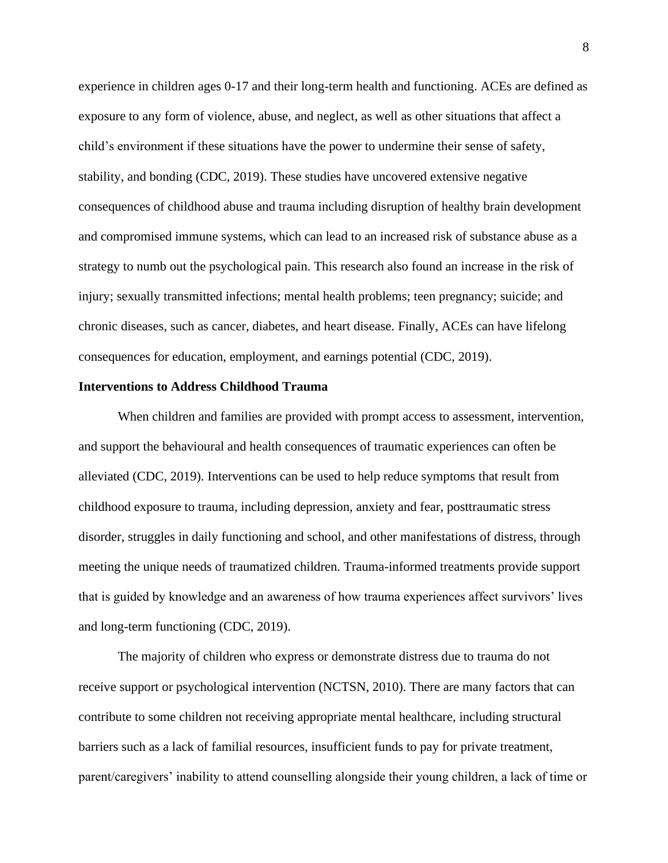experience in children ages 0-17 and their long-term health and functioning. ACEs are defined as exposure to any form of violence, abuse, and neglect, as well as other situations that affect a child's environment if these situations have the power to undermine their sense of safety, stability, and bonding (CDC, 2019). These studies have uncovered extensive negative consequences of childhood abuse and trauma including disruption of healthy brain development and compromised immune systems, which can lead to an increased risk of substance abuse as a strategy to numb out the psychological pain. This research also found an increase in the risk of injury; sexually transmitted infections; mental health problems; teen pregnancy; suicide; and chronic diseases, such as cancer, diabetes, and heart disease. Finally, ACEs can have lifelong consequences for education, employment, and earnings potential (CDC, 2019).

## <span id="page-15-0"></span>**Interventions to Address Childhood Trauma**

When children and families are provided with prompt access to assessment, intervention, and support the behavioural and health consequences of traumatic experiences can often be alleviated (CDC, 2019). Interventions can be used to help reduce symptoms that result from childhood exposure to trauma, including depression, anxiety and fear, posttraumatic stress disorder, struggles in daily functioning and school, and other manifestations of distress, through meeting the unique needs of traumatized children. Trauma-informed treatments provide support that is guided by knowledge and an awareness of how trauma experiences affect survivors' lives and long-term functioning (CDC, 2019).

The majority of children who express or demonstrate distress due to trauma do not receive support or psychological intervention (NCTSN, 2010). There are many factors that can contribute to some children not receiving appropriate mental healthcare, including structural barriers such as a lack of familial resources, insufficient funds to pay for private treatment, parent/caregivers' inability to attend counselling alongside their young children, a lack of time or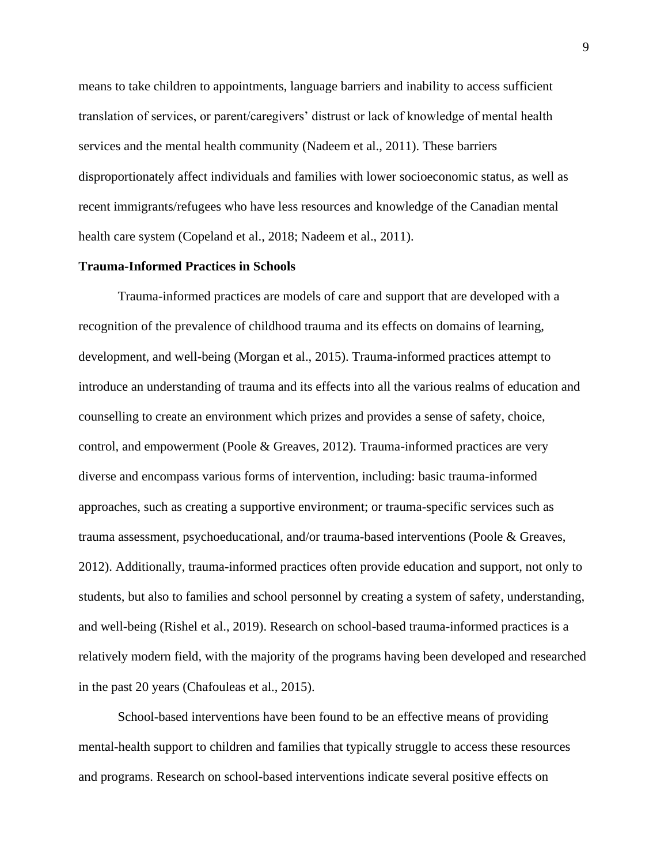means to take children to appointments, language barriers and inability to access sufficient translation of services, or parent/caregivers' distrust or lack of knowledge of mental health services and the mental health community (Nadeem et al., 2011). These barriers disproportionately affect individuals and families with lower socioeconomic status, as well as recent immigrants/refugees who have less resources and knowledge of the Canadian mental health care system (Copeland et al., 2018; Nadeem et al., 2011).

# <span id="page-16-0"></span>**Trauma-Informed Practices in Schools**

Trauma-informed practices are models of care and support that are developed with a recognition of the prevalence of childhood trauma and its effects on domains of learning, development, and well-being (Morgan et al., 2015). Trauma-informed practices attempt to introduce an understanding of trauma and its effects into all the various realms of education and counselling to create an environment which prizes and provides a sense of safety, choice, control, and empowerment (Poole & Greaves, 2012). Trauma-informed practices are very diverse and encompass various forms of intervention, including: basic trauma-informed approaches, such as creating a supportive environment; or trauma-specific services such as trauma assessment, psychoeducational, and/or trauma-based interventions (Poole & Greaves, 2012). Additionally, trauma-informed practices often provide education and support, not only to students, but also to families and school personnel by creating a system of safety, understanding, and well-being (Rishel et al., 2019). Research on school-based trauma-informed practices is a relatively modern field, with the majority of the programs having been developed and researched in the past 20 years (Chafouleas et al., 2015).

School-based interventions have been found to be an effective means of providing mental-health support to children and families that typically struggle to access these resources and programs. Research on school-based interventions indicate several positive effects on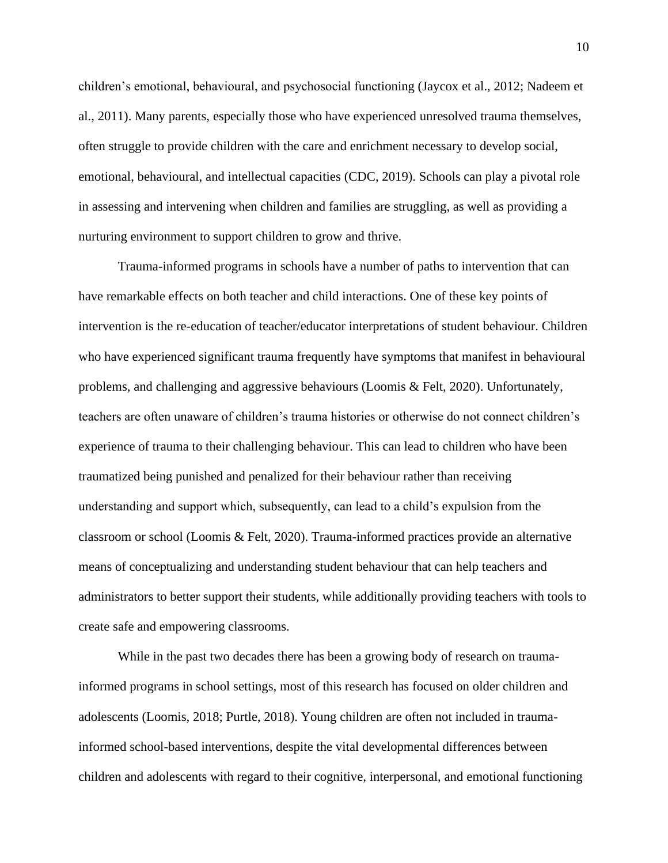children's emotional, behavioural, and psychosocial functioning (Jaycox et al., 2012; Nadeem et al., 2011). Many parents, especially those who have experienced unresolved trauma themselves, often struggle to provide children with the care and enrichment necessary to develop social, emotional, behavioural, and intellectual capacities (CDC, 2019). Schools can play a pivotal role in assessing and intervening when children and families are struggling, as well as providing a nurturing environment to support children to grow and thrive.

Trauma-informed programs in schools have a number of paths to intervention that can have remarkable effects on both teacher and child interactions. One of these key points of intervention is the re-education of teacher/educator interpretations of student behaviour. Children who have experienced significant trauma frequently have symptoms that manifest in behavioural problems, and challenging and aggressive behaviours (Loomis & Felt, 2020). Unfortunately, teachers are often unaware of children's trauma histories or otherwise do not connect children's experience of trauma to their challenging behaviour. This can lead to children who have been traumatized being punished and penalized for their behaviour rather than receiving understanding and support which, subsequently, can lead to a child's expulsion from the classroom or school (Loomis & Felt, 2020). Trauma-informed practices provide an alternative means of conceptualizing and understanding student behaviour that can help teachers and administrators to better support their students, while additionally providing teachers with tools to create safe and empowering classrooms.

While in the past two decades there has been a growing body of research on traumainformed programs in school settings, most of this research has focused on older children and adolescents (Loomis, 2018; Purtle, 2018). Young children are often not included in traumainformed school-based interventions, despite the vital developmental differences between children and adolescents with regard to their cognitive, interpersonal, and emotional functioning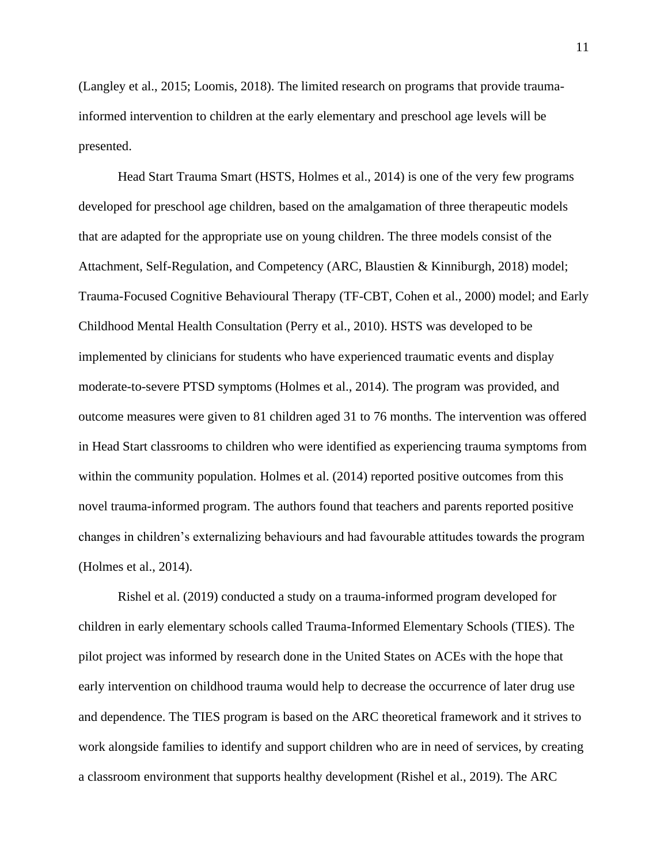(Langley et al., 2015; Loomis, 2018). The limited research on programs that provide traumainformed intervention to children at the early elementary and preschool age levels will be presented.

Head Start Trauma Smart (HSTS, Holmes et al., 2014) is one of the very few programs developed for preschool age children, based on the amalgamation of three therapeutic models that are adapted for the appropriate use on young children. The three models consist of the Attachment, Self-Regulation, and Competency (ARC, Blaustien & Kinniburgh, 2018) model; Trauma-Focused Cognitive Behavioural Therapy (TF-CBT, Cohen et al., 2000) model; and Early Childhood Mental Health Consultation (Perry et al., 2010). HSTS was developed to be implemented by clinicians for students who have experienced traumatic events and display moderate-to-severe PTSD symptoms (Holmes et al., 2014). The program was provided, and outcome measures were given to 81 children aged 31 to 76 months. The intervention was offered in Head Start classrooms to children who were identified as experiencing trauma symptoms from within the community population. Holmes et al. (2014) reported positive outcomes from this novel trauma-informed program. The authors found that teachers and parents reported positive changes in children's externalizing behaviours and had favourable attitudes towards the program (Holmes et al., 2014).

Rishel et al. (2019) conducted a study on a trauma-informed program developed for children in early elementary schools called Trauma-Informed Elementary Schools (TIES). The pilot project was informed by research done in the United States on ACEs with the hope that early intervention on childhood trauma would help to decrease the occurrence of later drug use and dependence. The TIES program is based on the ARC theoretical framework and it strives to work alongside families to identify and support children who are in need of services, by creating a classroom environment that supports healthy development (Rishel et al., 2019). The ARC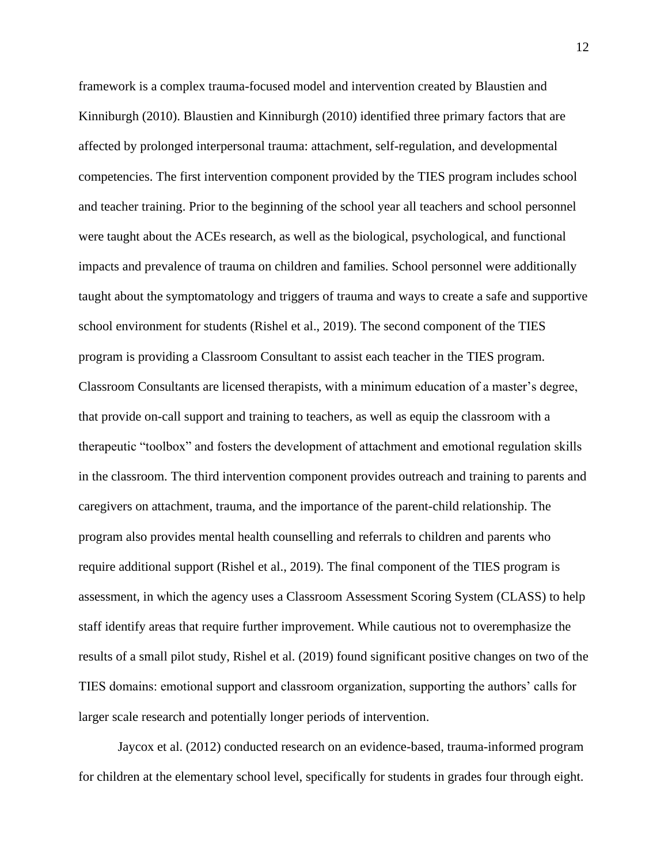framework is a complex trauma-focused model and intervention created by Blaustien and Kinniburgh (2010). Blaustien and Kinniburgh (2010) identified three primary factors that are affected by prolonged interpersonal trauma: attachment, self-regulation, and developmental competencies. The first intervention component provided by the TIES program includes school and teacher training. Prior to the beginning of the school year all teachers and school personnel were taught about the ACEs research, as well as the biological, psychological, and functional impacts and prevalence of trauma on children and families. School personnel were additionally taught about the symptomatology and triggers of trauma and ways to create a safe and supportive school environment for students (Rishel et al., 2019). The second component of the TIES program is providing a Classroom Consultant to assist each teacher in the TIES program. Classroom Consultants are licensed therapists, with a minimum education of a master's degree, that provide on-call support and training to teachers, as well as equip the classroom with a therapeutic "toolbox" and fosters the development of attachment and emotional regulation skills in the classroom. The third intervention component provides outreach and training to parents and caregivers on attachment, trauma, and the importance of the parent-child relationship. The program also provides mental health counselling and referrals to children and parents who require additional support (Rishel et al., 2019). The final component of the TIES program is assessment, in which the agency uses a Classroom Assessment Scoring System (CLASS) to help staff identify areas that require further improvement. While cautious not to overemphasize the results of a small pilot study, Rishel et al. (2019) found significant positive changes on two of the TIES domains: emotional support and classroom organization, supporting the authors' calls for larger scale research and potentially longer periods of intervention.

Jaycox et al. (2012) conducted research on an evidence-based, trauma-informed program for children at the elementary school level, specifically for students in grades four through eight.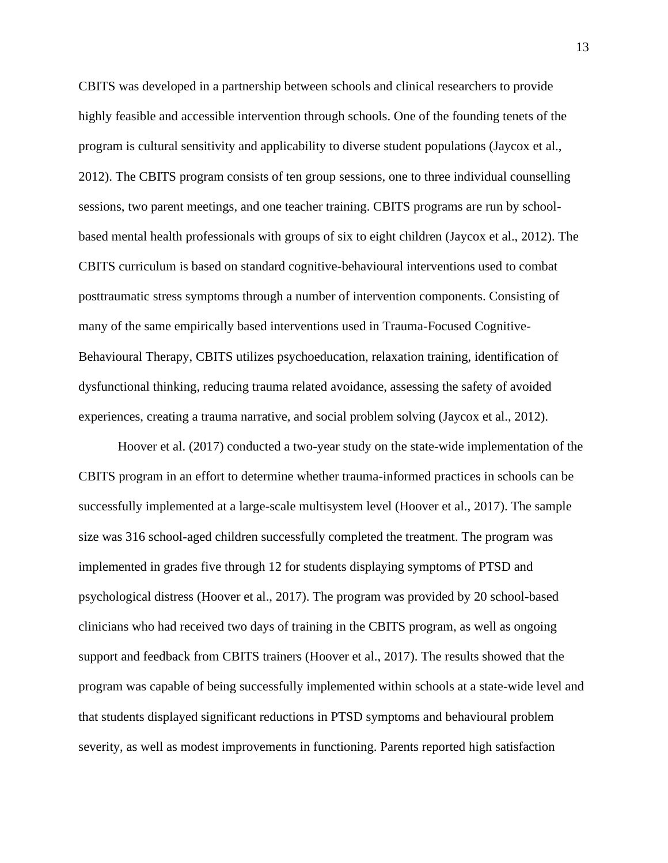CBITS was developed in a partnership between schools and clinical researchers to provide highly feasible and accessible intervention through schools. One of the founding tenets of the program is cultural sensitivity and applicability to diverse student populations (Jaycox et al., 2012). The CBITS program consists of ten group sessions, one to three individual counselling sessions, two parent meetings, and one teacher training. CBITS programs are run by schoolbased mental health professionals with groups of six to eight children (Jaycox et al., 2012). The CBITS curriculum is based on standard cognitive-behavioural interventions used to combat posttraumatic stress symptoms through a number of intervention components. Consisting of many of the same empirically based interventions used in Trauma-Focused Cognitive-Behavioural Therapy, CBITS utilizes psychoeducation, relaxation training, identification of dysfunctional thinking, reducing trauma related avoidance, assessing the safety of avoided experiences, creating a trauma narrative, and social problem solving (Jaycox et al., 2012).

Hoover et al. (2017) conducted a two-year study on the state-wide implementation of the CBITS program in an effort to determine whether trauma-informed practices in schools can be successfully implemented at a large-scale multisystem level (Hoover et al., 2017). The sample size was 316 school-aged children successfully completed the treatment. The program was implemented in grades five through 12 for students displaying symptoms of PTSD and psychological distress (Hoover et al., 2017). The program was provided by 20 school-based clinicians who had received two days of training in the CBITS program, as well as ongoing support and feedback from CBITS trainers (Hoover et al., 2017). The results showed that the program was capable of being successfully implemented within schools at a state-wide level and that students displayed significant reductions in PTSD symptoms and behavioural problem severity, as well as modest improvements in functioning. Parents reported high satisfaction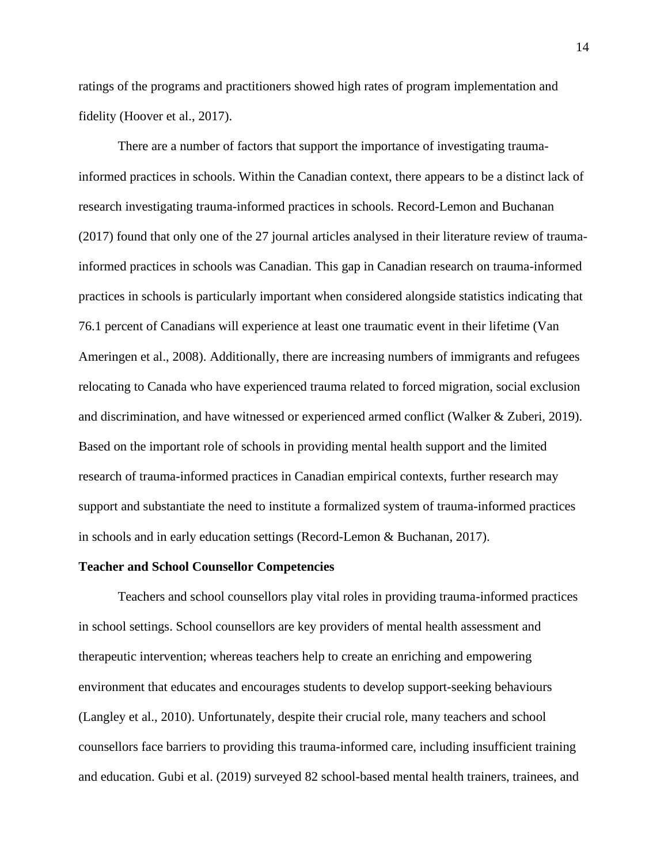ratings of the programs and practitioners showed high rates of program implementation and fidelity (Hoover et al., 2017).

There are a number of factors that support the importance of investigating traumainformed practices in schools. Within the Canadian context, there appears to be a distinct lack of research investigating trauma-informed practices in schools. Record-Lemon and Buchanan (2017) found that only one of the 27 journal articles analysed in their literature review of traumainformed practices in schools was Canadian. This gap in Canadian research on trauma-informed practices in schools is particularly important when considered alongside statistics indicating that 76.1 percent of Canadians will experience at least one traumatic event in their lifetime (Van Ameringen et al., 2008). Additionally, there are increasing numbers of immigrants and refugees relocating to Canada who have experienced trauma related to forced migration, social exclusion and discrimination, and have witnessed or experienced armed conflict (Walker & Zuberi, 2019). Based on the important role of schools in providing mental health support and the limited research of trauma-informed practices in Canadian empirical contexts, further research may support and substantiate the need to institute a formalized system of trauma-informed practices in schools and in early education settings (Record-Lemon & Buchanan, 2017).

## <span id="page-21-0"></span>**Teacher and School Counsellor Competencies**

Teachers and school counsellors play vital roles in providing trauma-informed practices in school settings. School counsellors are key providers of mental health assessment and therapeutic intervention; whereas teachers help to create an enriching and empowering environment that educates and encourages students to develop support-seeking behaviours (Langley et al., 2010). Unfortunately, despite their crucial role, many teachers and school counsellors face barriers to providing this trauma-informed care, including insufficient training and education. Gubi et al. (2019) surveyed 82 school-based mental health trainers, trainees, and

14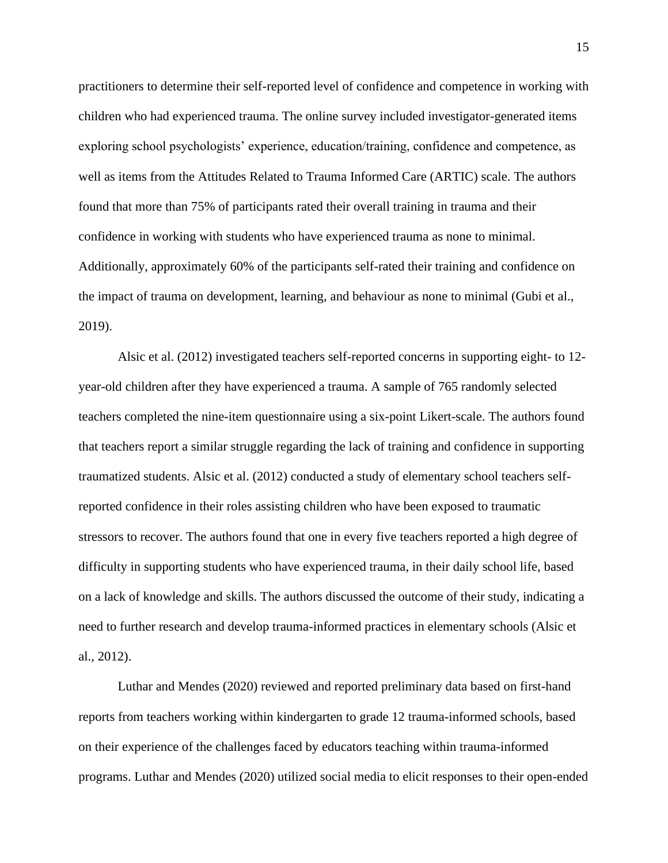practitioners to determine their self-reported level of confidence and competence in working with children who had experienced trauma. The online survey included investigator-generated items exploring school psychologists' experience, education/training, confidence and competence, as well as items from the Attitudes Related to Trauma Informed Care (ARTIC) scale. The authors found that more than 75% of participants rated their overall training in trauma and their confidence in working with students who have experienced trauma as none to minimal. Additionally, approximately 60% of the participants self-rated their training and confidence on the impact of trauma on development, learning, and behaviour as none to minimal (Gubi et al., 2019).

 Alsic et al. (2012) investigated teachers self-reported concerns in supporting eight- to 12 year-old children after they have experienced a trauma. A sample of 765 randomly selected teachers completed the nine-item questionnaire using a six-point Likert-scale. The authors found that teachers report a similar struggle regarding the lack of training and confidence in supporting traumatized students. Alsic et al. (2012) conducted a study of elementary school teachers selfreported confidence in their roles assisting children who have been exposed to traumatic stressors to recover. The authors found that one in every five teachers reported a high degree of difficulty in supporting students who have experienced trauma, in their daily school life, based on a lack of knowledge and skills. The authors discussed the outcome of their study, indicating a need to further research and develop trauma-informed practices in elementary schools (Alsic et al., 2012).

 Luthar and Mendes (2020) reviewed and reported preliminary data based on first-hand reports from teachers working within kindergarten to grade 12 trauma-informed schools, based on their experience of the challenges faced by educators teaching within trauma-informed programs. Luthar and Mendes (2020) utilized social media to elicit responses to their open-ended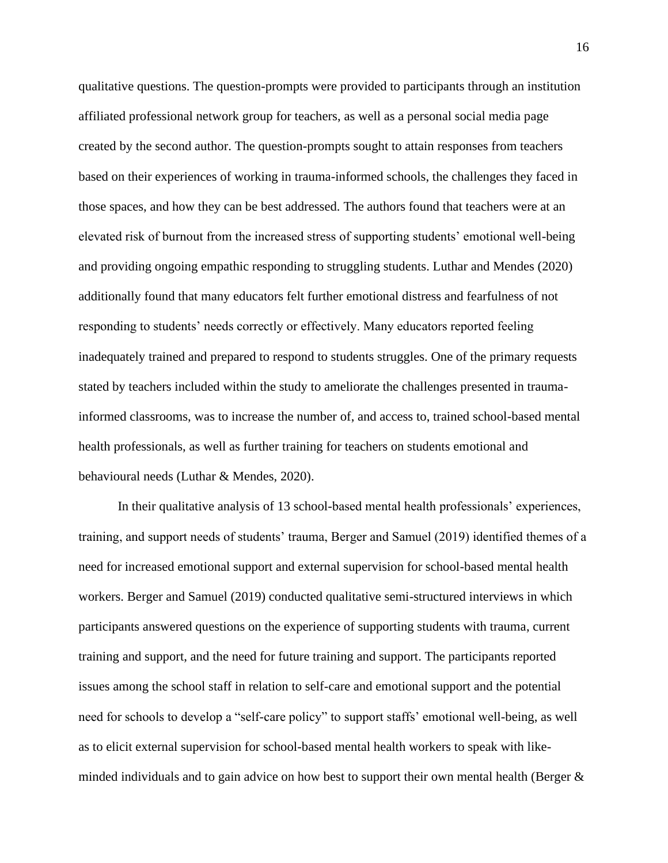qualitative questions. The question-prompts were provided to participants through an institution affiliated professional network group for teachers, as well as a personal social media page created by the second author. The question-prompts sought to attain responses from teachers based on their experiences of working in trauma-informed schools, the challenges they faced in those spaces, and how they can be best addressed. The authors found that teachers were at an elevated risk of burnout from the increased stress of supporting students' emotional well-being and providing ongoing empathic responding to struggling students. Luthar and Mendes (2020) additionally found that many educators felt further emotional distress and fearfulness of not responding to students' needs correctly or effectively. Many educators reported feeling inadequately trained and prepared to respond to students struggles. One of the primary requests stated by teachers included within the study to ameliorate the challenges presented in traumainformed classrooms, was to increase the number of, and access to, trained school-based mental health professionals, as well as further training for teachers on students emotional and behavioural needs (Luthar & Mendes, 2020).

 In their qualitative analysis of 13 school-based mental health professionals' experiences, training, and support needs of students' trauma, Berger and Samuel (2019) identified themes of a need for increased emotional support and external supervision for school-based mental health workers. Berger and Samuel (2019) conducted qualitative semi-structured interviews in which participants answered questions on the experience of supporting students with trauma, current training and support, and the need for future training and support. The participants reported issues among the school staff in relation to self-care and emotional support and the potential need for schools to develop a "self-care policy" to support staffs' emotional well-being, as well as to elicit external supervision for school-based mental health workers to speak with likeminded individuals and to gain advice on how best to support their own mental health (Berger  $\&$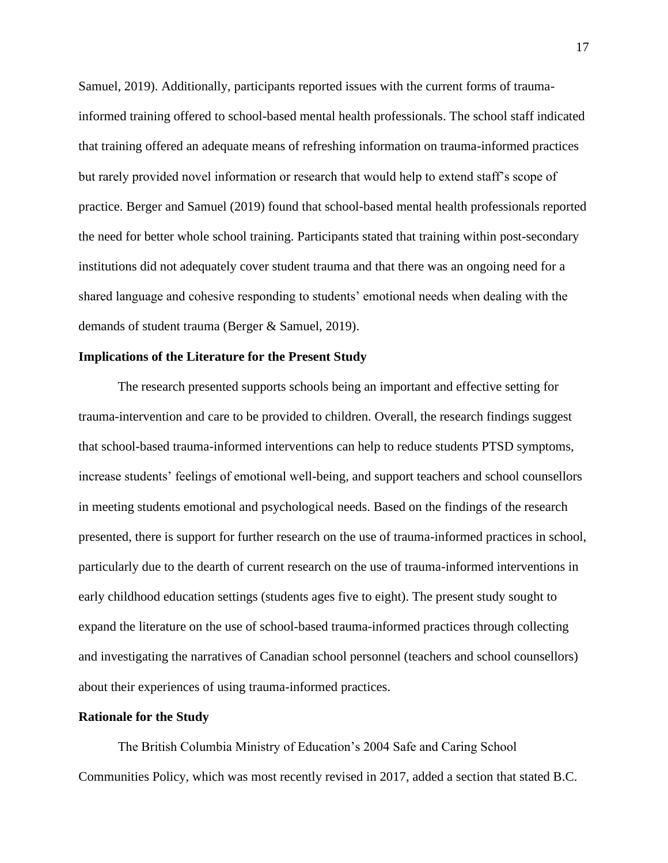Samuel, 2019). Additionally, participants reported issues with the current forms of traumainformed training offered to school-based mental health professionals. The school staff indicated that training offered an adequate means of refreshing information on trauma-informed practices but rarely provided novel information or research that would help to extend staff's scope of practice. Berger and Samuel (2019) found that school-based mental health professionals reported the need for better whole school training. Participants stated that training within post-secondary institutions did not adequately cover student trauma and that there was an ongoing need for a shared language and cohesive responding to students' emotional needs when dealing with the demands of student trauma (Berger & Samuel, 2019).

# <span id="page-24-0"></span>**Implications of the Literature for the Present Study**

The research presented supports schools being an important and effective setting for trauma-intervention and care to be provided to children. Overall, the research findings suggest that school-based trauma-informed interventions can help to reduce students PTSD symptoms, increase students' feelings of emotional well-being, and support teachers and school counsellors in meeting students emotional and psychological needs. Based on the findings of the research presented, there is support for further research on the use of trauma-informed practices in school, particularly due to the dearth of current research on the use of trauma-informed interventions in early childhood education settings (students ages five to eight). The present study sought to expand the literature on the use of school-based trauma-informed practices through collecting and investigating the narratives of Canadian school personnel (teachers and school counsellors) about their experiences of using trauma-informed practices.

#### <span id="page-24-1"></span>**Rationale for the Study**

The British Columbia Ministry of Education's 2004 Safe and Caring School Communities Policy, which was most recently revised in 2017, added a section that stated B.C.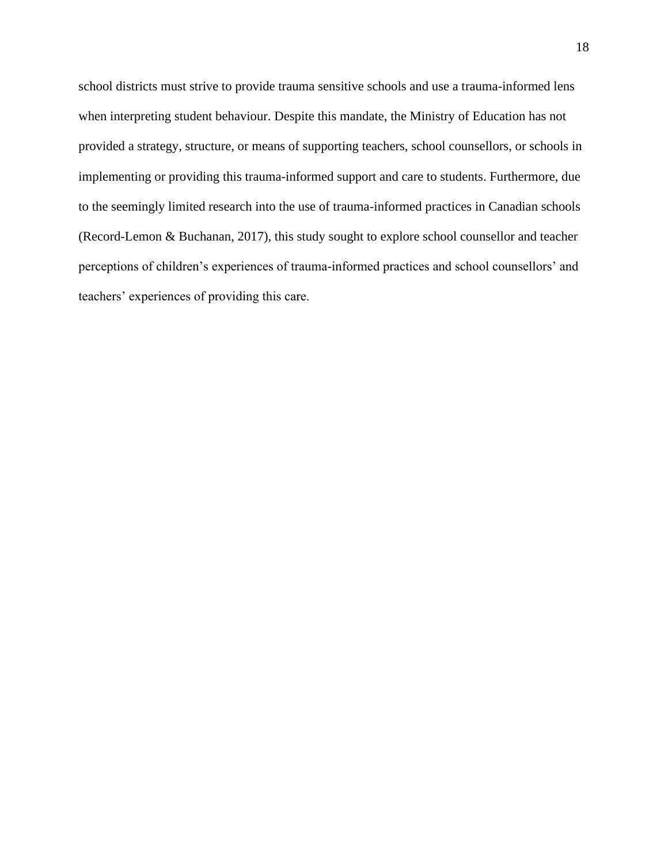school districts must strive to provide trauma sensitive schools and use a trauma-informed lens when interpreting student behaviour. Despite this mandate, the Ministry of Education has not provided a strategy, structure, or means of supporting teachers, school counsellors, or schools in implementing or providing this trauma-informed support and care to students. Furthermore, due to the seemingly limited research into the use of trauma-informed practices in Canadian schools (Record-Lemon & Buchanan, 2017), this study sought to explore school counsellor and teacher perceptions of children's experiences of trauma-informed practices and school counsellors' and teachers' experiences of providing this care.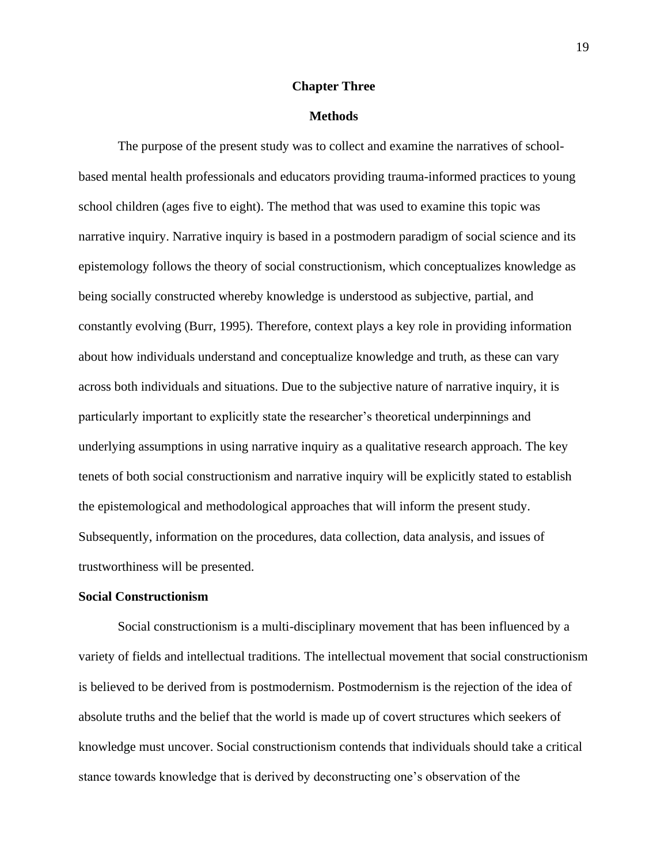#### **Chapter Three**

#### **Methods**

<span id="page-26-0"></span> The purpose of the present study was to collect and examine the narratives of schoolbased mental health professionals and educators providing trauma-informed practices to young school children (ages five to eight). The method that was used to examine this topic was narrative inquiry. Narrative inquiry is based in a postmodern paradigm of social science and its epistemology follows the theory of social constructionism, which conceptualizes knowledge as being socially constructed whereby knowledge is understood as subjective, partial, and constantly evolving (Burr, 1995). Therefore, context plays a key role in providing information about how individuals understand and conceptualize knowledge and truth, as these can vary across both individuals and situations. Due to the subjective nature of narrative inquiry, it is particularly important to explicitly state the researcher's theoretical underpinnings and underlying assumptions in using narrative inquiry as a qualitative research approach. The key tenets of both social constructionism and narrative inquiry will be explicitly stated to establish the epistemological and methodological approaches that will inform the present study. Subsequently, information on the procedures, data collection, data analysis, and issues of trustworthiness will be presented.

## <span id="page-26-1"></span>**Social Constructionism**

 Social constructionism is a multi-disciplinary movement that has been influenced by a variety of fields and intellectual traditions. The intellectual movement that social constructionism is believed to be derived from is postmodernism. Postmodernism is the rejection of the idea of absolute truths and the belief that the world is made up of covert structures which seekers of knowledge must uncover. Social constructionism contends that individuals should take a critical stance towards knowledge that is derived by deconstructing one's observation of the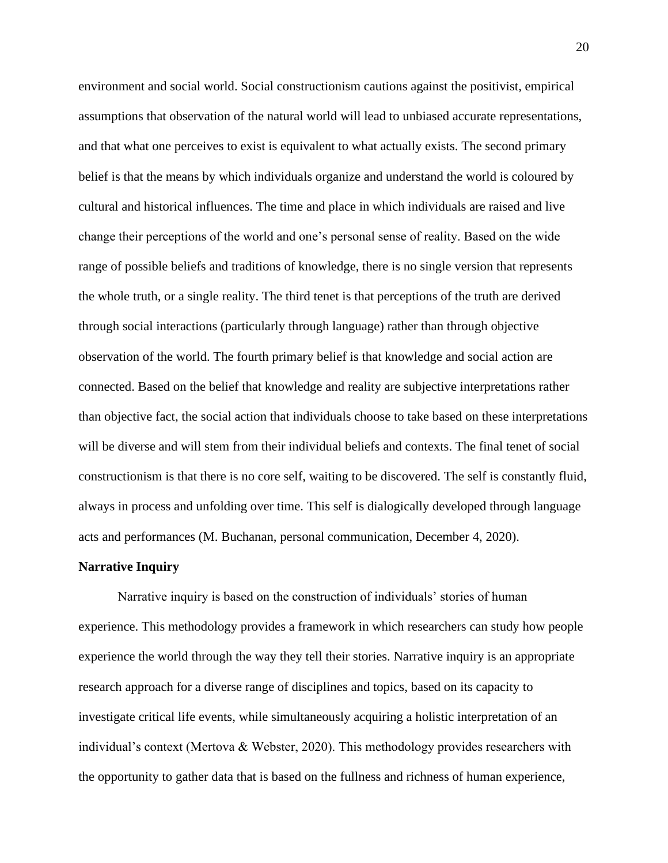environment and social world. Social constructionism cautions against the positivist, empirical assumptions that observation of the natural world will lead to unbiased accurate representations, and that what one perceives to exist is equivalent to what actually exists. The second primary belief is that the means by which individuals organize and understand the world is coloured by cultural and historical influences. The time and place in which individuals are raised and live change their perceptions of the world and one's personal sense of reality. Based on the wide range of possible beliefs and traditions of knowledge, there is no single version that represents the whole truth, or a single reality. The third tenet is that perceptions of the truth are derived through social interactions (particularly through language) rather than through objective observation of the world. The fourth primary belief is that knowledge and social action are connected. Based on the belief that knowledge and reality are subjective interpretations rather than objective fact, the social action that individuals choose to take based on these interpretations will be diverse and will stem from their individual beliefs and contexts. The final tenet of social constructionism is that there is no core self, waiting to be discovered. The self is constantly fluid, always in process and unfolding over time. This self is dialogically developed through language acts and performances (M. Buchanan, personal communication, December 4, 2020).

# <span id="page-27-0"></span>**Narrative Inquiry**

 Narrative inquiry is based on the construction of individuals' stories of human experience. This methodology provides a framework in which researchers can study how people experience the world through the way they tell their stories. Narrative inquiry is an appropriate research approach for a diverse range of disciplines and topics, based on its capacity to investigate critical life events, while simultaneously acquiring a holistic interpretation of an individual's context (Mertova & Webster, 2020). This methodology provides researchers with the opportunity to gather data that is based on the fullness and richness of human experience,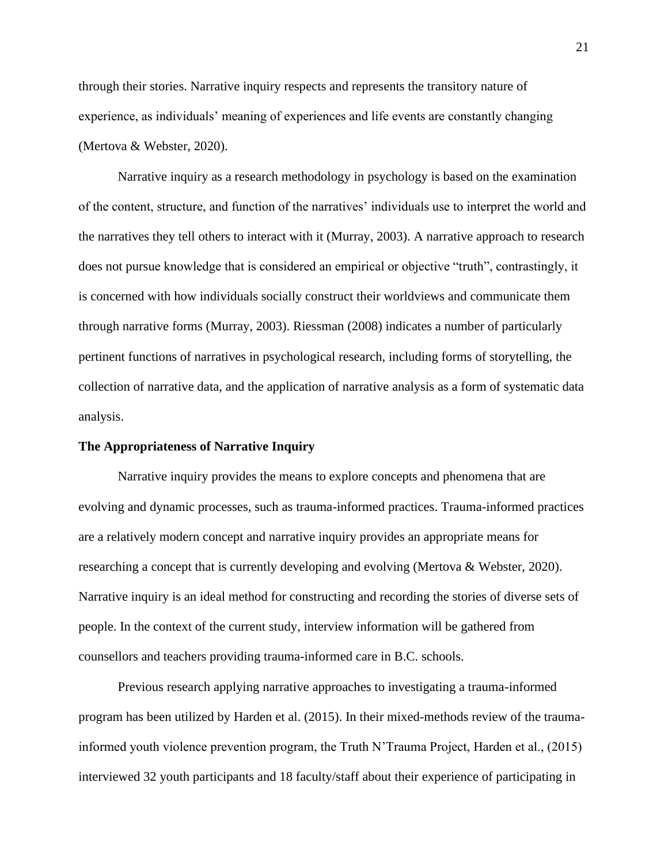through their stories. Narrative inquiry respects and represents the transitory nature of experience, as individuals' meaning of experiences and life events are constantly changing (Mertova & Webster, 2020).

 Narrative inquiry as a research methodology in psychology is based on the examination of the content, structure, and function of the narratives' individuals use to interpret the world and the narratives they tell others to interact with it (Murray, 2003). A narrative approach to research does not pursue knowledge that is considered an empirical or objective "truth", contrastingly, it is concerned with how individuals socially construct their worldviews and communicate them through narrative forms (Murray, 2003). Riessman (2008) indicates a number of particularly pertinent functions of narratives in psychological research, including forms of storytelling, the collection of narrative data, and the application of narrative analysis as a form of systematic data analysis.

## <span id="page-28-0"></span>**The Appropriateness of Narrative Inquiry**

 Narrative inquiry provides the means to explore concepts and phenomena that are evolving and dynamic processes, such as trauma-informed practices. Trauma-informed practices are a relatively modern concept and narrative inquiry provides an appropriate means for researching a concept that is currently developing and evolving (Mertova & Webster, 2020). Narrative inquiry is an ideal method for constructing and recording the stories of diverse sets of people. In the context of the current study, interview information will be gathered from counsellors and teachers providing trauma-informed care in B.C. schools.

Previous research applying narrative approaches to investigating a trauma-informed program has been utilized by Harden et al. (2015). In their mixed-methods review of the traumainformed youth violence prevention program, the Truth N'Trauma Project, Harden et al., (2015) interviewed 32 youth participants and 18 faculty/staff about their experience of participating in

21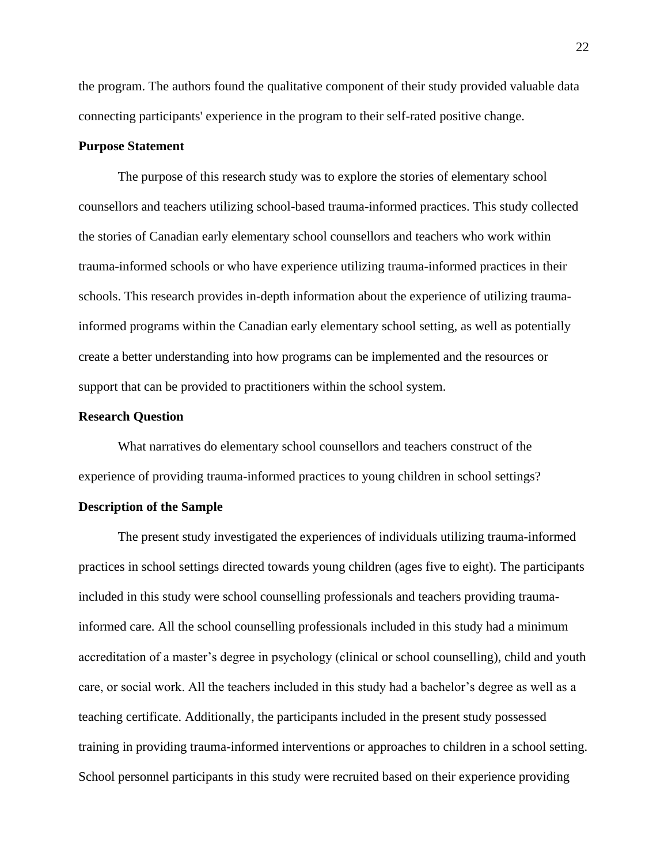the program. The authors found the qualitative component of their study provided valuable data connecting participants' experience in the program to their self-rated positive change.

# <span id="page-29-0"></span>**Purpose Statement**

The purpose of this research study was to explore the stories of elementary school counsellors and teachers utilizing school-based trauma-informed practices. This study collected the stories of Canadian early elementary school counsellors and teachers who work within trauma-informed schools or who have experience utilizing trauma-informed practices in their schools. This research provides in-depth information about the experience of utilizing traumainformed programs within the Canadian early elementary school setting, as well as potentially create a better understanding into how programs can be implemented and the resources or support that can be provided to practitioners within the school system.

# <span id="page-29-1"></span>**Research Question**

What narratives do elementary school counsellors and teachers construct of the experience of providing trauma-informed practices to young children in school settings?

### <span id="page-29-2"></span>**Description of the Sample**

 The present study investigated the experiences of individuals utilizing trauma-informed practices in school settings directed towards young children (ages five to eight). The participants included in this study were school counselling professionals and teachers providing traumainformed care. All the school counselling professionals included in this study had a minimum accreditation of a master's degree in psychology (clinical or school counselling), child and youth care, or social work. All the teachers included in this study had a bachelor's degree as well as a teaching certificate. Additionally, the participants included in the present study possessed training in providing trauma-informed interventions or approaches to children in a school setting. School personnel participants in this study were recruited based on their experience providing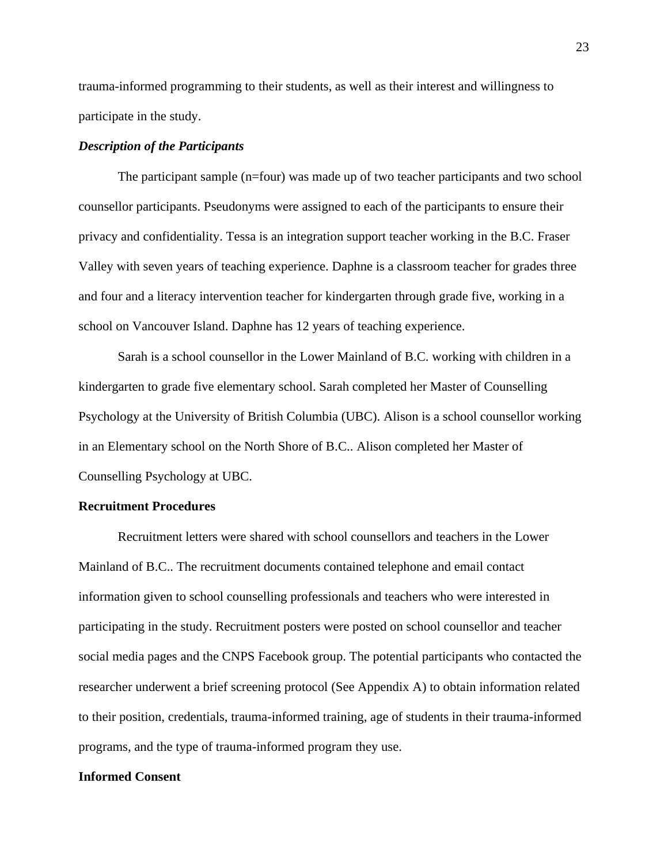trauma-informed programming to their students, as well as their interest and willingness to participate in the study.

# *Description of the Participants*

The participant sample (n=four) was made up of two teacher participants and two school counsellor participants. Pseudonyms were assigned to each of the participants to ensure their privacy and confidentiality. Tessa is an integration support teacher working in the B.C. Fraser Valley with seven years of teaching experience. Daphne is a classroom teacher for grades three and four and a literacy intervention teacher for kindergarten through grade five, working in a school on Vancouver Island. Daphne has 12 years of teaching experience.

Sarah is a school counsellor in the Lower Mainland of B.C. working with children in a kindergarten to grade five elementary school. Sarah completed her Master of Counselling Psychology at the University of British Columbia (UBC). Alison is a school counsellor working in an Elementary school on the North Shore of B.C.. Alison completed her Master of Counselling Psychology at UBC.

# <span id="page-30-0"></span>**Recruitment Procedures**

 Recruitment letters were shared with school counsellors and teachers in the Lower Mainland of B.C.. The recruitment documents contained telephone and email contact information given to school counselling professionals and teachers who were interested in participating in the study. Recruitment posters were posted on school counsellor and teacher social media pages and the CNPS Facebook group. The potential participants who contacted the researcher underwent a brief screening protocol (See Appendix A) to obtain information related to their position, credentials, trauma-informed training, age of students in their trauma-informed programs, and the type of trauma-informed program they use.

# <span id="page-30-1"></span>**Informed Consent**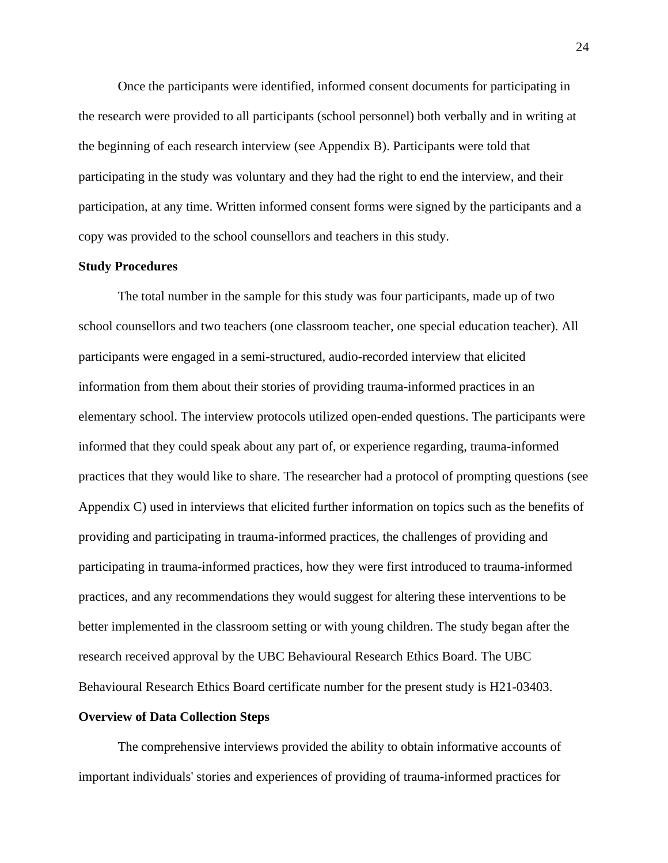Once the participants were identified, informed consent documents for participating in the research were provided to all participants (school personnel) both verbally and in writing at the beginning of each research interview (see Appendix B). Participants were told that participating in the study was voluntary and they had the right to end the interview, and their participation, at any time. Written informed consent forms were signed by the participants and a copy was provided to the school counsellors and teachers in this study.

## <span id="page-31-0"></span>**Study Procedures**

The total number in the sample for this study was four participants, made up of two school counsellors and two teachers (one classroom teacher, one special education teacher). All participants were engaged in a semi-structured, audio-recorded interview that elicited information from them about their stories of providing trauma-informed practices in an elementary school. The interview protocols utilized open-ended questions. The participants were informed that they could speak about any part of, or experience regarding, trauma-informed practices that they would like to share. The researcher had a protocol of prompting questions (see Appendix C) used in interviews that elicited further information on topics such as the benefits of providing and participating in trauma-informed practices, the challenges of providing and participating in trauma-informed practices, how they were first introduced to trauma-informed practices, and any recommendations they would suggest for altering these interventions to be better implemented in the classroom setting or with young children. The study began after the research received approval by the UBC Behavioural Research Ethics Board. The UBC Behavioural Research Ethics Board certificate number for the present study is H21-03403.

#### <span id="page-31-1"></span>**Overview of Data Collection Steps**

The comprehensive interviews provided the ability to obtain informative accounts of important individuals' stories and experiences of providing of trauma-informed practices for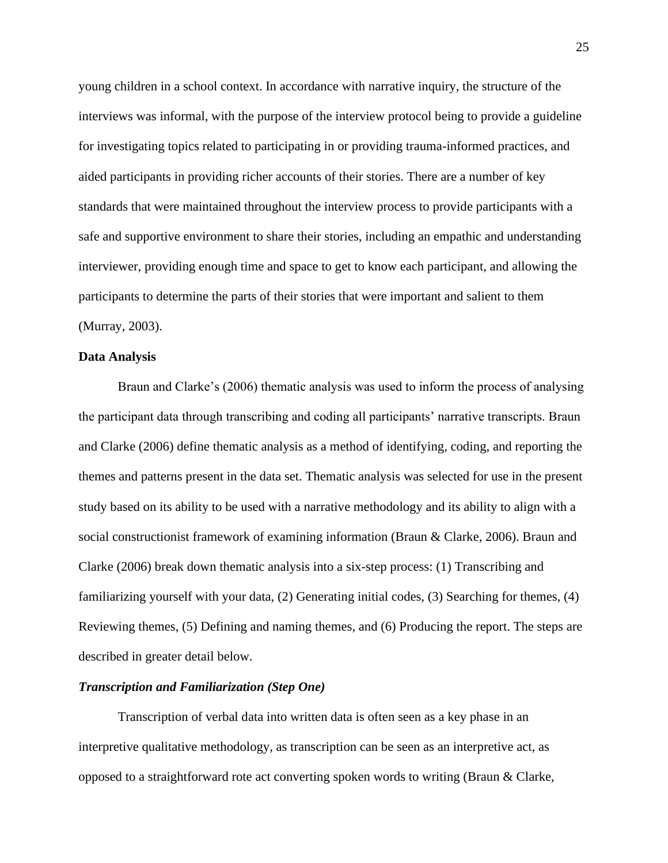young children in a school context. In accordance with narrative inquiry, the structure of the interviews was informal, with the purpose of the interview protocol being to provide a guideline for investigating topics related to participating in or providing trauma-informed practices, and aided participants in providing richer accounts of their stories. There are a number of key standards that were maintained throughout the interview process to provide participants with a safe and supportive environment to share their stories, including an empathic and understanding interviewer, providing enough time and space to get to know each participant, and allowing the participants to determine the parts of their stories that were important and salient to them (Murray, 2003).

# <span id="page-32-0"></span>**Data Analysis**

 Braun and Clarke's (2006) thematic analysis was used to inform the process of analysing the participant data through transcribing and coding all participants' narrative transcripts. Braun and Clarke (2006) define thematic analysis as a method of identifying, coding, and reporting the themes and patterns present in the data set. Thematic analysis was selected for use in the present study based on its ability to be used with a narrative methodology and its ability to align with a social constructionist framework of examining information (Braun & Clarke, 2006). Braun and Clarke (2006) break down thematic analysis into a six-step process: (1) Transcribing and familiarizing yourself with your data, (2) Generating initial codes, (3) Searching for themes, (4) Reviewing themes, (5) Defining and naming themes, and (6) Producing the report. The steps are described in greater detail below.

# *Transcription and Familiarization (Step One)*

 Transcription of verbal data into written data is often seen as a key phase in an interpretive qualitative methodology, as transcription can be seen as an interpretive act, as opposed to a straightforward rote act converting spoken words to writing (Braun  $\&$  Clarke,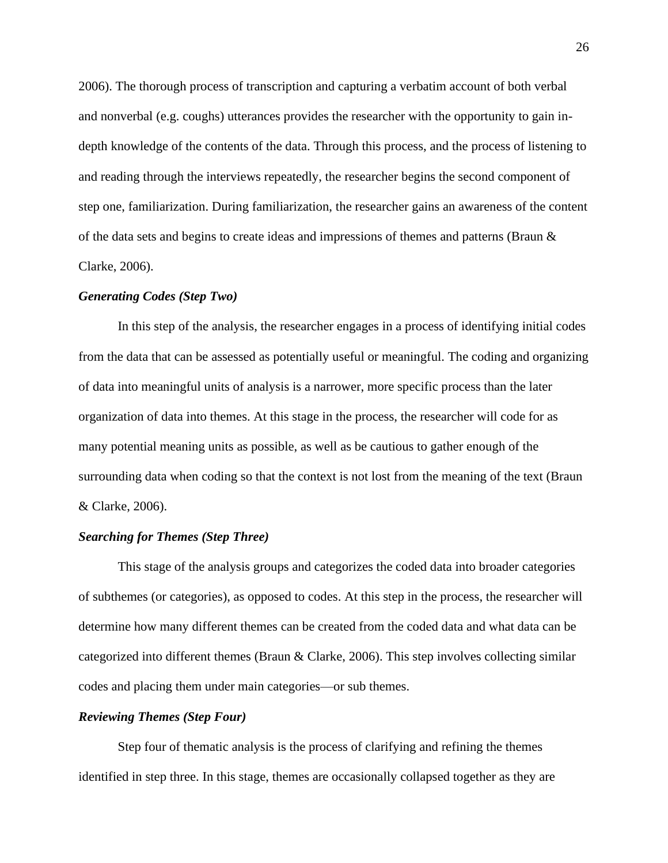2006). The thorough process of transcription and capturing a verbatim account of both verbal and nonverbal (e.g. coughs) utterances provides the researcher with the opportunity to gain indepth knowledge of the contents of the data. Through this process, and the process of listening to and reading through the interviews repeatedly, the researcher begins the second component of step one, familiarization. During familiarization, the researcher gains an awareness of the content of the data sets and begins to create ideas and impressions of themes and patterns (Braun  $\&$ Clarke, 2006).

#### *Generating Codes (Step Two)*

 In this step of the analysis, the researcher engages in a process of identifying initial codes from the data that can be assessed as potentially useful or meaningful. The coding and organizing of data into meaningful units of analysis is a narrower, more specific process than the later organization of data into themes. At this stage in the process, the researcher will code for as many potential meaning units as possible, as well as be cautious to gather enough of the surrounding data when coding so that the context is not lost from the meaning of the text (Braun & Clarke, 2006).

# *Searching for Themes (Step Three)*

 This stage of the analysis groups and categorizes the coded data into broader categories of subthemes (or categories), as opposed to codes. At this step in the process, the researcher will determine how many different themes can be created from the coded data and what data can be categorized into different themes (Braun & Clarke, 2006). This step involves collecting similar codes and placing them under main categories—or sub themes.

#### *Reviewing Themes (Step Four)*

Step four of thematic analysis is the process of clarifying and refining the themes identified in step three. In this stage, themes are occasionally collapsed together as they are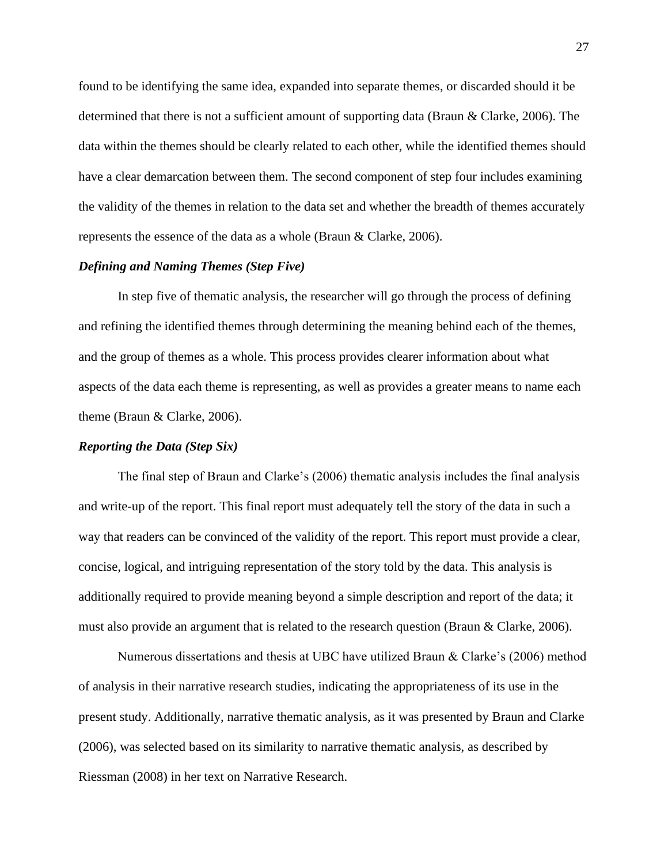found to be identifying the same idea, expanded into separate themes, or discarded should it be determined that there is not a sufficient amount of supporting data (Braun & Clarke, 2006). The data within the themes should be clearly related to each other, while the identified themes should have a clear demarcation between them. The second component of step four includes examining the validity of the themes in relation to the data set and whether the breadth of themes accurately represents the essence of the data as a whole (Braun & Clarke, 2006).

# *Defining and Naming Themes (Step Five)*

 In step five of thematic analysis, the researcher will go through the process of defining and refining the identified themes through determining the meaning behind each of the themes, and the group of themes as a whole. This process provides clearer information about what aspects of the data each theme is representing, as well as provides a greater means to name each theme (Braun & Clarke, 2006).

## *Reporting the Data (Step Six)*

 The final step of Braun and Clarke's (2006) thematic analysis includes the final analysis and write-up of the report. This final report must adequately tell the story of the data in such a way that readers can be convinced of the validity of the report. This report must provide a clear, concise, logical, and intriguing representation of the story told by the data. This analysis is additionally required to provide meaning beyond a simple description and report of the data; it must also provide an argument that is related to the research question (Braun & Clarke, 2006).

Numerous dissertations and thesis at UBC have utilized Braun & Clarke's (2006) method of analysis in their narrative research studies, indicating the appropriateness of its use in the present study. Additionally, narrative thematic analysis, as it was presented by Braun and Clarke (2006), was selected based on its similarity to narrative thematic analysis, as described by Riessman (2008) in her text on Narrative Research.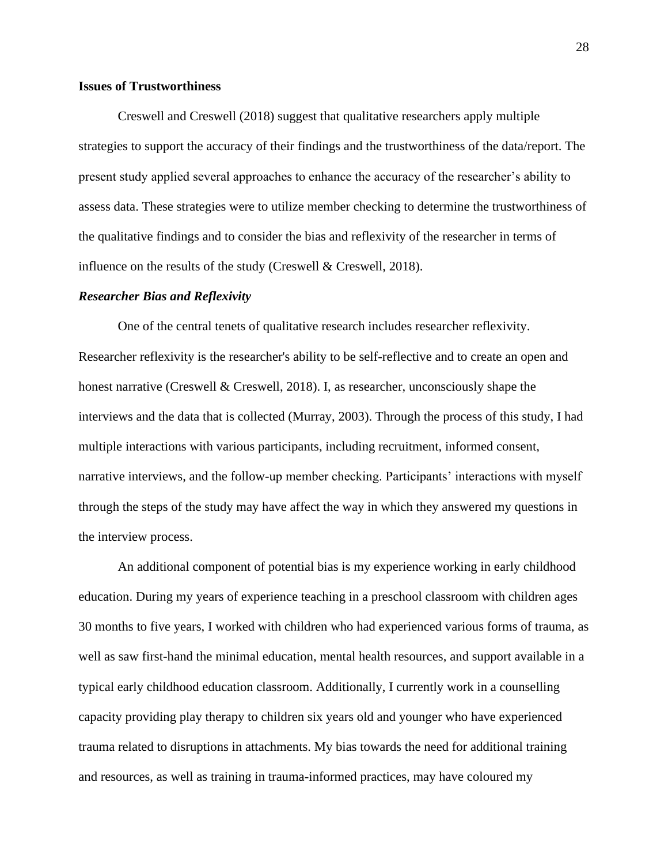## <span id="page-35-0"></span>**Issues of Trustworthiness**

Creswell and Creswell (2018) suggest that qualitative researchers apply multiple strategies to support the accuracy of their findings and the trustworthiness of the data/report. The present study applied several approaches to enhance the accuracy of the researcher's ability to assess data. These strategies were to utilize member checking to determine the trustworthiness of the qualitative findings and to consider the bias and reflexivity of the researcher in terms of influence on the results of the study (Creswell & Creswell, 2018).

#### *Researcher Bias and Reflexivity*

One of the central tenets of qualitative research includes researcher reflexivity. Researcher reflexivity is the researcher's ability to be self-reflective and to create an open and honest narrative (Creswell & Creswell, 2018). I, as researcher, unconsciously shape the interviews and the data that is collected (Murray, 2003). Through the process of this study, I had multiple interactions with various participants, including recruitment, informed consent, narrative interviews, and the follow-up member checking. Participants' interactions with myself through the steps of the study may have affect the way in which they answered my questions in the interview process.

An additional component of potential bias is my experience working in early childhood education. During my years of experience teaching in a preschool classroom with children ages 30 months to five years, I worked with children who had experienced various forms of trauma, as well as saw first-hand the minimal education, mental health resources, and support available in a typical early childhood education classroom. Additionally, I currently work in a counselling capacity providing play therapy to children six years old and younger who have experienced trauma related to disruptions in attachments. My bias towards the need for additional training and resources, as well as training in trauma-informed practices, may have coloured my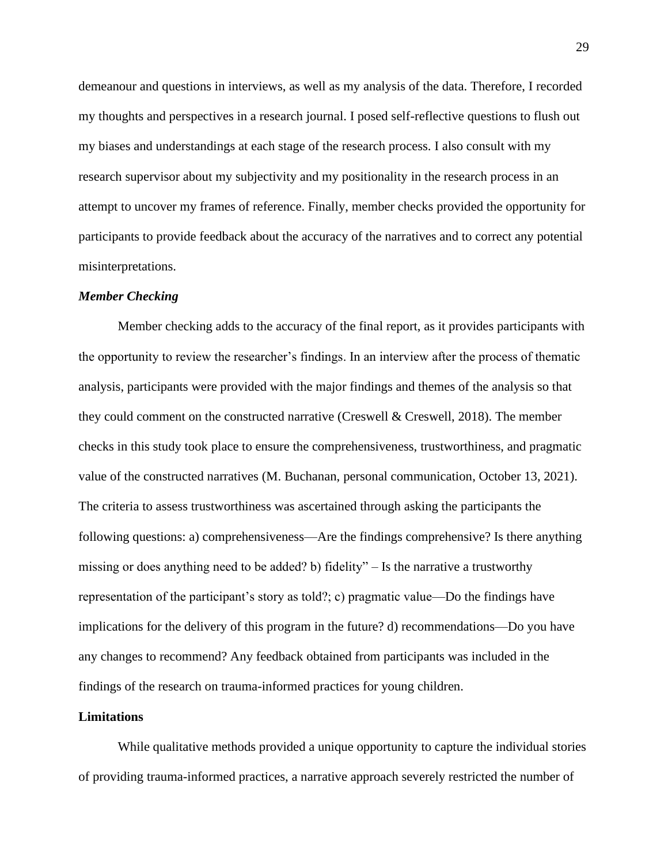demeanour and questions in interviews, as well as my analysis of the data. Therefore, I recorded my thoughts and perspectives in a research journal. I posed self-reflective questions to flush out my biases and understandings at each stage of the research process. I also consult with my research supervisor about my subjectivity and my positionality in the research process in an attempt to uncover my frames of reference. Finally, member checks provided the opportunity for participants to provide feedback about the accuracy of the narratives and to correct any potential misinterpretations.

#### *Member Checking*

Member checking adds to the accuracy of the final report, as it provides participants with the opportunity to review the researcher's findings. In an interview after the process of thematic analysis, participants were provided with the major findings and themes of the analysis so that they could comment on the constructed narrative (Creswell & Creswell, 2018). The member checks in this study took place to ensure the comprehensiveness, trustworthiness, and pragmatic value of the constructed narratives (M. Buchanan, personal communication, October 13, 2021). The criteria to assess trustworthiness was ascertained through asking the participants the following questions: a) comprehensiveness—Are the findings comprehensive? Is there anything missing or does anything need to be added? b) fidelity" – Is the narrative a trustworthy representation of the participant's story as told?; c) pragmatic value—Do the findings have implications for the delivery of this program in the future? d) recommendations—Do you have any changes to recommend? Any feedback obtained from participants was included in the findings of the research on trauma-informed practices for young children.

### **Limitations**

While qualitative methods provided a unique opportunity to capture the individual stories of providing trauma-informed practices, a narrative approach severely restricted the number of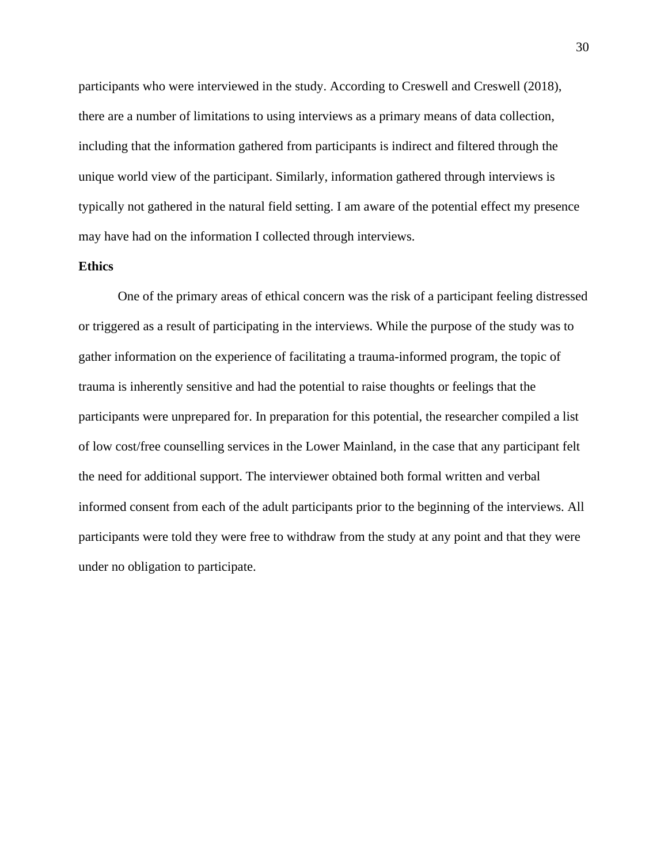participants who were interviewed in the study. According to Creswell and Creswell (2018), there are a number of limitations to using interviews as a primary means of data collection, including that the information gathered from participants is indirect and filtered through the unique world view of the participant. Similarly, information gathered through interviews is typically not gathered in the natural field setting. I am aware of the potential effect my presence may have had on the information I collected through interviews.

## **Ethics**

 One of the primary areas of ethical concern was the risk of a participant feeling distressed or triggered as a result of participating in the interviews. While the purpose of the study was to gather information on the experience of facilitating a trauma-informed program, the topic of trauma is inherently sensitive and had the potential to raise thoughts or feelings that the participants were unprepared for. In preparation for this potential, the researcher compiled a list of low cost/free counselling services in the Lower Mainland, in the case that any participant felt the need for additional support. The interviewer obtained both formal written and verbal informed consent from each of the adult participants prior to the beginning of the interviews. All participants were told they were free to withdraw from the study at any point and that they were under no obligation to participate.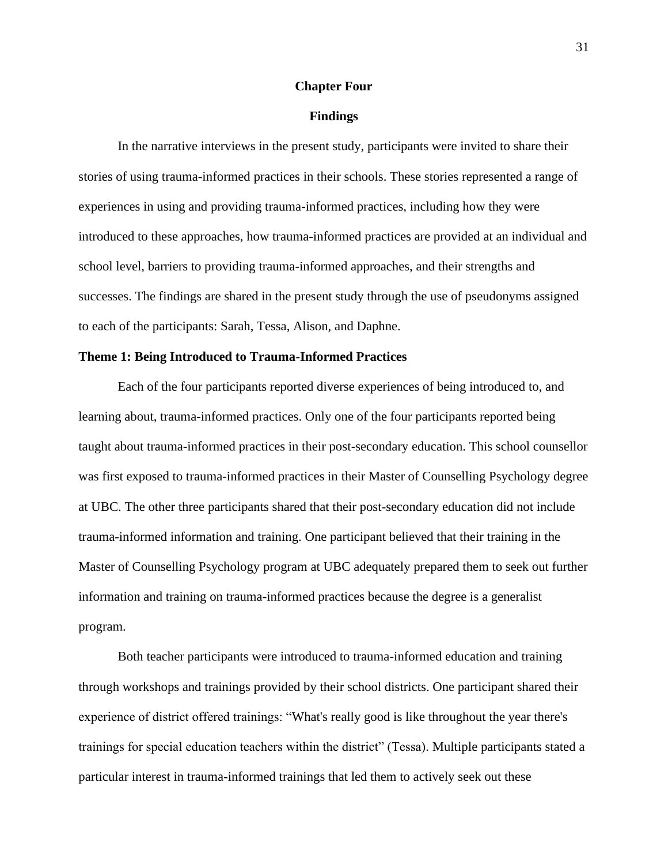#### **Chapter Four**

### **Findings**

 In the narrative interviews in the present study, participants were invited to share their stories of using trauma-informed practices in their schools. These stories represented a range of experiences in using and providing trauma-informed practices, including how they were introduced to these approaches, how trauma-informed practices are provided at an individual and school level, barriers to providing trauma-informed approaches, and their strengths and successes. The findings are shared in the present study through the use of pseudonyms assigned to each of the participants: Sarah, Tessa, Alison, and Daphne.

## **Theme 1: Being Introduced to Trauma-Informed Practices**

 Each of the four participants reported diverse experiences of being introduced to, and learning about, trauma-informed practices. Only one of the four participants reported being taught about trauma-informed practices in their post-secondary education. This school counsellor was first exposed to trauma-informed practices in their Master of Counselling Psychology degree at UBC. The other three participants shared that their post-secondary education did not include trauma-informed information and training. One participant believed that their training in the Master of Counselling Psychology program at UBC adequately prepared them to seek out further information and training on trauma-informed practices because the degree is a generalist program.

Both teacher participants were introduced to trauma-informed education and training through workshops and trainings provided by their school districts. One participant shared their experience of district offered trainings: "What's really good is like throughout the year there's trainings for special education teachers within the district" (Tessa). Multiple participants stated a particular interest in trauma-informed trainings that led them to actively seek out these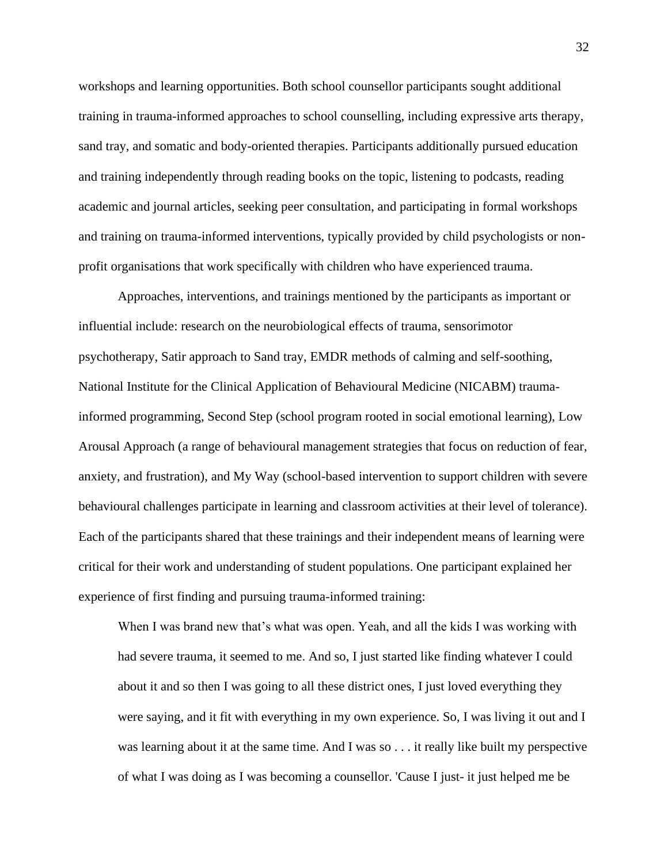workshops and learning opportunities. Both school counsellor participants sought additional training in trauma-informed approaches to school counselling, including expressive arts therapy, sand tray, and somatic and body-oriented therapies. Participants additionally pursued education and training independently through reading books on the topic, listening to podcasts, reading academic and journal articles, seeking peer consultation, and participating in formal workshops and training on trauma-informed interventions, typically provided by child psychologists or nonprofit organisations that work specifically with children who have experienced trauma.

Approaches, interventions, and trainings mentioned by the participants as important or influential include: research on the neurobiological effects of trauma, sensorimotor psychotherapy, Satir approach to Sand tray, EMDR methods of calming and self-soothing, National Institute for the Clinical Application of Behavioural Medicine (NICABM) traumainformed programming, Second Step (school program rooted in social emotional learning), Low Arousal Approach (a range of behavioural management strategies that focus on reduction of fear, anxiety, and frustration), and My Way (school-based intervention to support children with severe behavioural challenges participate in learning and classroom activities at their level of tolerance). Each of the participants shared that these trainings and their independent means of learning were critical for their work and understanding of student populations. One participant explained her experience of first finding and pursuing trauma-informed training:

When I was brand new that's what was open. Yeah, and all the kids I was working with had severe trauma, it seemed to me. And so, I just started like finding whatever I could about it and so then I was going to all these district ones, I just loved everything they were saying, and it fit with everything in my own experience. So, I was living it out and I was learning about it at the same time. And I was so . . . it really like built my perspective of what I was doing as I was becoming a counsellor. 'Cause I just- it just helped me be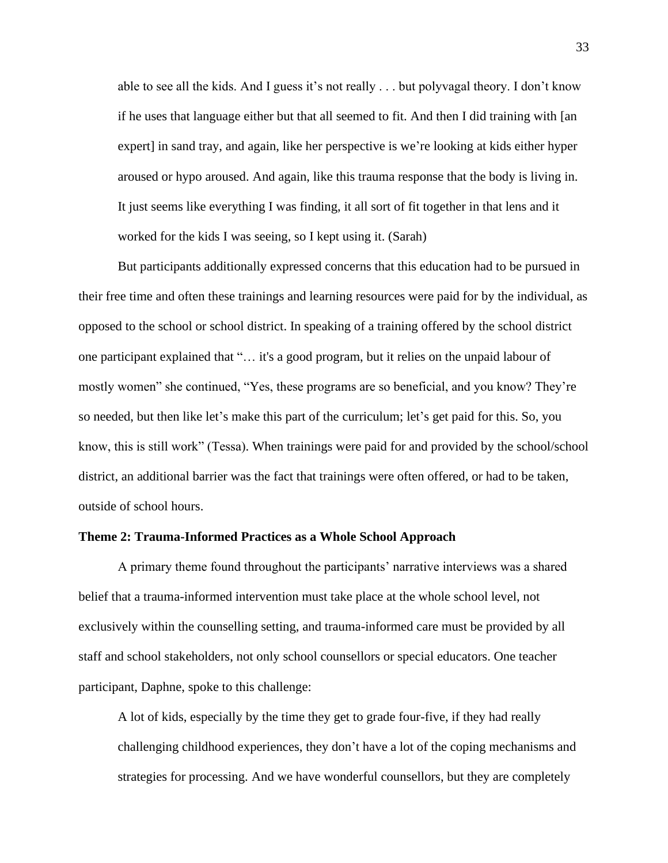able to see all the kids. And I guess it's not really . . . but polyvagal theory. I don't know if he uses that language either but that all seemed to fit. And then I did training with [an expert] in sand tray, and again, like her perspective is we're looking at kids either hyper aroused or hypo aroused. And again, like this trauma response that the body is living in. It just seems like everything I was finding, it all sort of fit together in that lens and it worked for the kids I was seeing, so I kept using it. (Sarah)

But participants additionally expressed concerns that this education had to be pursued in their free time and often these trainings and learning resources were paid for by the individual, as opposed to the school or school district. In speaking of a training offered by the school district one participant explained that "… it's a good program, but it relies on the unpaid labour of mostly women" she continued, "Yes, these programs are so beneficial, and you know? They're so needed, but then like let's make this part of the curriculum; let's get paid for this. So, you know, this is still work" (Tessa). When trainings were paid for and provided by the school/school district, an additional barrier was the fact that trainings were often offered, or had to be taken, outside of school hours.

### **Theme 2: Trauma-Informed Practices as a Whole School Approach**

A primary theme found throughout the participants' narrative interviews was a shared belief that a trauma-informed intervention must take place at the whole school level, not exclusively within the counselling setting, and trauma-informed care must be provided by all staff and school stakeholders, not only school counsellors or special educators. One teacher participant, Daphne, spoke to this challenge:

A lot of kids, especially by the time they get to grade four-five, if they had really challenging childhood experiences, they don't have a lot of the coping mechanisms and strategies for processing. And we have wonderful counsellors, but they are completely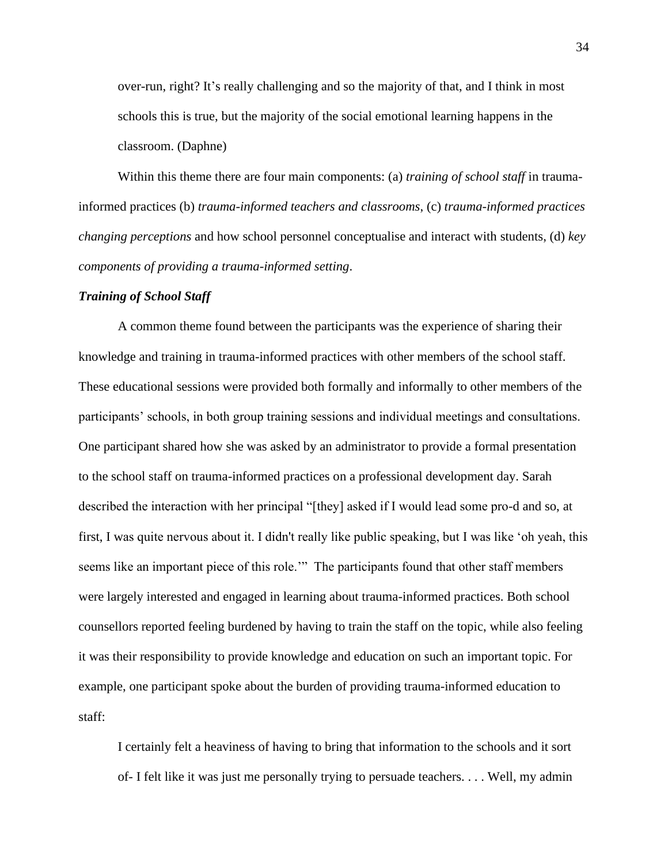over-run, right? It's really challenging and so the majority of that, and I think in most schools this is true, but the majority of the social emotional learning happens in the classroom. (Daphne)

Within this theme there are four main components: (a) *training of school staff* in traumainformed practices (b) *trauma-informed teachers and classrooms*, (c) *trauma-informed practices changing perceptions* and how school personnel conceptualise and interact with students, (d) *key components of providing a trauma-informed setting*.

### *Training of School Staff*

 A common theme found between the participants was the experience of sharing their knowledge and training in trauma-informed practices with other members of the school staff. These educational sessions were provided both formally and informally to other members of the participants' schools, in both group training sessions and individual meetings and consultations. One participant shared how she was asked by an administrator to provide a formal presentation to the school staff on trauma-informed practices on a professional development day. Sarah described the interaction with her principal "[they] asked if I would lead some pro-d and so, at first, I was quite nervous about it. I didn't really like public speaking, but I was like 'oh yeah, this seems like an important piece of this role." The participants found that other staff members were largely interested and engaged in learning about trauma-informed practices. Both school counsellors reported feeling burdened by having to train the staff on the topic, while also feeling it was their responsibility to provide knowledge and education on such an important topic. For example, one participant spoke about the burden of providing trauma-informed education to staff:

I certainly felt a heaviness of having to bring that information to the schools and it sort of- I felt like it was just me personally trying to persuade teachers. . . . Well, my admin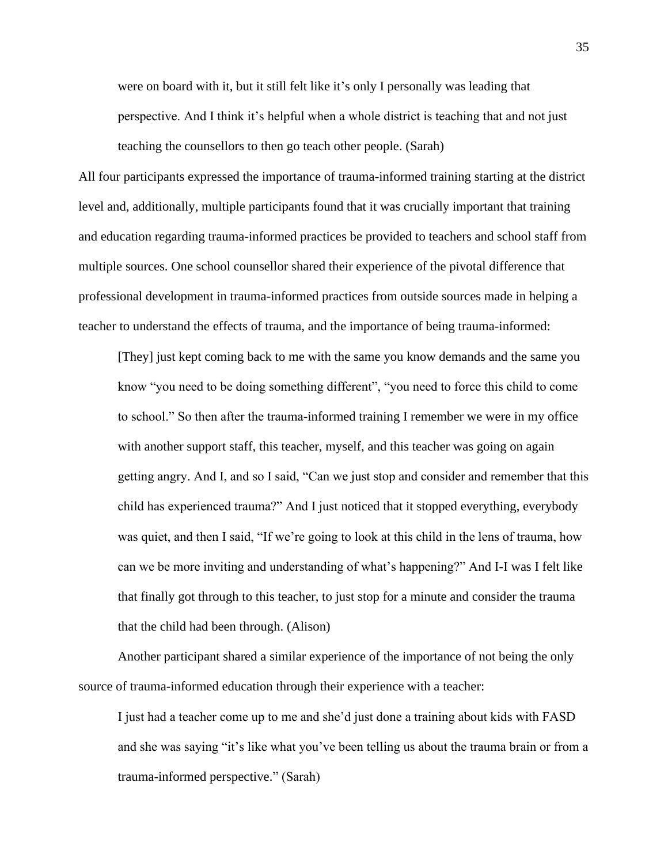were on board with it, but it still felt like it's only I personally was leading that perspective. And I think it's helpful when a whole district is teaching that and not just teaching the counsellors to then go teach other people. (Sarah)

All four participants expressed the importance of trauma-informed training starting at the district level and, additionally, multiple participants found that it was crucially important that training and education regarding trauma-informed practices be provided to teachers and school staff from multiple sources. One school counsellor shared their experience of the pivotal difference that professional development in trauma-informed practices from outside sources made in helping a teacher to understand the effects of trauma, and the importance of being trauma-informed:

[They] just kept coming back to me with the same you know demands and the same you know "you need to be doing something different", "you need to force this child to come to school." So then after the trauma-informed training I remember we were in my office with another support staff, this teacher, myself, and this teacher was going on again getting angry. And I, and so I said, "Can we just stop and consider and remember that this child has experienced trauma?" And I just noticed that it stopped everything, everybody was quiet, and then I said, "If we're going to look at this child in the lens of trauma, how can we be more inviting and understanding of what's happening?" And I-I was I felt like that finally got through to this teacher, to just stop for a minute and consider the trauma that the child had been through. (Alison)

Another participant shared a similar experience of the importance of not being the only source of trauma-informed education through their experience with a teacher:

I just had a teacher come up to me and she'd just done a training about kids with FASD and she was saying "it's like what you've been telling us about the trauma brain or from a trauma-informed perspective." (Sarah)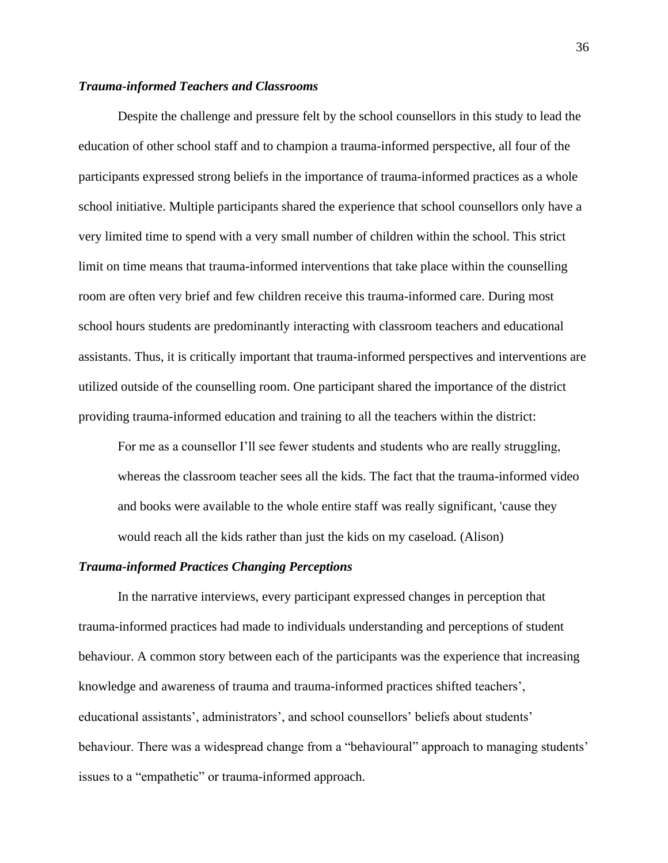## *Trauma-informed Teachers and Classrooms*

Despite the challenge and pressure felt by the school counsellors in this study to lead the education of other school staff and to champion a trauma-informed perspective, all four of the participants expressed strong beliefs in the importance of trauma-informed practices as a whole school initiative. Multiple participants shared the experience that school counsellors only have a very limited time to spend with a very small number of children within the school. This strict limit on time means that trauma-informed interventions that take place within the counselling room are often very brief and few children receive this trauma-informed care. During most school hours students are predominantly interacting with classroom teachers and educational assistants. Thus, it is critically important that trauma-informed perspectives and interventions are utilized outside of the counselling room. One participant shared the importance of the district providing trauma-informed education and training to all the teachers within the district:

For me as a counsellor I'll see fewer students and students who are really struggling, whereas the classroom teacher sees all the kids. The fact that the trauma-informed video and books were available to the whole entire staff was really significant, 'cause they would reach all the kids rather than just the kids on my caseload. (Alison)

## *Trauma-informed Practices Changing Perceptions*

In the narrative interviews, every participant expressed changes in perception that trauma-informed practices had made to individuals understanding and perceptions of student behaviour. A common story between each of the participants was the experience that increasing knowledge and awareness of trauma and trauma-informed practices shifted teachers', educational assistants', administrators', and school counsellors' beliefs about students' behaviour. There was a widespread change from a "behavioural" approach to managing students' issues to a "empathetic" or trauma-informed approach.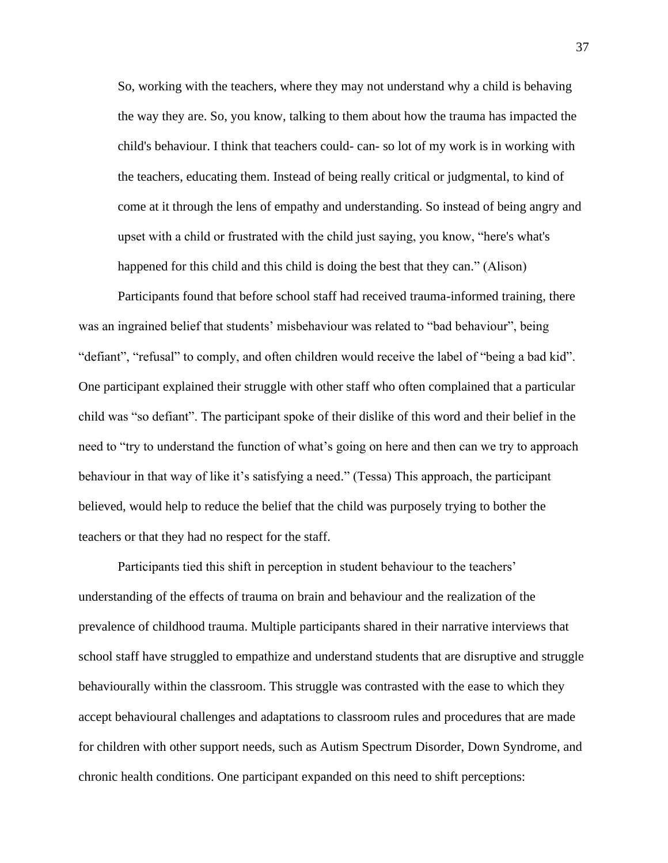So, working with the teachers, where they may not understand why a child is behaving the way they are. So, you know, talking to them about how the trauma has impacted the child's behaviour. I think that teachers could- can- so lot of my work is in working with the teachers, educating them. Instead of being really critical or judgmental, to kind of come at it through the lens of empathy and understanding. So instead of being angry and upset with a child or frustrated with the child just saying, you know, "here's what's happened for this child and this child is doing the best that they can." (Alison)

Participants found that before school staff had received trauma-informed training, there was an ingrained belief that students' misbehaviour was related to "bad behaviour", being "defiant", "refusal" to comply, and often children would receive the label of "being a bad kid". One participant explained their struggle with other staff who often complained that a particular child was "so defiant". The participant spoke of their dislike of this word and their belief in the need to "try to understand the function of what's going on here and then can we try to approach behaviour in that way of like it's satisfying a need." (Tessa) This approach, the participant believed, would help to reduce the belief that the child was purposely trying to bother the teachers or that they had no respect for the staff.

Participants tied this shift in perception in student behaviour to the teachers' understanding of the effects of trauma on brain and behaviour and the realization of the prevalence of childhood trauma. Multiple participants shared in their narrative interviews that school staff have struggled to empathize and understand students that are disruptive and struggle behaviourally within the classroom. This struggle was contrasted with the ease to which they accept behavioural challenges and adaptations to classroom rules and procedures that are made for children with other support needs, such as Autism Spectrum Disorder, Down Syndrome, and chronic health conditions. One participant expanded on this need to shift perceptions: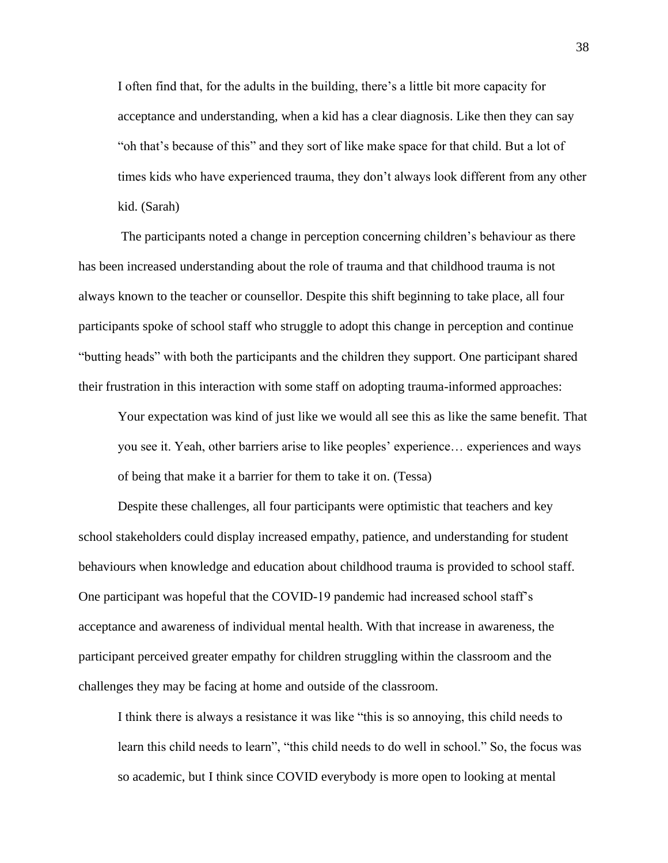I often find that, for the adults in the building, there's a little bit more capacity for acceptance and understanding, when a kid has a clear diagnosis. Like then they can say "oh that's because of this" and they sort of like make space for that child. But a lot of times kids who have experienced trauma, they don't always look different from any other kid. (Sarah)

The participants noted a change in perception concerning children's behaviour as there has been increased understanding about the role of trauma and that childhood trauma is not always known to the teacher or counsellor. Despite this shift beginning to take place, all four participants spoke of school staff who struggle to adopt this change in perception and continue "butting heads" with both the participants and the children they support. One participant shared their frustration in this interaction with some staff on adopting trauma-informed approaches:

Your expectation was kind of just like we would all see this as like the same benefit. That you see it. Yeah, other barriers arise to like peoples' experience… experiences and ways of being that make it a barrier for them to take it on. (Tessa)

Despite these challenges, all four participants were optimistic that teachers and key school stakeholders could display increased empathy, patience, and understanding for student behaviours when knowledge and education about childhood trauma is provided to school staff. One participant was hopeful that the COVID-19 pandemic had increased school staff's acceptance and awareness of individual mental health. With that increase in awareness, the participant perceived greater empathy for children struggling within the classroom and the challenges they may be facing at home and outside of the classroom.

I think there is always a resistance it was like "this is so annoying, this child needs to learn this child needs to learn", "this child needs to do well in school." So, the focus was so academic, but I think since COVID everybody is more open to looking at mental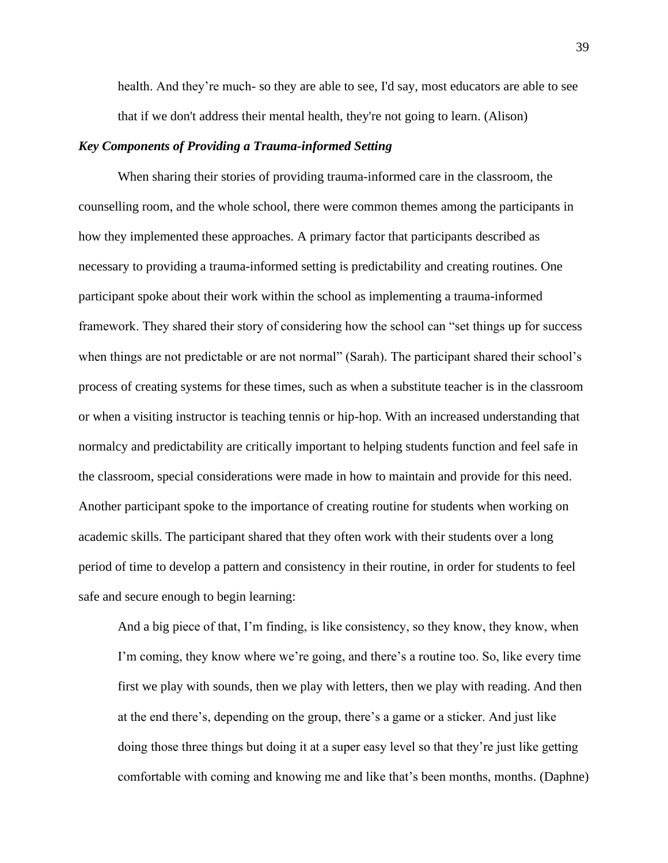health. And they're much- so they are able to see, I'd say, most educators are able to see that if we don't address their mental health, they're not going to learn. (Alison)

### *Key Components of Providing a Trauma-informed Setting*

When sharing their stories of providing trauma-informed care in the classroom, the counselling room, and the whole school, there were common themes among the participants in how they implemented these approaches. A primary factor that participants described as necessary to providing a trauma-informed setting is predictability and creating routines. One participant spoke about their work within the school as implementing a trauma-informed framework. They shared their story of considering how the school can "set things up for success when things are not predictable or are not normal" (Sarah). The participant shared their school's process of creating systems for these times, such as when a substitute teacher is in the classroom or when a visiting instructor is teaching tennis or hip-hop. With an increased understanding that normalcy and predictability are critically important to helping students function and feel safe in the classroom, special considerations were made in how to maintain and provide for this need. Another participant spoke to the importance of creating routine for students when working on academic skills. The participant shared that they often work with their students over a long period of time to develop a pattern and consistency in their routine, in order for students to feel safe and secure enough to begin learning:

And a big piece of that, I'm finding, is like consistency, so they know, they know, when I'm coming, they know where we're going, and there's a routine too. So, like every time first we play with sounds, then we play with letters, then we play with reading. And then at the end there's, depending on the group, there's a game or a sticker. And just like doing those three things but doing it at a super easy level so that they're just like getting comfortable with coming and knowing me and like that's been months, months. (Daphne)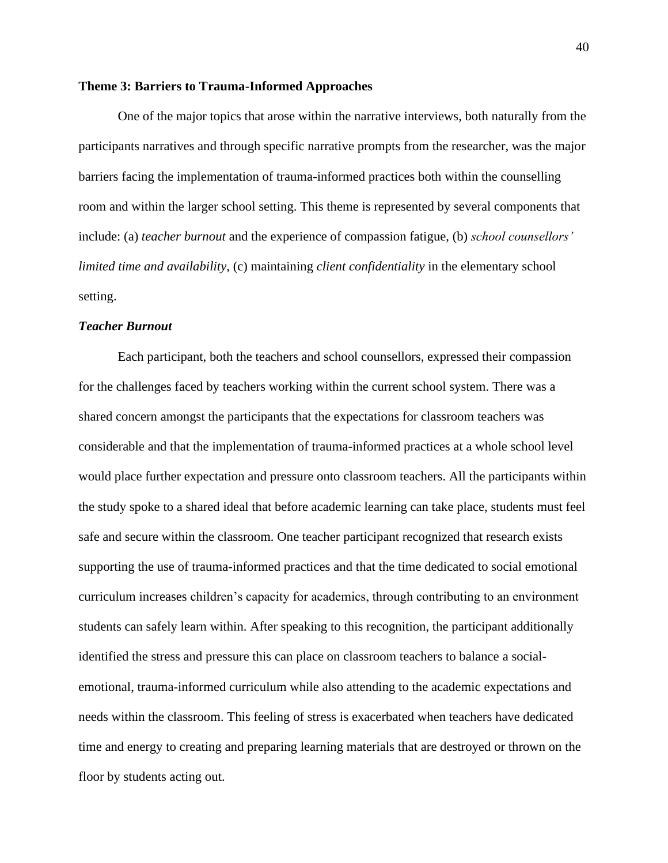#### **Theme 3: Barriers to Trauma-Informed Approaches**

One of the major topics that arose within the narrative interviews, both naturally from the participants narratives and through specific narrative prompts from the researcher, was the major barriers facing the implementation of trauma-informed practices both within the counselling room and within the larger school setting. This theme is represented by several components that include: (a) *teacher burnout* and the experience of compassion fatigue, (b) *school counsellors' limited time and availability,* (c) maintaining *client confidentiality* in the elementary school setting.

# *Teacher Burnout*

 Each participant, both the teachers and school counsellors, expressed their compassion for the challenges faced by teachers working within the current school system. There was a shared concern amongst the participants that the expectations for classroom teachers was considerable and that the implementation of trauma-informed practices at a whole school level would place further expectation and pressure onto classroom teachers. All the participants within the study spoke to a shared ideal that before academic learning can take place, students must feel safe and secure within the classroom. One teacher participant recognized that research exists supporting the use of trauma-informed practices and that the time dedicated to social emotional curriculum increases children's capacity for academics, through contributing to an environment students can safely learn within. After speaking to this recognition, the participant additionally identified the stress and pressure this can place on classroom teachers to balance a socialemotional, trauma-informed curriculum while also attending to the academic expectations and needs within the classroom. This feeling of stress is exacerbated when teachers have dedicated time and energy to creating and preparing learning materials that are destroyed or thrown on the floor by students acting out.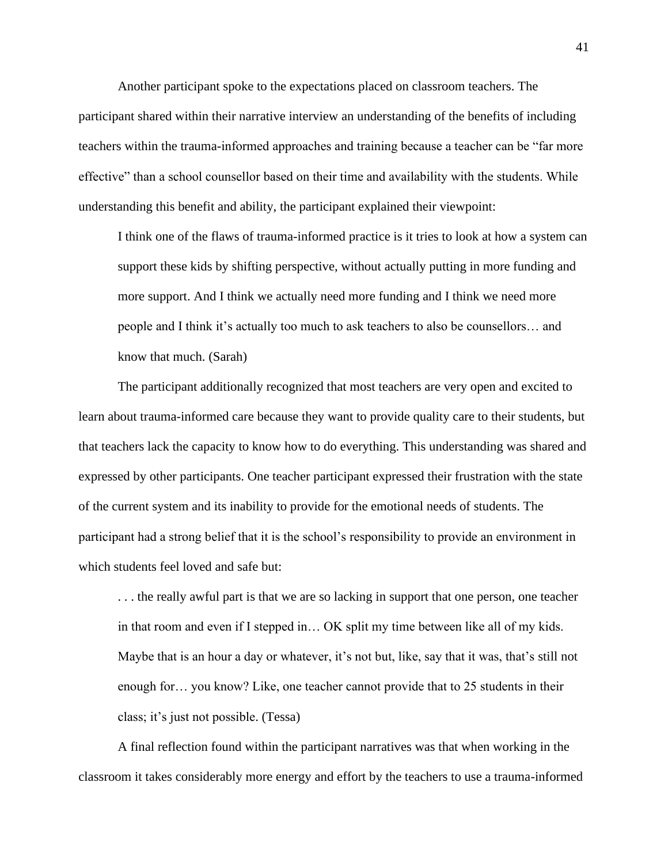Another participant spoke to the expectations placed on classroom teachers. The participant shared within their narrative interview an understanding of the benefits of including teachers within the trauma-informed approaches and training because a teacher can be "far more effective" than a school counsellor based on their time and availability with the students. While understanding this benefit and ability, the participant explained their viewpoint:

I think one of the flaws of trauma-informed practice is it tries to look at how a system can support these kids by shifting perspective, without actually putting in more funding and more support. And I think we actually need more funding and I think we need more people and I think it's actually too much to ask teachers to also be counsellors… and know that much. (Sarah)

 The participant additionally recognized that most teachers are very open and excited to learn about trauma-informed care because they want to provide quality care to their students, but that teachers lack the capacity to know how to do everything. This understanding was shared and expressed by other participants. One teacher participant expressed their frustration with the state of the current system and its inability to provide for the emotional needs of students. The participant had a strong belief that it is the school's responsibility to provide an environment in which students feel loved and safe but:

. . . the really awful part is that we are so lacking in support that one person, one teacher in that room and even if I stepped in… OK split my time between like all of my kids. Maybe that is an hour a day or whatever, it's not but, like, say that it was, that's still not enough for… you know? Like, one teacher cannot provide that to 25 students in their class; it's just not possible. (Tessa)

A final reflection found within the participant narratives was that when working in the classroom it takes considerably more energy and effort by the teachers to use a trauma-informed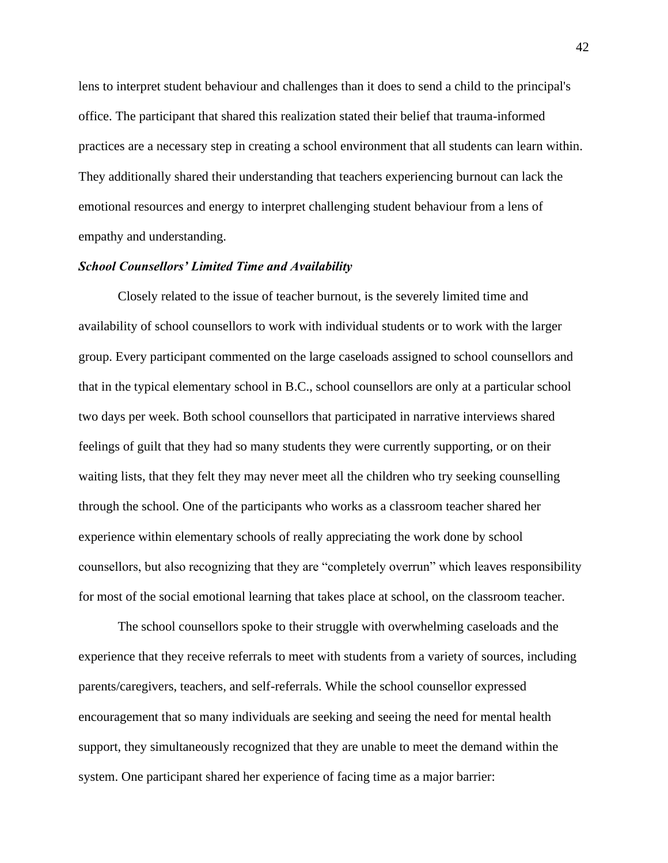lens to interpret student behaviour and challenges than it does to send a child to the principal's office. The participant that shared this realization stated their belief that trauma-informed practices are a necessary step in creating a school environment that all students can learn within. They additionally shared their understanding that teachers experiencing burnout can lack the emotional resources and energy to interpret challenging student behaviour from a lens of empathy and understanding.

### *School Counsellors' Limited Time and Availability*

Closely related to the issue of teacher burnout, is the severely limited time and availability of school counsellors to work with individual students or to work with the larger group. Every participant commented on the large caseloads assigned to school counsellors and that in the typical elementary school in B.C., school counsellors are only at a particular school two days per week. Both school counsellors that participated in narrative interviews shared feelings of guilt that they had so many students they were currently supporting, or on their waiting lists, that they felt they may never meet all the children who try seeking counselling through the school. One of the participants who works as a classroom teacher shared her experience within elementary schools of really appreciating the work done by school counsellors, but also recognizing that they are "completely overrun" which leaves responsibility for most of the social emotional learning that takes place at school, on the classroom teacher.

 The school counsellors spoke to their struggle with overwhelming caseloads and the experience that they receive referrals to meet with students from a variety of sources, including parents/caregivers, teachers, and self-referrals. While the school counsellor expressed encouragement that so many individuals are seeking and seeing the need for mental health support, they simultaneously recognized that they are unable to meet the demand within the system. One participant shared her experience of facing time as a major barrier: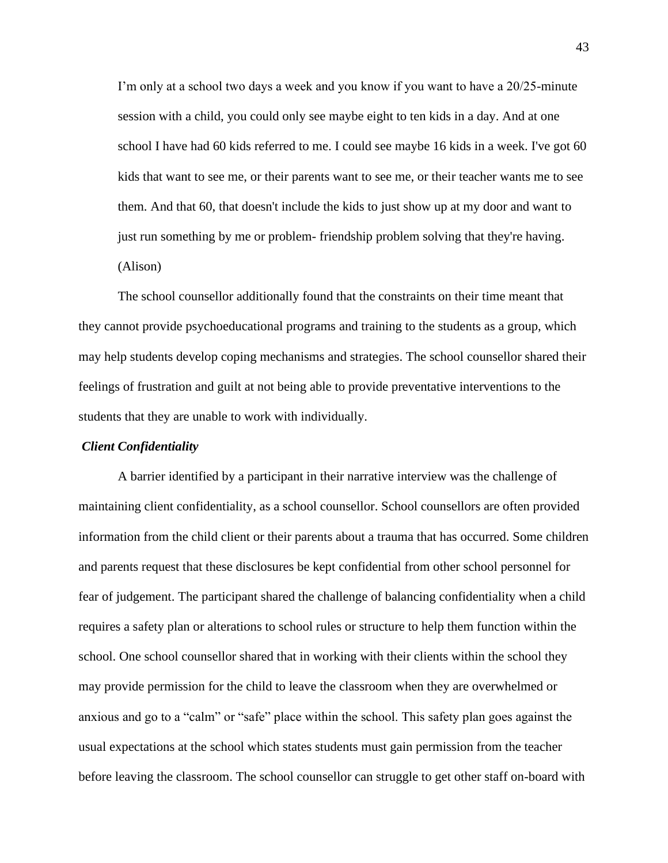I'm only at a school two days a week and you know if you want to have a 20/25-minute session with a child, you could only see maybe eight to ten kids in a day. And at one school I have had 60 kids referred to me. I could see maybe 16 kids in a week. I've got 60 kids that want to see me, or their parents want to see me, or their teacher wants me to see them. And that 60, that doesn't include the kids to just show up at my door and want to just run something by me or problem- friendship problem solving that they're having. (Alison)

 The school counsellor additionally found that the constraints on their time meant that they cannot provide psychoeducational programs and training to the students as a group, which may help students develop coping mechanisms and strategies. The school counsellor shared their feelings of frustration and guilt at not being able to provide preventative interventions to the students that they are unable to work with individually.

### *Client Confidentiality*

 A barrier identified by a participant in their narrative interview was the challenge of maintaining client confidentiality, as a school counsellor. School counsellors are often provided information from the child client or their parents about a trauma that has occurred. Some children and parents request that these disclosures be kept confidential from other school personnel for fear of judgement. The participant shared the challenge of balancing confidentiality when a child requires a safety plan or alterations to school rules or structure to help them function within the school. One school counsellor shared that in working with their clients within the school they may provide permission for the child to leave the classroom when they are overwhelmed or anxious and go to a "calm" or "safe" place within the school. This safety plan goes against the usual expectations at the school which states students must gain permission from the teacher before leaving the classroom. The school counsellor can struggle to get other staff on-board with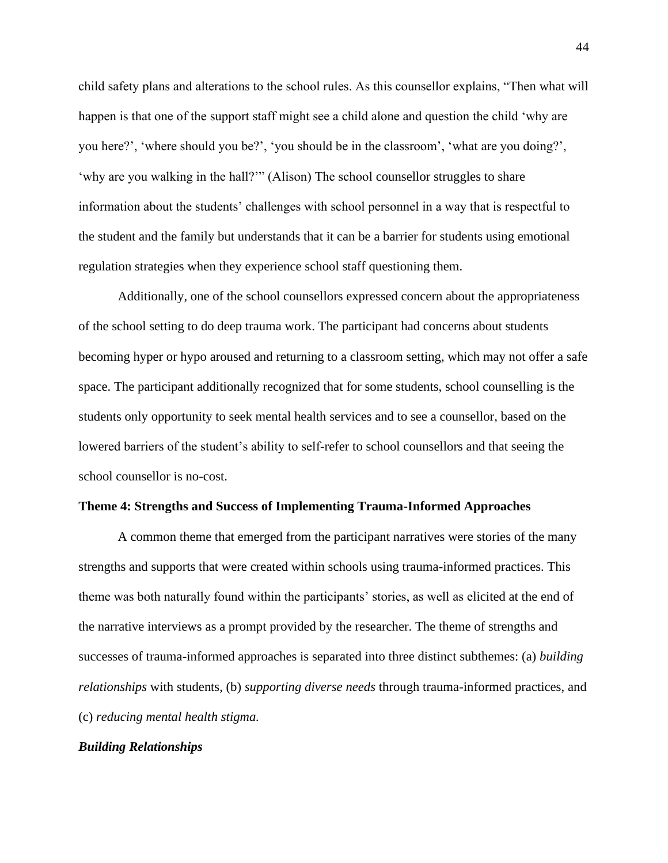child safety plans and alterations to the school rules. As this counsellor explains, "Then what will happen is that one of the support staff might see a child alone and question the child 'why are you here?', 'where should you be?', 'you should be in the classroom', 'what are you doing?', 'why are you walking in the hall?'" (Alison) The school counsellor struggles to share information about the students' challenges with school personnel in a way that is respectful to the student and the family but understands that it can be a barrier for students using emotional regulation strategies when they experience school staff questioning them.

Additionally, one of the school counsellors expressed concern about the appropriateness of the school setting to do deep trauma work. The participant had concerns about students becoming hyper or hypo aroused and returning to a classroom setting, which may not offer a safe space. The participant additionally recognized that for some students, school counselling is the students only opportunity to seek mental health services and to see a counsellor, based on the lowered barriers of the student's ability to self-refer to school counsellors and that seeing the school counsellor is no-cost.

#### **Theme 4: Strengths and Success of Implementing Trauma-Informed Approaches**

A common theme that emerged from the participant narratives were stories of the many strengths and supports that were created within schools using trauma-informed practices. This theme was both naturally found within the participants' stories, as well as elicited at the end of the narrative interviews as a prompt provided by the researcher. The theme of strengths and successes of trauma-informed approaches is separated into three distinct subthemes: (a) *building relationships* with students, (b) *supporting diverse needs* through trauma-informed practices, and (c) *reducing mental health stigma.*

#### *Building Relationships*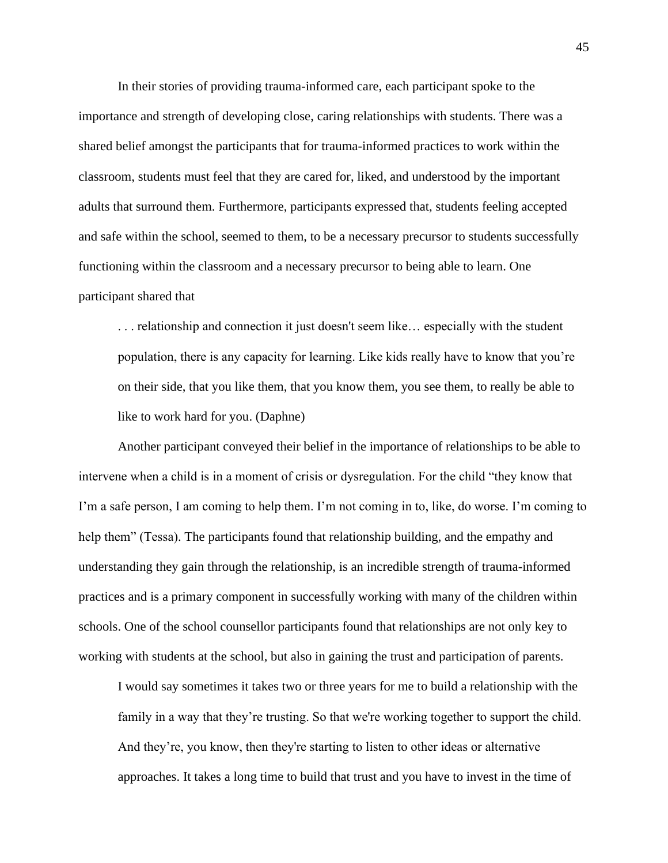In their stories of providing trauma-informed care, each participant spoke to the importance and strength of developing close, caring relationships with students. There was a shared belief amongst the participants that for trauma-informed practices to work within the classroom, students must feel that they are cared for, liked, and understood by the important adults that surround them. Furthermore, participants expressed that, students feeling accepted and safe within the school, seemed to them, to be a necessary precursor to students successfully functioning within the classroom and a necessary precursor to being able to learn. One participant shared that

. . . relationship and connection it just doesn't seem like… especially with the student population, there is any capacity for learning. Like kids really have to know that you're on their side, that you like them, that you know them, you see them, to really be able to like to work hard for you. (Daphne)

Another participant conveyed their belief in the importance of relationships to be able to intervene when a child is in a moment of crisis or dysregulation. For the child "they know that I'm a safe person, I am coming to help them. I'm not coming in to, like, do worse. I'm coming to help them" (Tessa). The participants found that relationship building, and the empathy and understanding they gain through the relationship, is an incredible strength of trauma-informed practices and is a primary component in successfully working with many of the children within schools. One of the school counsellor participants found that relationships are not only key to working with students at the school, but also in gaining the trust and participation of parents.

I would say sometimes it takes two or three years for me to build a relationship with the family in a way that they're trusting. So that we're working together to support the child. And they're, you know, then they're starting to listen to other ideas or alternative approaches. It takes a long time to build that trust and you have to invest in the time of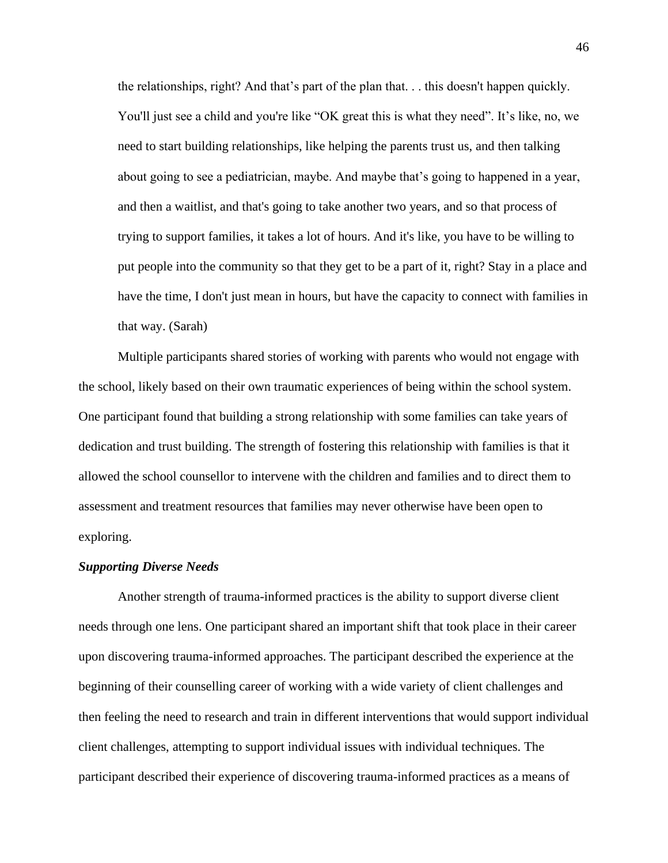the relationships, right? And that's part of the plan that. . . this doesn't happen quickly. You'll just see a child and you're like "OK great this is what they need". It's like, no, we need to start building relationships, like helping the parents trust us, and then talking about going to see a pediatrician, maybe. And maybe that's going to happened in a year, and then a waitlist, and that's going to take another two years, and so that process of trying to support families, it takes a lot of hours. And it's like, you have to be willing to put people into the community so that they get to be a part of it, right? Stay in a place and have the time, I don't just mean in hours, but have the capacity to connect with families in that way. (Sarah)

Multiple participants shared stories of working with parents who would not engage with the school, likely based on their own traumatic experiences of being within the school system. One participant found that building a strong relationship with some families can take years of dedication and trust building. The strength of fostering this relationship with families is that it allowed the school counsellor to intervene with the children and families and to direct them to assessment and treatment resources that families may never otherwise have been open to exploring.

#### *Supporting Diverse Needs*

Another strength of trauma-informed practices is the ability to support diverse client needs through one lens. One participant shared an important shift that took place in their career upon discovering trauma-informed approaches. The participant described the experience at the beginning of their counselling career of working with a wide variety of client challenges and then feeling the need to research and train in different interventions that would support individual client challenges, attempting to support individual issues with individual techniques. The participant described their experience of discovering trauma-informed practices as a means of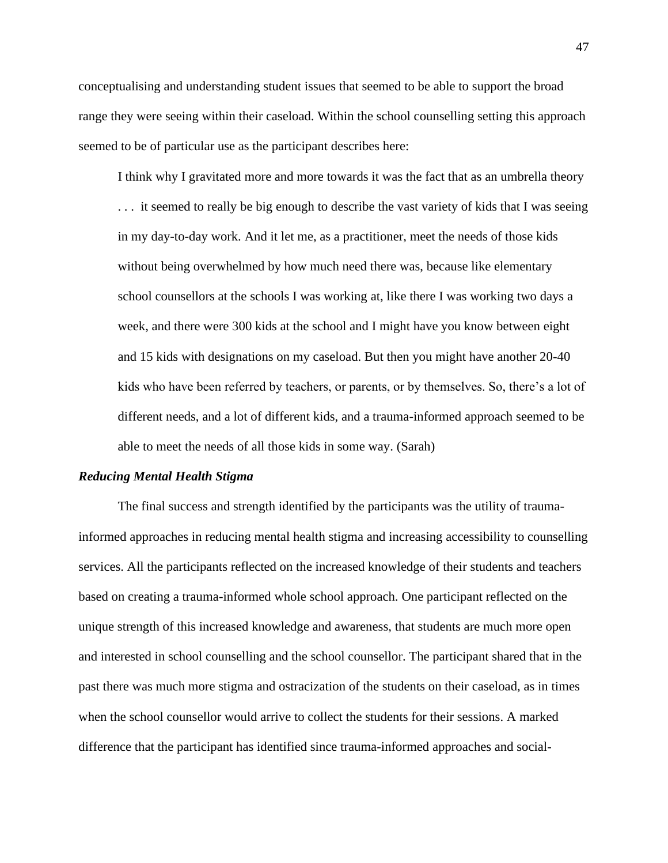conceptualising and understanding student issues that seemed to be able to support the broad range they were seeing within their caseload. Within the school counselling setting this approach seemed to be of particular use as the participant describes here:

I think why I gravitated more and more towards it was the fact that as an umbrella theory . . . it seemed to really be big enough to describe the vast variety of kids that I was seeing in my day-to-day work. And it let me, as a practitioner, meet the needs of those kids without being overwhelmed by how much need there was, because like elementary school counsellors at the schools I was working at, like there I was working two days a week, and there were 300 kids at the school and I might have you know between eight and 15 kids with designations on my caseload. But then you might have another 20-40 kids who have been referred by teachers, or parents, or by themselves. So, there's a lot of different needs, and a lot of different kids, and a trauma-informed approach seemed to be able to meet the needs of all those kids in some way. (Sarah)

#### *Reducing Mental Health Stigma*

The final success and strength identified by the participants was the utility of traumainformed approaches in reducing mental health stigma and increasing accessibility to counselling services. All the participants reflected on the increased knowledge of their students and teachers based on creating a trauma-informed whole school approach. One participant reflected on the unique strength of this increased knowledge and awareness, that students are much more open and interested in school counselling and the school counsellor. The participant shared that in the past there was much more stigma and ostracization of the students on their caseload, as in times when the school counsellor would arrive to collect the students for their sessions. A marked difference that the participant has identified since trauma-informed approaches and social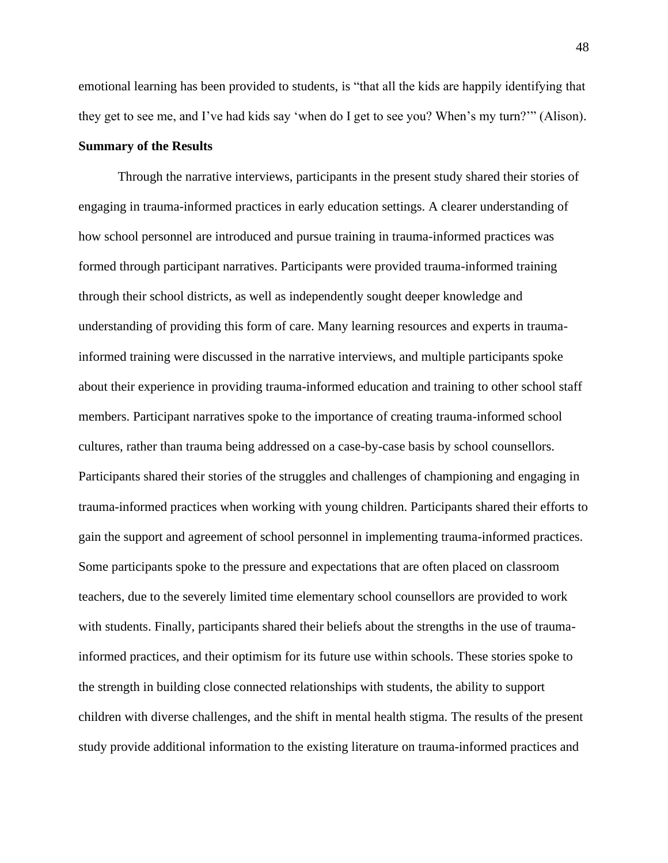emotional learning has been provided to students, is "that all the kids are happily identifying that they get to see me, and I've had kids say 'when do I get to see you? When's my turn?'" (Alison).

# **Summary of the Results**

 Through the narrative interviews, participants in the present study shared their stories of engaging in trauma-informed practices in early education settings. A clearer understanding of how school personnel are introduced and pursue training in trauma-informed practices was formed through participant narratives. Participants were provided trauma-informed training through their school districts, as well as independently sought deeper knowledge and understanding of providing this form of care. Many learning resources and experts in traumainformed training were discussed in the narrative interviews, and multiple participants spoke about their experience in providing trauma-informed education and training to other school staff members. Participant narratives spoke to the importance of creating trauma-informed school cultures, rather than trauma being addressed on a case-by-case basis by school counsellors. Participants shared their stories of the struggles and challenges of championing and engaging in trauma-informed practices when working with young children. Participants shared their efforts to gain the support and agreement of school personnel in implementing trauma-informed practices. Some participants spoke to the pressure and expectations that are often placed on classroom teachers, due to the severely limited time elementary school counsellors are provided to work with students. Finally, participants shared their beliefs about the strengths in the use of traumainformed practices, and their optimism for its future use within schools. These stories spoke to the strength in building close connected relationships with students, the ability to support children with diverse challenges, and the shift in mental health stigma. The results of the present study provide additional information to the existing literature on trauma-informed practices and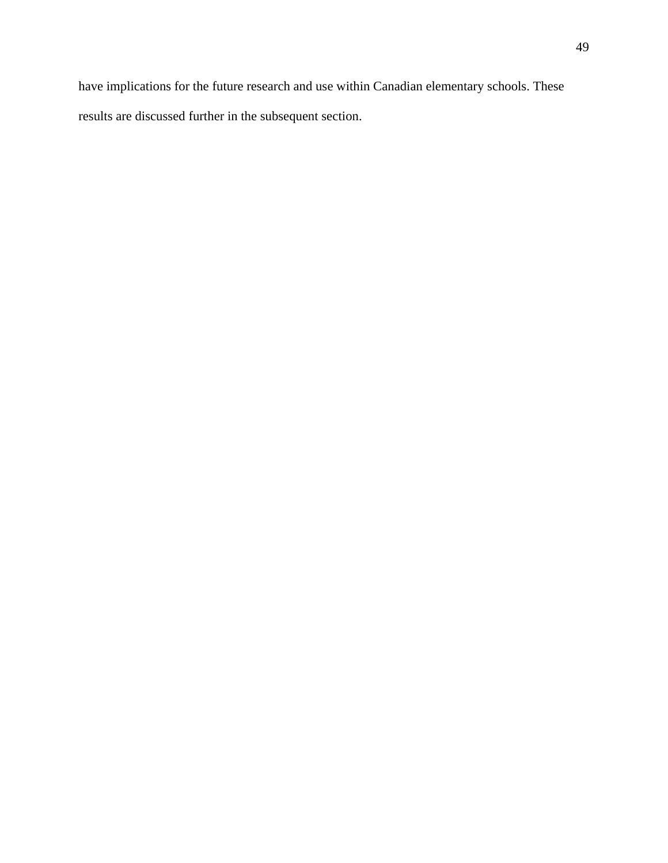have implications for the future research and use within Canadian elementary schools. These results are discussed further in the subsequent section.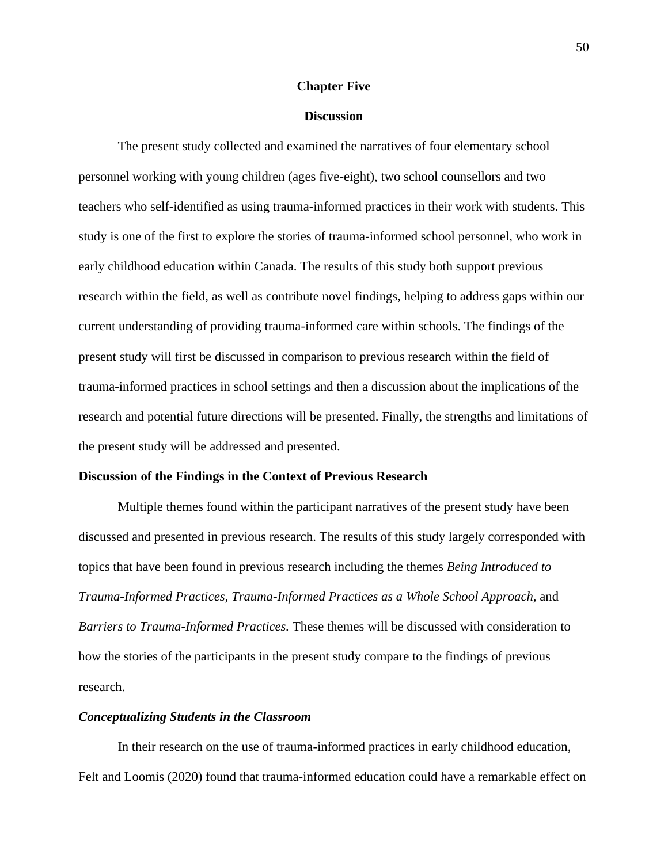#### **Chapter Five**

## **Discussion**

The present study collected and examined the narratives of four elementary school personnel working with young children (ages five-eight), two school counsellors and two teachers who self-identified as using trauma-informed practices in their work with students. This study is one of the first to explore the stories of trauma-informed school personnel, who work in early childhood education within Canada. The results of this study both support previous research within the field, as well as contribute novel findings, helping to address gaps within our current understanding of providing trauma-informed care within schools. The findings of the present study will first be discussed in comparison to previous research within the field of trauma-informed practices in school settings and then a discussion about the implications of the research and potential future directions will be presented. Finally, the strengths and limitations of the present study will be addressed and presented.

## **Discussion of the Findings in the Context of Previous Research**

 Multiple themes found within the participant narratives of the present study have been discussed and presented in previous research. The results of this study largely corresponded with topics that have been found in previous research including the themes *Being Introduced to Trauma-Informed Practices, Trauma-Informed Practices as a Whole School Approach,* and *Barriers to Trauma-Informed Practices.* These themes will be discussed with consideration to how the stories of the participants in the present study compare to the findings of previous research.

#### *Conceptualizing Students in the Classroom*

In their research on the use of trauma-informed practices in early childhood education, Felt and Loomis (2020) found that trauma-informed education could have a remarkable effect on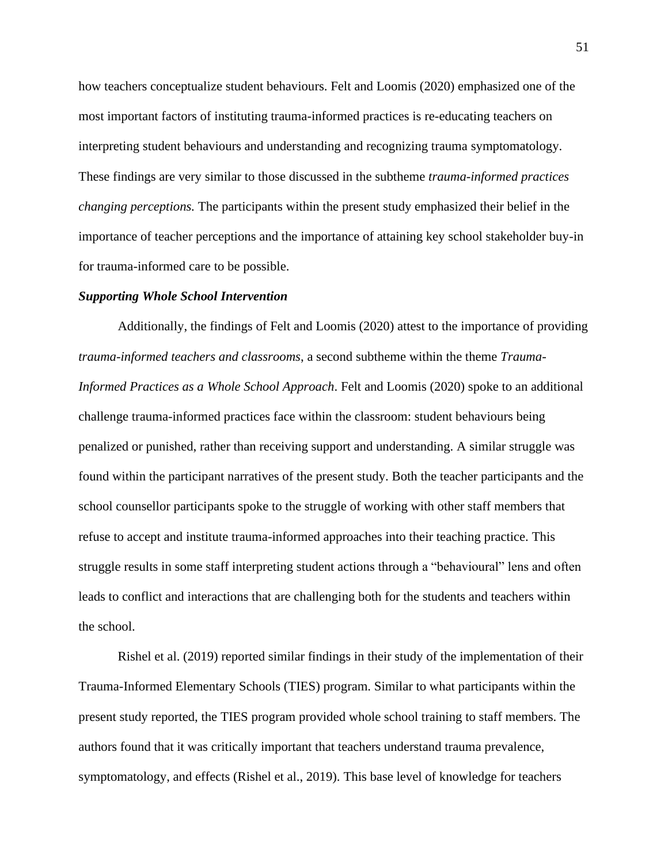how teachers conceptualize student behaviours. Felt and Loomis (2020) emphasized one of the most important factors of instituting trauma-informed practices is re-educating teachers on interpreting student behaviours and understanding and recognizing trauma symptomatology. These findings are very similar to those discussed in the subtheme *trauma-informed practices changing perceptions.* The participants within the present study emphasized their belief in the importance of teacher perceptions and the importance of attaining key school stakeholder buy-in for trauma-informed care to be possible.

#### *Supporting Whole School Intervention*

Additionally, the findings of Felt and Loomis (2020) attest to the importance of providing *trauma-informed teachers and classrooms*, a second subtheme within the theme *Trauma-Informed Practices as a Whole School Approach*. Felt and Loomis (2020) spoke to an additional challenge trauma-informed practices face within the classroom: student behaviours being penalized or punished, rather than receiving support and understanding. A similar struggle was found within the participant narratives of the present study. Both the teacher participants and the school counsellor participants spoke to the struggle of working with other staff members that refuse to accept and institute trauma-informed approaches into their teaching practice. This struggle results in some staff interpreting student actions through a "behavioural" lens and often leads to conflict and interactions that are challenging both for the students and teachers within the school.

 Rishel et al. (2019) reported similar findings in their study of the implementation of their Trauma-Informed Elementary Schools (TIES) program. Similar to what participants within the present study reported, the TIES program provided whole school training to staff members. The authors found that it was critically important that teachers understand trauma prevalence, symptomatology, and effects (Rishel et al., 2019). This base level of knowledge for teachers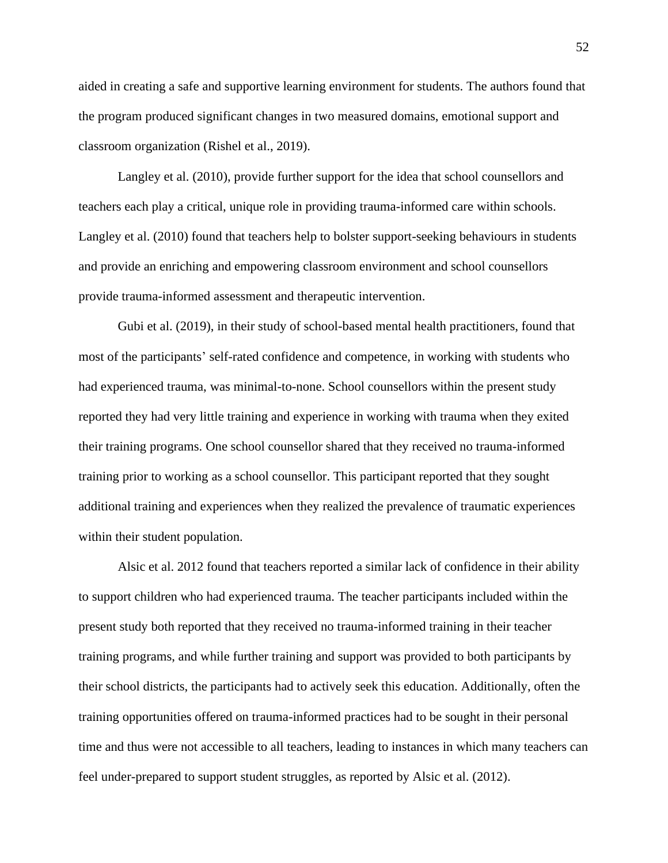aided in creating a safe and supportive learning environment for students. The authors found that the program produced significant changes in two measured domains, emotional support and classroom organization (Rishel et al., 2019).

 Langley et al. (2010), provide further support for the idea that school counsellors and teachers each play a critical, unique role in providing trauma-informed care within schools. Langley et al. (2010) found that teachers help to bolster support-seeking behaviours in students and provide an enriching and empowering classroom environment and school counsellors provide trauma-informed assessment and therapeutic intervention.

Gubi et al. (2019), in their study of school-based mental health practitioners, found that most of the participants' self-rated confidence and competence, in working with students who had experienced trauma, was minimal-to-none. School counsellors within the present study reported they had very little training and experience in working with trauma when they exited their training programs. One school counsellor shared that they received no trauma-informed training prior to working as a school counsellor. This participant reported that they sought additional training and experiences when they realized the prevalence of traumatic experiences within their student population.

Alsic et al. 2012 found that teachers reported a similar lack of confidence in their ability to support children who had experienced trauma. The teacher participants included within the present study both reported that they received no trauma-informed training in their teacher training programs, and while further training and support was provided to both participants by their school districts, the participants had to actively seek this education. Additionally, often the training opportunities offered on trauma-informed practices had to be sought in their personal time and thus were not accessible to all teachers, leading to instances in which many teachers can feel under-prepared to support student struggles, as reported by Alsic et al. (2012).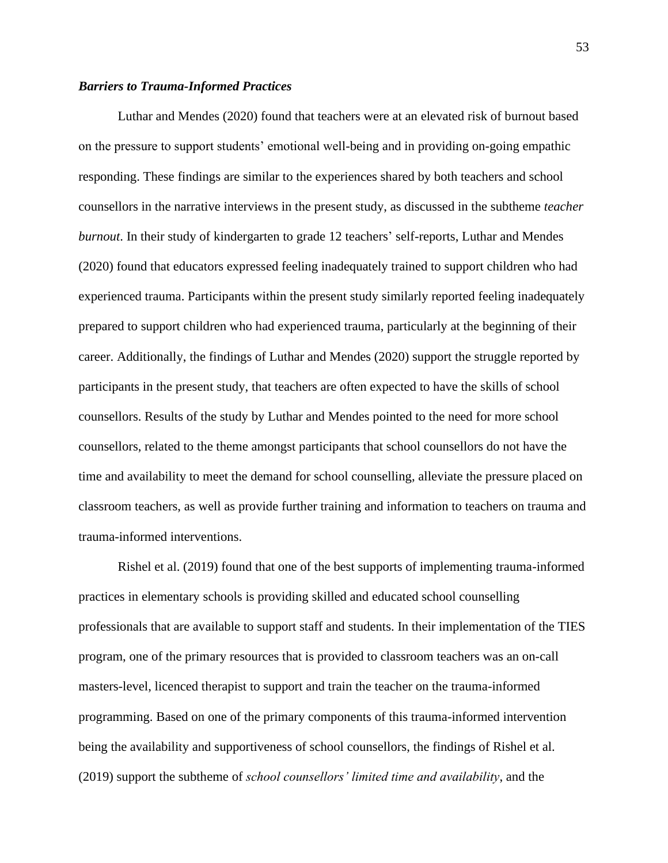### *Barriers to Trauma-Informed Practices*

Luthar and Mendes (2020) found that teachers were at an elevated risk of burnout based on the pressure to support students' emotional well-being and in providing on-going empathic responding. These findings are similar to the experiences shared by both teachers and school counsellors in the narrative interviews in the present study, as discussed in the subtheme *teacher burnout*. In their study of kindergarten to grade 12 teachers' self-reports, Luthar and Mendes (2020) found that educators expressed feeling inadequately trained to support children who had experienced trauma. Participants within the present study similarly reported feeling inadequately prepared to support children who had experienced trauma, particularly at the beginning of their career. Additionally, the findings of Luthar and Mendes (2020) support the struggle reported by participants in the present study, that teachers are often expected to have the skills of school counsellors. Results of the study by Luthar and Mendes pointed to the need for more school counsellors, related to the theme amongst participants that school counsellors do not have the time and availability to meet the demand for school counselling, alleviate the pressure placed on classroom teachers, as well as provide further training and information to teachers on trauma and trauma-informed interventions.

Rishel et al. (2019) found that one of the best supports of implementing trauma-informed practices in elementary schools is providing skilled and educated school counselling professionals that are available to support staff and students. In their implementation of the TIES program, one of the primary resources that is provided to classroom teachers was an on-call masters-level, licenced therapist to support and train the teacher on the trauma-informed programming. Based on one of the primary components of this trauma-informed intervention being the availability and supportiveness of school counsellors, the findings of Rishel et al. (2019) support the subtheme of *school counsellors' limited time and availability*, and the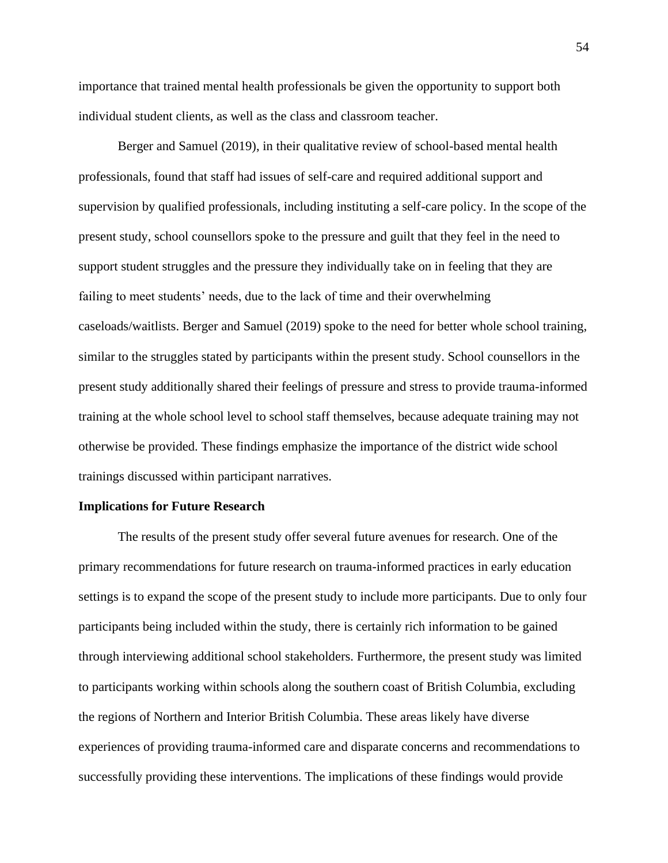importance that trained mental health professionals be given the opportunity to support both individual student clients, as well as the class and classroom teacher.

Berger and Samuel (2019), in their qualitative review of school-based mental health professionals, found that staff had issues of self-care and required additional support and supervision by qualified professionals, including instituting a self-care policy. In the scope of the present study, school counsellors spoke to the pressure and guilt that they feel in the need to support student struggles and the pressure they individually take on in feeling that they are failing to meet students' needs, due to the lack of time and their overwhelming caseloads/waitlists. Berger and Samuel (2019) spoke to the need for better whole school training, similar to the struggles stated by participants within the present study. School counsellors in the present study additionally shared their feelings of pressure and stress to provide trauma-informed training at the whole school level to school staff themselves, because adequate training may not otherwise be provided. These findings emphasize the importance of the district wide school trainings discussed within participant narratives.

#### **Implications for Future Research**

 The results of the present study offer several future avenues for research. One of the primary recommendations for future research on trauma-informed practices in early education settings is to expand the scope of the present study to include more participants. Due to only four participants being included within the study, there is certainly rich information to be gained through interviewing additional school stakeholders. Furthermore, the present study was limited to participants working within schools along the southern coast of British Columbia, excluding the regions of Northern and Interior British Columbia. These areas likely have diverse experiences of providing trauma-informed care and disparate concerns and recommendations to successfully providing these interventions. The implications of these findings would provide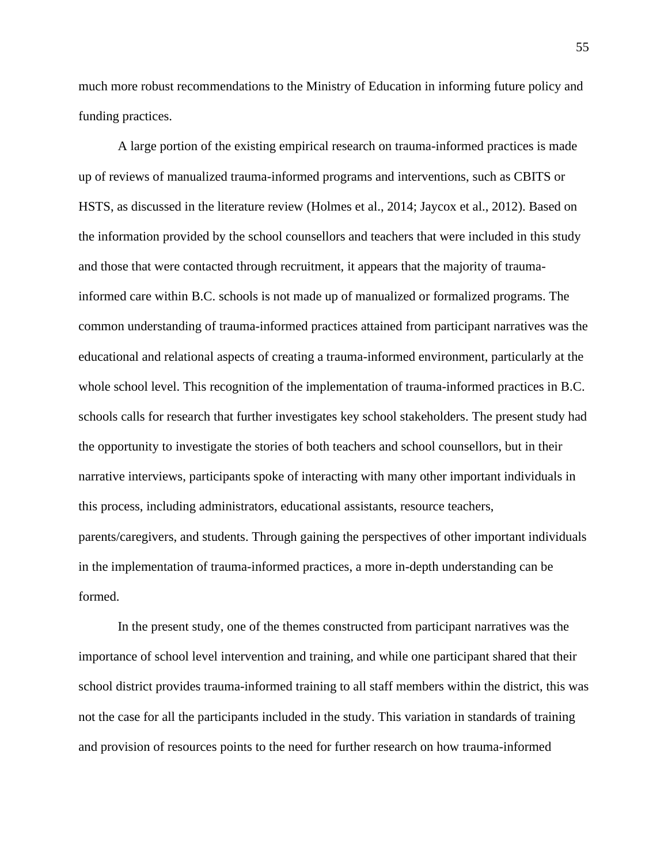much more robust recommendations to the Ministry of Education in informing future policy and funding practices.

 A large portion of the existing empirical research on trauma-informed practices is made up of reviews of manualized trauma-informed programs and interventions, such as CBITS or HSTS, as discussed in the literature review (Holmes et al., 2014; Jaycox et al., 2012). Based on the information provided by the school counsellors and teachers that were included in this study and those that were contacted through recruitment, it appears that the majority of traumainformed care within B.C. schools is not made up of manualized or formalized programs. The common understanding of trauma-informed practices attained from participant narratives was the educational and relational aspects of creating a trauma-informed environment, particularly at the whole school level. This recognition of the implementation of trauma-informed practices in B.C. schools calls for research that further investigates key school stakeholders. The present study had the opportunity to investigate the stories of both teachers and school counsellors, but in their narrative interviews, participants spoke of interacting with many other important individuals in this process, including administrators, educational assistants, resource teachers, parents/caregivers, and students. Through gaining the perspectives of other important individuals in the implementation of trauma-informed practices, a more in-depth understanding can be formed.

 In the present study, one of the themes constructed from participant narratives was the importance of school level intervention and training, and while one participant shared that their school district provides trauma-informed training to all staff members within the district, this was not the case for all the participants included in the study. This variation in standards of training and provision of resources points to the need for further research on how trauma-informed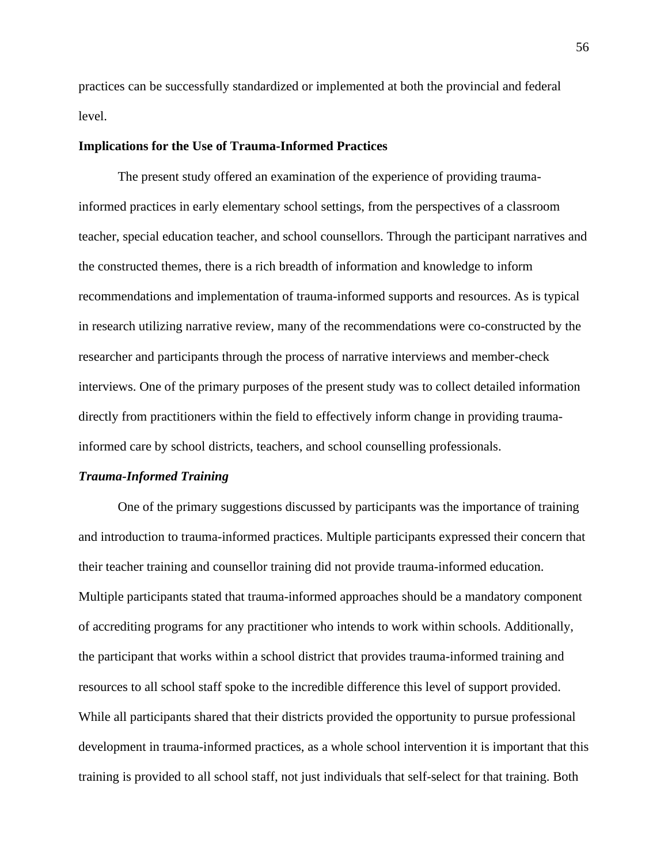practices can be successfully standardized or implemented at both the provincial and federal level.

### **Implications for the Use of Trauma-Informed Practices**

The present study offered an examination of the experience of providing traumainformed practices in early elementary school settings, from the perspectives of a classroom teacher, special education teacher, and school counsellors. Through the participant narratives and the constructed themes, there is a rich breadth of information and knowledge to inform recommendations and implementation of trauma-informed supports and resources. As is typical in research utilizing narrative review, many of the recommendations were co-constructed by the researcher and participants through the process of narrative interviews and member-check interviews. One of the primary purposes of the present study was to collect detailed information directly from practitioners within the field to effectively inform change in providing traumainformed care by school districts, teachers, and school counselling professionals.

## *Trauma-Informed Training*

One of the primary suggestions discussed by participants was the importance of training and introduction to trauma-informed practices. Multiple participants expressed their concern that their teacher training and counsellor training did not provide trauma-informed education. Multiple participants stated that trauma-informed approaches should be a mandatory component of accrediting programs for any practitioner who intends to work within schools. Additionally, the participant that works within a school district that provides trauma-informed training and resources to all school staff spoke to the incredible difference this level of support provided. While all participants shared that their districts provided the opportunity to pursue professional development in trauma-informed practices, as a whole school intervention it is important that this training is provided to all school staff, not just individuals that self-select for that training. Both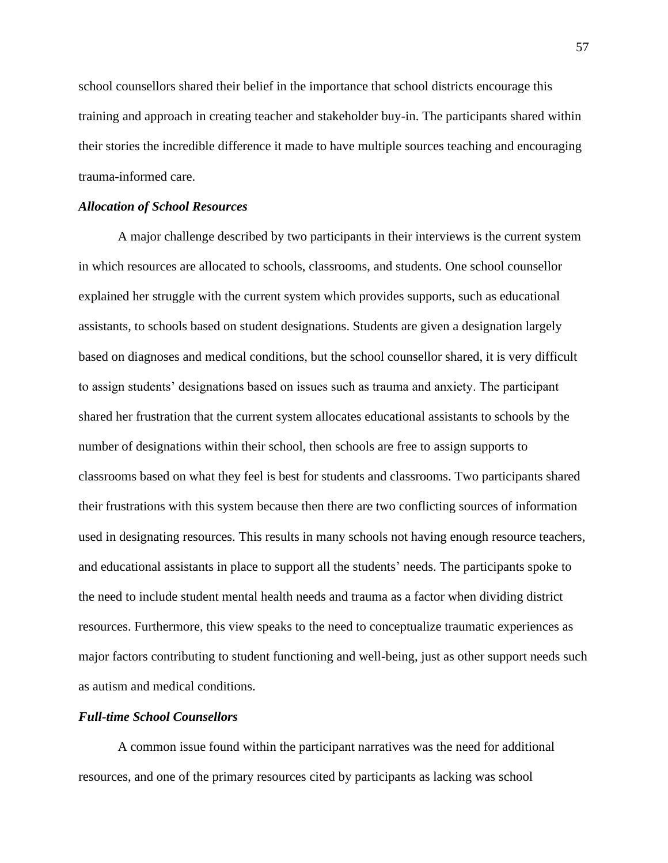school counsellors shared their belief in the importance that school districts encourage this training and approach in creating teacher and stakeholder buy-in. The participants shared within their stories the incredible difference it made to have multiple sources teaching and encouraging trauma-informed care.

### *Allocation of School Resources*

 A major challenge described by two participants in their interviews is the current system in which resources are allocated to schools, classrooms, and students. One school counsellor explained her struggle with the current system which provides supports, such as educational assistants, to schools based on student designations. Students are given a designation largely based on diagnoses and medical conditions, but the school counsellor shared, it is very difficult to assign students' designations based on issues such as trauma and anxiety. The participant shared her frustration that the current system allocates educational assistants to schools by the number of designations within their school, then schools are free to assign supports to classrooms based on what they feel is best for students and classrooms. Two participants shared their frustrations with this system because then there are two conflicting sources of information used in designating resources. This results in many schools not having enough resource teachers, and educational assistants in place to support all the students' needs. The participants spoke to the need to include student mental health needs and trauma as a factor when dividing district resources. Furthermore, this view speaks to the need to conceptualize traumatic experiences as major factors contributing to student functioning and well-being, just as other support needs such as autism and medical conditions.

# *Full-time School Counsellors*

 A common issue found within the participant narratives was the need for additional resources, and one of the primary resources cited by participants as lacking was school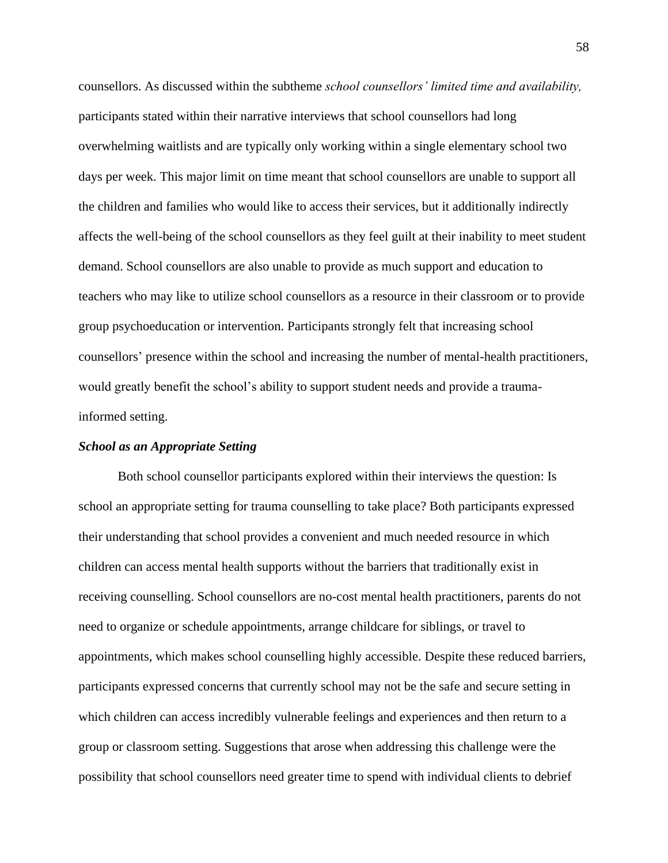counsellors. As discussed within the subtheme *school counsellors' limited time and availability,*  participants stated within their narrative interviews that school counsellors had long overwhelming waitlists and are typically only working within a single elementary school two days per week. This major limit on time meant that school counsellors are unable to support all the children and families who would like to access their services, but it additionally indirectly affects the well-being of the school counsellors as they feel guilt at their inability to meet student demand. School counsellors are also unable to provide as much support and education to teachers who may like to utilize school counsellors as a resource in their classroom or to provide group psychoeducation or intervention. Participants strongly felt that increasing school counsellors' presence within the school and increasing the number of mental-health practitioners, would greatly benefit the school's ability to support student needs and provide a traumainformed setting.

### *School as an Appropriate Setting*

 Both school counsellor participants explored within their interviews the question: Is school an appropriate setting for trauma counselling to take place? Both participants expressed their understanding that school provides a convenient and much needed resource in which children can access mental health supports without the barriers that traditionally exist in receiving counselling. School counsellors are no-cost mental health practitioners, parents do not need to organize or schedule appointments, arrange childcare for siblings, or travel to appointments, which makes school counselling highly accessible. Despite these reduced barriers, participants expressed concerns that currently school may not be the safe and secure setting in which children can access incredibly vulnerable feelings and experiences and then return to a group or classroom setting. Suggestions that arose when addressing this challenge were the possibility that school counsellors need greater time to spend with individual clients to debrief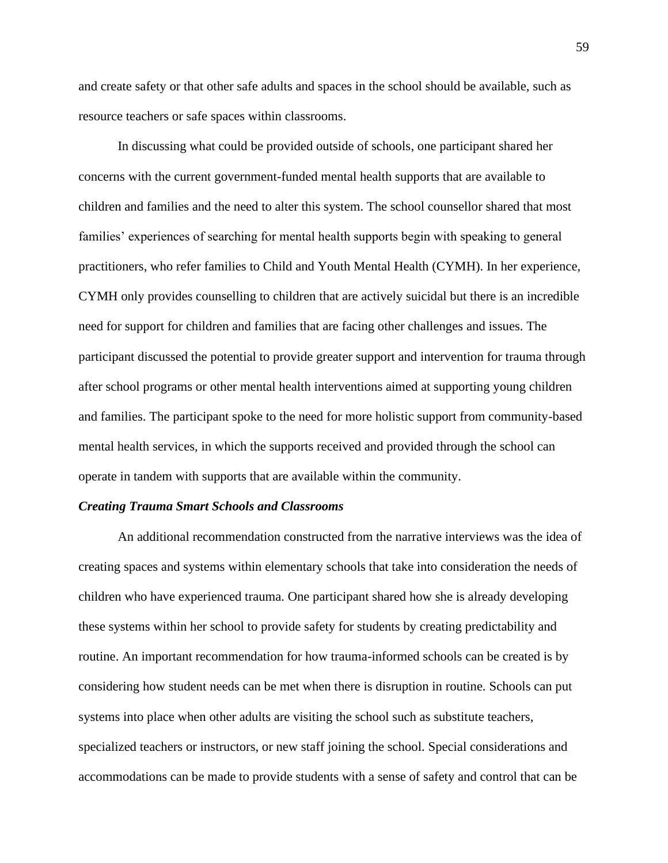and create safety or that other safe adults and spaces in the school should be available, such as resource teachers or safe spaces within classrooms.

In discussing what could be provided outside of schools, one participant shared her concerns with the current government-funded mental health supports that are available to children and families and the need to alter this system. The school counsellor shared that most families' experiences of searching for mental health supports begin with speaking to general practitioners, who refer families to Child and Youth Mental Health (CYMH). In her experience, CYMH only provides counselling to children that are actively suicidal but there is an incredible need for support for children and families that are facing other challenges and issues. The participant discussed the potential to provide greater support and intervention for trauma through after school programs or other mental health interventions aimed at supporting young children and families. The participant spoke to the need for more holistic support from community-based mental health services, in which the supports received and provided through the school can operate in tandem with supports that are available within the community.

#### *Creating Trauma Smart Schools and Classrooms*

 An additional recommendation constructed from the narrative interviews was the idea of creating spaces and systems within elementary schools that take into consideration the needs of children who have experienced trauma. One participant shared how she is already developing these systems within her school to provide safety for students by creating predictability and routine. An important recommendation for how trauma-informed schools can be created is by considering how student needs can be met when there is disruption in routine*.* Schools can put systems into place when other adults are visiting the school such as substitute teachers, specialized teachers or instructors, or new staff joining the school. Special considerations and accommodations can be made to provide students with a sense of safety and control that can be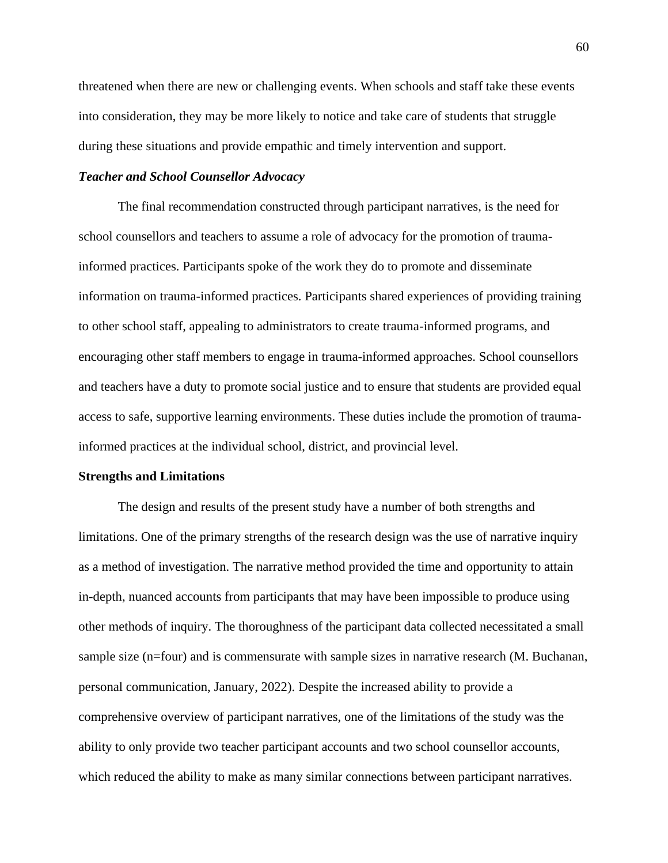threatened when there are new or challenging events. When schools and staff take these events into consideration, they may be more likely to notice and take care of students that struggle during these situations and provide empathic and timely intervention and support.

## *Teacher and School Counsellor Advocacy*

The final recommendation constructed through participant narratives, is the need for school counsellors and teachers to assume a role of advocacy for the promotion of traumainformed practices. Participants spoke of the work they do to promote and disseminate information on trauma-informed practices. Participants shared experiences of providing training to other school staff, appealing to administrators to create trauma-informed programs, and encouraging other staff members to engage in trauma-informed approaches. School counsellors and teachers have a duty to promote social justice and to ensure that students are provided equal access to safe, supportive learning environments. These duties include the promotion of traumainformed practices at the individual school, district, and provincial level.

## **Strengths and Limitations**

The design and results of the present study have a number of both strengths and limitations. One of the primary strengths of the research design was the use of narrative inquiry as a method of investigation. The narrative method provided the time and opportunity to attain in-depth, nuanced accounts from participants that may have been impossible to produce using other methods of inquiry. The thoroughness of the participant data collected necessitated a small sample size (n=four) and is commensurate with sample sizes in narrative research (M. Buchanan, personal communication, January, 2022). Despite the increased ability to provide a comprehensive overview of participant narratives, one of the limitations of the study was the ability to only provide two teacher participant accounts and two school counsellor accounts, which reduced the ability to make as many similar connections between participant narratives.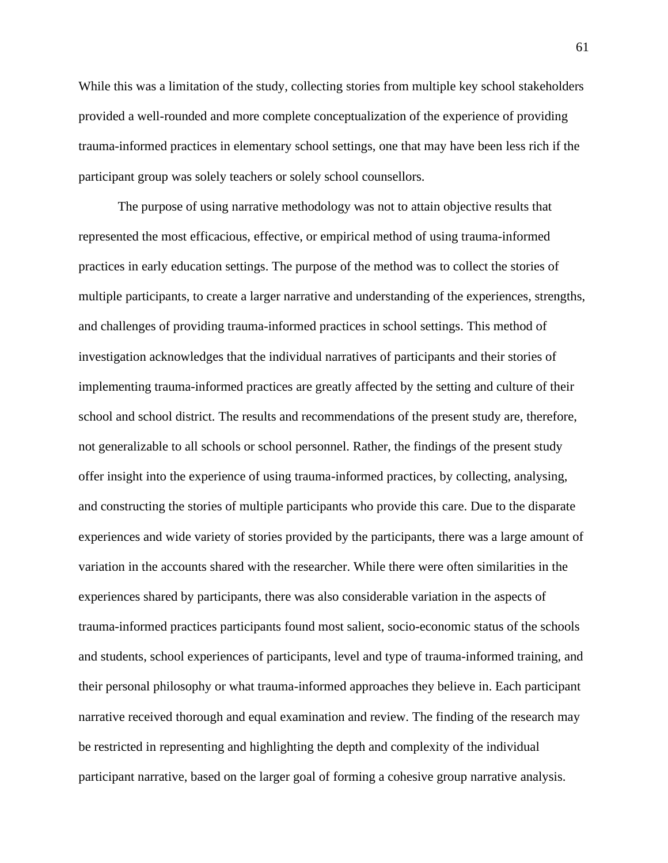While this was a limitation of the study, collecting stories from multiple key school stakeholders provided a well-rounded and more complete conceptualization of the experience of providing trauma-informed practices in elementary school settings, one that may have been less rich if the participant group was solely teachers or solely school counsellors.

The purpose of using narrative methodology was not to attain objective results that represented the most efficacious, effective, or empirical method of using trauma-informed practices in early education settings. The purpose of the method was to collect the stories of multiple participants, to create a larger narrative and understanding of the experiences, strengths, and challenges of providing trauma-informed practices in school settings. This method of investigation acknowledges that the individual narratives of participants and their stories of implementing trauma-informed practices are greatly affected by the setting and culture of their school and school district. The results and recommendations of the present study are, therefore, not generalizable to all schools or school personnel. Rather, the findings of the present study offer insight into the experience of using trauma-informed practices, by collecting, analysing, and constructing the stories of multiple participants who provide this care. Due to the disparate experiences and wide variety of stories provided by the participants, there was a large amount of variation in the accounts shared with the researcher. While there were often similarities in the experiences shared by participants, there was also considerable variation in the aspects of trauma-informed practices participants found most salient, socio-economic status of the schools and students, school experiences of participants, level and type of trauma-informed training, and their personal philosophy or what trauma-informed approaches they believe in. Each participant narrative received thorough and equal examination and review. The finding of the research may be restricted in representing and highlighting the depth and complexity of the individual participant narrative, based on the larger goal of forming a cohesive group narrative analysis.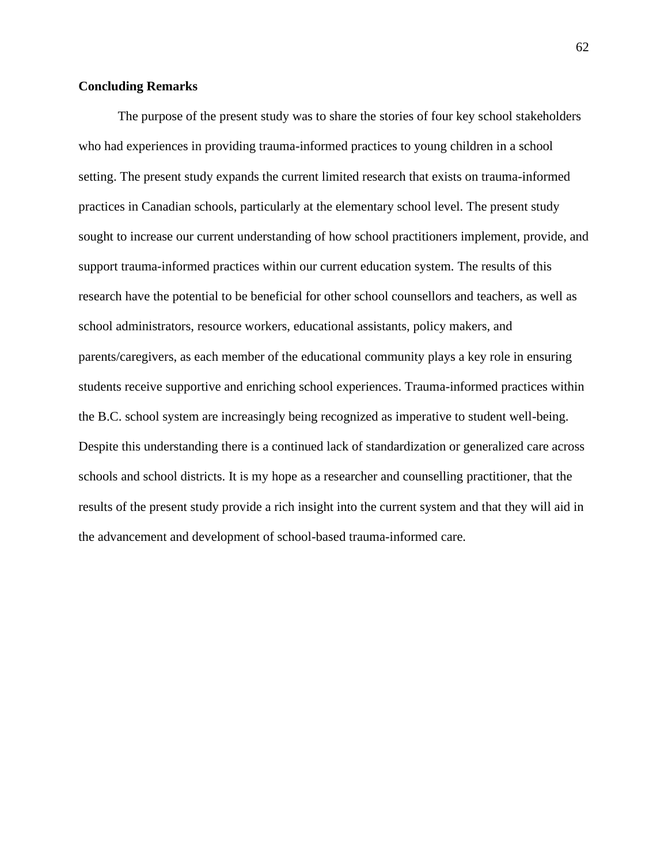## **Concluding Remarks**

The purpose of the present study was to share the stories of four key school stakeholders who had experiences in providing trauma-informed practices to young children in a school setting. The present study expands the current limited research that exists on trauma-informed practices in Canadian schools, particularly at the elementary school level. The present study sought to increase our current understanding of how school practitioners implement, provide, and support trauma-informed practices within our current education system. The results of this research have the potential to be beneficial for other school counsellors and teachers, as well as school administrators, resource workers, educational assistants, policy makers, and parents/caregivers, as each member of the educational community plays a key role in ensuring students receive supportive and enriching school experiences. Trauma-informed practices within the B.C. school system are increasingly being recognized as imperative to student well-being. Despite this understanding there is a continued lack of standardization or generalized care across schools and school districts. It is my hope as a researcher and counselling practitioner, that the results of the present study provide a rich insight into the current system and that they will aid in the advancement and development of school-based trauma-informed care.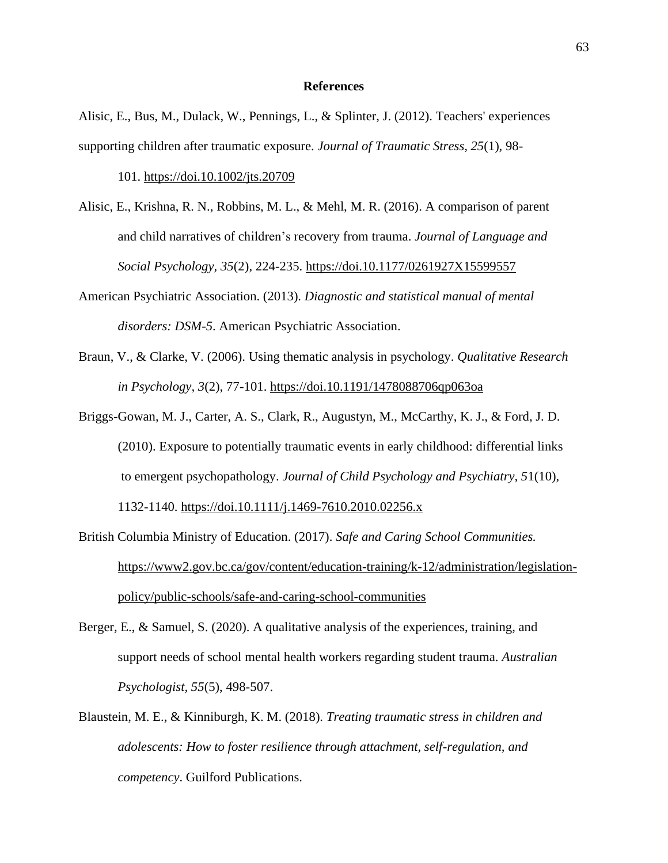### **References**

Alisic, E., Bus, M., Dulack, W., Pennings, L., & Splinter, J. (2012). Teachers' experiences supporting children after traumatic exposure. *Journal of Traumatic Stress, 25*(1), 98-

101.<https://doi.10.1002/jts.20709>

- Alisic, E., Krishna, R. N., Robbins, M. L., & Mehl, M. R. (2016). A comparison of parent and child narratives of children's recovery from trauma. *Journal of Language and Social Psychology, 35*(2), 224-235.<https://doi.10.1177/0261927X15599557>
- American Psychiatric Association. (2013). *Diagnostic and statistical manual of mental disorders: DSM-5*. American Psychiatric Association.
- Braun, V., & Clarke, V. (2006). Using thematic analysis in psychology. *Qualitative Research in Psychology, 3*(2), 77-101.<https://doi.10.1191/1478088706qp063oa>
- Briggs-Gowan, M. J., Carter, A. S., Clark, R., Augustyn, M., McCarthy, K. J., & Ford, J. D. (2010). Exposure to potentially traumatic events in early childhood: differential links to emergent psychopathology. *Journal of Child Psychology and Psychiatry, 5*1(10), 1132-1140.<https://doi.10.1111/j.1469-7610.2010.02256.x>
- British Columbia Ministry of Education. (2017). *Safe and Caring School Communities.* [https://www2.gov.bc.ca/gov/content/education-training/k-12/administration/legislation](https://www2.gov.bc.ca/gov/content/education-training/k-12/administration/legislation-policy/public-schools/safe-and-caring-school-communities)[policy/public-schools/safe-and-caring-school-communities](https://www2.gov.bc.ca/gov/content/education-training/k-12/administration/legislation-policy/public-schools/safe-and-caring-school-communities)
- Berger, E., & Samuel, S. (2020). A qualitative analysis of the experiences, training, and support needs of school mental health workers regarding student trauma. *Australian Psychologist, 55*(5), 498-507.
- Blaustein, M. E., & Kinniburgh, K. M. (2018). *Treating traumatic stress in children and adolescents: How to foster resilience through attachment, self-regulation, and competency*. Guilford Publications.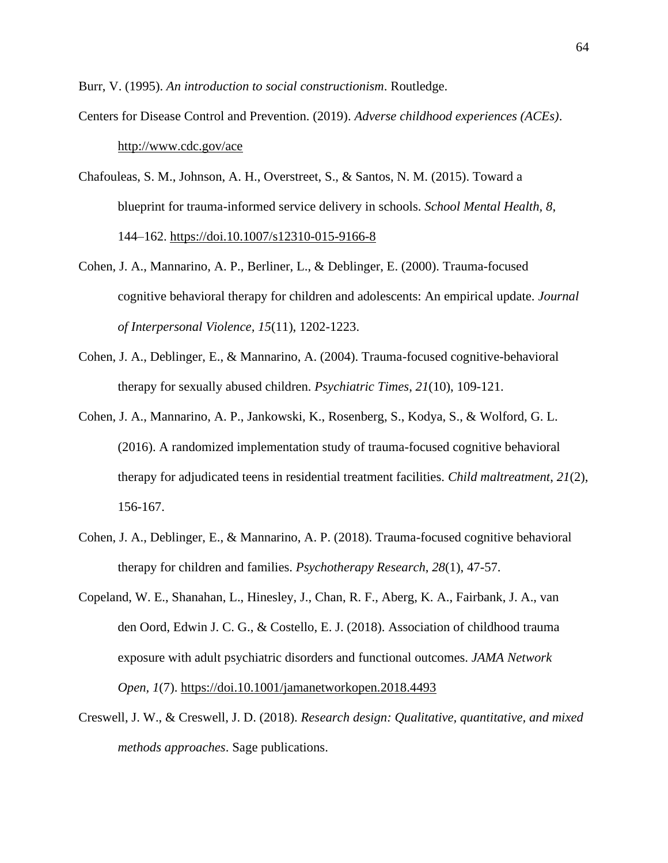Burr, V. (1995). *An introduction to social constructionism*. Routledge.

- Centers for Disease Control and Prevention. (2019). *Adverse childhood experiences (ACEs)*. <http://www.cdc.gov/ace>
- Chafouleas, S. M., Johnson, A. H., Overstreet, S., & Santos, N. M. (2015). Toward a blueprint for trauma-informed service delivery in schools. *School Mental Health, 8*, 144–162.<https://doi.10.1007/s12310-015-9166-8>
- Cohen, J. A., Mannarino, A. P., Berliner, L., & Deblinger, E. (2000). Trauma-focused cognitive behavioral therapy for children and adolescents: An empirical update. *Journal of Interpersonal Violence, 15*(11), 1202-1223.
- Cohen, J. A., Deblinger, E., & Mannarino, A. (2004). Trauma-focused cognitive-behavioral therapy for sexually abused children. *Psychiatric Times*, *21*(10), 109-121.
- Cohen, J. A., Mannarino, A. P., Jankowski, K., Rosenberg, S., Kodya, S., & Wolford, G. L. (2016). A randomized implementation study of trauma-focused cognitive behavioral therapy for adjudicated teens in residential treatment facilities. *Child maltreatment*, *21*(2), 156-167.
- Cohen, J. A., Deblinger, E., & Mannarino, A. P. (2018). Trauma-focused cognitive behavioral therapy for children and families. *Psychotherapy Research*, *28*(1), 47-57.
- Copeland, W. E., Shanahan, L., Hinesley, J., Chan, R. F., Aberg, K. A., Fairbank, J. A., van den Oord, Edwin J. C. G., & Costello, E. J. (2018). Association of childhood trauma exposure with adult psychiatric disorders and functional outcomes. *JAMA Network Open, 1*(7).<https://doi.10.1001/jamanetworkopen.2018.4493>
- Creswell, J. W., & Creswell, J. D. (2018). *Research design: Qualitative, quantitative, and mixed methods approaches*. Sage publications.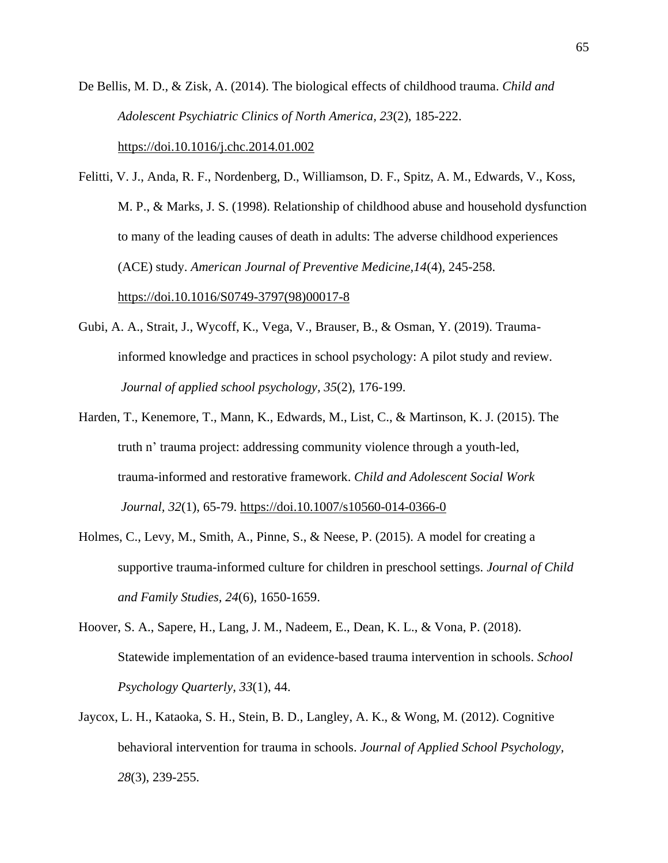De Bellis, M. D., & Zisk, A. (2014). The biological effects of childhood trauma. *Child and Adolescent Psychiatric Clinics of North America, 23*(2), 185-222. <https://doi.10.1016/j.chc.2014.01.002>

Felitti, V. J., Anda, R. F., Nordenberg, D., Williamson, D. F., Spitz, A. M., Edwards, V., Koss, M. P., & Marks, J. S. (1998). Relationship of childhood abuse and household dysfunction to many of the leading causes of death in adults: The adverse childhood experiences (ACE) study. *American Journal of Preventive Medicine,14*(4), 245-258. [https://doi.10.1016/S0749-3797\(98\)00017-8](https://doi.10.1016/S0749-3797(98)00017-8)

- Gubi, A. A., Strait, J., Wycoff, K., Vega, V., Brauser, B., & Osman, Y. (2019). Traumainformed knowledge and practices in school psychology: A pilot study and review. *Journal of applied school psychology, 35*(2), 176-199.
- Harden, T., Kenemore, T., Mann, K., Edwards, M., List, C., & Martinson, K. J. (2015). The truth n' trauma project: addressing community violence through a youth-led, trauma-informed and restorative framework. *Child and Adolescent Social Work Journal, 32*(1), 65-79.<https://doi.10.1007/s10560-014-0366-0>
- Holmes, C., Levy, M., Smith, A., Pinne, S., & Neese, P. (2015). A model for creating a supportive trauma-informed culture for children in preschool settings. *Journal of Child and Family Studies, 24*(6), 1650-1659.
- Hoover, S. A., Sapere, H., Lang, J. M., Nadeem, E., Dean, K. L., & Vona, P. (2018). Statewide implementation of an evidence-based trauma intervention in schools. *School Psychology Quarterly, 33*(1), 44.
- Jaycox, L. H., Kataoka, S. H., Stein, B. D., Langley, A. K., & Wong, M. (2012). Cognitive behavioral intervention for trauma in schools. *Journal of Applied School Psychology, 28*(3), 239-255.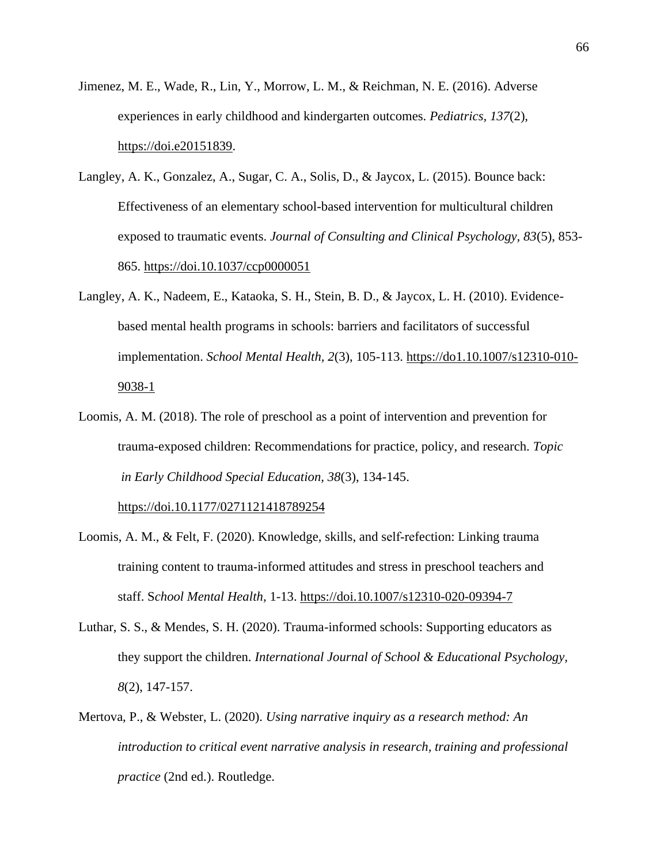- Jimenez, M. E., Wade, R., Lin, Y., Morrow, L. M., & Reichman, N. E. (2016). Adverse experiences in early childhood and kindergarten outcomes. *Pediatrics, 137*(2), [https://doi.e20151839.](https://doi.e20151839/)
- Langley, A. K., Gonzalez, A., Sugar, C. A., Solis, D., & Jaycox, L. (2015). Bounce back: Effectiveness of an elementary school-based intervention for multicultural children exposed to traumatic events. *Journal of Consulting and Clinical Psychology, 83*(5), 853- 865.<https://doi.10.1037/ccp0000051>
- Langley, A. K., Nadeem, E., Kataoka, S. H., Stein, B. D., & Jaycox, L. H. (2010). Evidencebased mental health programs in schools: barriers and facilitators of successful implementation. *School Mental Health, 2*(3), 105-113. [https://do1.10.1007/s12310-010-](https://do1.10.1007/s12310-010-9038-1) [9038-1](https://do1.10.1007/s12310-010-9038-1)
- Loomis, A. M. (2018). The role of preschool as a point of intervention and prevention for trauma-exposed children: Recommendations for practice, policy, and research. *Topic in Early Childhood Special Education, 38*(3), 134-145.

<https://doi.10.1177/0271121418789254>

- Loomis, A. M., & Felt, F. (2020). Knowledge, skills, and self-refection: Linking trauma training content to trauma‑informed attitudes and stress in preschool teachers and staff. S*chool Mental Health,* 1-13.<https://doi.10.1007/s12310-020-09394-7>
- Luthar, S. S., & Mendes, S. H. (2020). Trauma-informed schools: Supporting educators as they support the children. *International Journal of School & Educational Psychology, 8*(2), 147-157.
- Mertova, P., & Webster, L. (2020). *Using narrative inquiry as a research method: An introduction to critical event narrative analysis in research, training and professional practice* (2nd ed.). Routledge.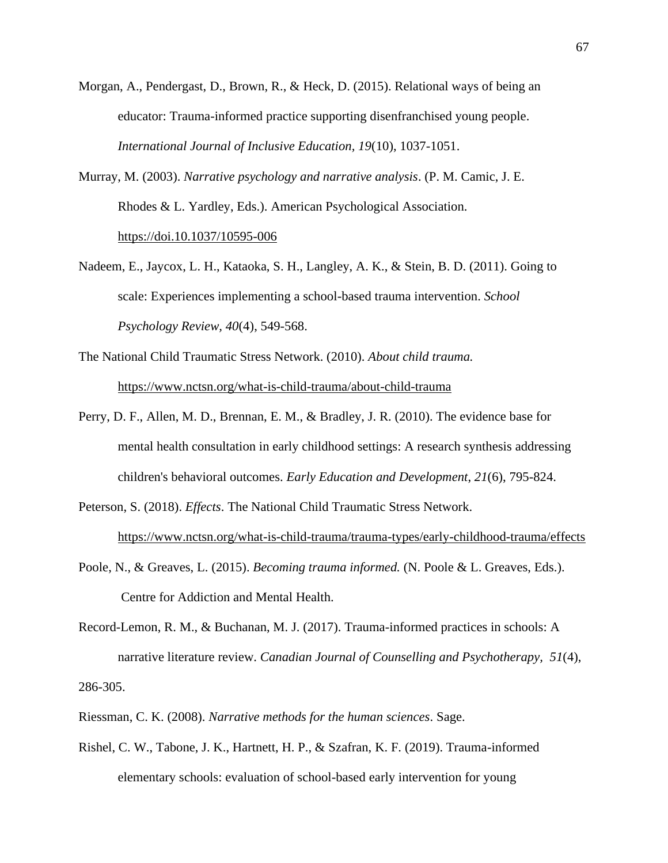- Morgan, A., Pendergast, D., Brown, R., & Heck, D. (2015). Relational ways of being an educator: Trauma-informed practice supporting disenfranchised young people. *International Journal of Inclusive Education, 19*(10), 1037-1051.
- Murray, M. (2003). *Narrative psychology and narrative analysis*. (P. M. Camic, J. E. Rhodes & L. Yardley, Eds.). American Psychological Association. <https://doi.10.1037/10595-006>
- Nadeem, E., Jaycox, L. H., Kataoka, S. H., Langley, A. K., & Stein, B. D. (2011). Going to scale: Experiences implementing a school-based trauma intervention. *School Psychology Review, 40*(4), 549-568.
- The National Child Traumatic Stress Network. (2010). *About child trauma.*  <https://www.nctsn.org/what-is-child-trauma/about-child-trauma>
- Perry, D. F., Allen, M. D., Brennan, E. M., & Bradley, J. R. (2010). The evidence base for mental health consultation in early childhood settings: A research synthesis addressing children's behavioral outcomes. *Early Education and Development*, *21*(6), 795-824.
- Peterson, S. (2018). *Effects*. The National Child Traumatic Stress Network. <https://www.nctsn.org/what-is-child-trauma/trauma-types/early-childhood-trauma/effects>
- Poole, N., & Greaves, L. (2015). *Becoming trauma informed.* (N. Poole & L. Greaves, Eds.). Centre for Addiction and Mental Health.
- Record-Lemon, R. M., & Buchanan, M. J. (2017). Trauma-informed practices in schools: A narrative literature review. *Canadian Journal of Counselling and Psychotherapy, 51*(4), 286-305.
- Riessman, C. K. (2008). *Narrative methods for the human sciences*. Sage.
- Rishel, C. W., Tabone, J. K., Hartnett, H. P., & Szafran, K. F. (2019). Trauma-informed elementary schools: evaluation of school-based early intervention for young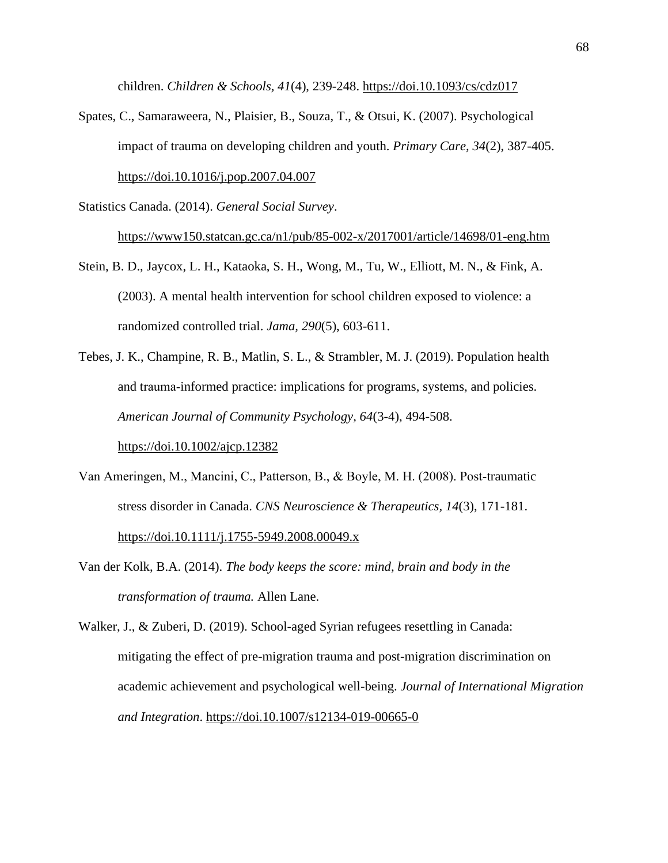children. *Children & Schools, 41*(4), 239-248.<https://doi.10.1093/cs/cdz017>

Spates, C., Samaraweera, N., Plaisier, B., Souza, T., & Otsui, K. (2007). Psychological impact of trauma on developing children and youth. *Primary Care, 34*(2), 387-405. <https://doi.10.1016/j.pop.2007.04.007>

Statistics Canada. (2014). *General Social Survey*.

<https://www150.statcan.gc.ca/n1/pub/85-002-x/2017001/article/14698/01-eng.htm>

- Stein, B. D., Jaycox, L. H., Kataoka, S. H., Wong, M., Tu, W., Elliott, M. N., & Fink, A. (2003). A mental health intervention for school children exposed to violence: a randomized controlled trial. *Jama, 290*(5), 603-611.
- Tebes, J. K., Champine, R. B., Matlin, S. L., & Strambler, M. J. (2019). Population health and trauma‐informed practice: implications for programs, systems, and policies. *American Journal of Community Psychology, 64*(3-4), 494-508. <https://doi.10.1002/ajcp.12382>
- Van Ameringen, M., Mancini, C., Patterson, B., & Boyle, M. H. (2008). Post‐traumatic stress disorder in Canada. *CNS Neuroscience & Therapeutics, 14*(3), 171-181. <https://doi.10.1111/j.1755-5949.2008.00049.x>
- Van der Kolk, B.A. (2014). *The body keeps the score: mind, brain and body in the transformation of trauma.* Allen Lane.
- Walker, J., & Zuberi, D. (2019). School-aged Syrian refugees resettling in Canada: mitigating the effect of pre-migration trauma and post-migration discrimination on academic achievement and psychological well-being. *Journal of International Migration and Integration*.<https://doi.10.1007/s12134-019-00665-0>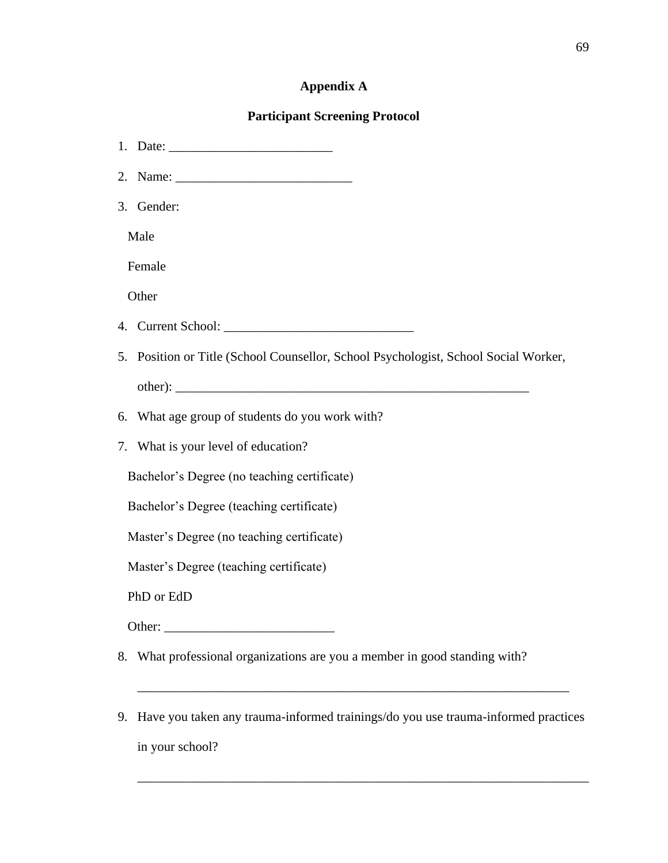# **Appendix A**

# **Participant Screening Protocol**

- 1. Date: 2. Name: \_\_\_\_\_\_\_\_\_\_\_\_\_\_\_\_\_\_\_\_\_\_\_\_\_\_\_ 3. Gender: Male Female **Other** 4. Current School: \_\_\_\_\_\_\_\_\_\_\_\_\_\_\_\_\_\_\_\_\_\_\_\_\_\_\_\_\_ 5. Position or Title (School Counsellor, School Psychologist, School Social Worker, other): \_\_\_\_\_\_\_\_\_\_\_\_\_\_\_\_\_\_\_\_\_\_\_\_\_\_\_\_\_\_\_\_\_\_\_\_\_\_\_\_\_\_\_\_\_\_\_\_\_\_\_\_\_\_ 6. What age group of students do you work with? 7. What is your level of education? Bachelor's Degree (no teaching certificate) Bachelor's Degree (teaching certificate) Master's Degree (no teaching certificate) Master's Degree (teaching certificate) PhD or EdD Other: \_\_\_\_\_\_\_\_\_\_\_\_\_\_\_\_\_\_\_\_\_\_\_\_\_\_ 8. What professional organizations are you a member in good standing with? \_\_\_\_\_\_\_\_\_\_\_\_\_\_\_\_\_\_\_\_\_\_\_\_\_\_\_\_\_\_\_\_\_\_\_\_\_\_\_\_\_\_\_\_\_\_\_\_\_\_\_\_\_\_\_\_\_\_\_\_\_\_\_\_\_\_
- 9. Have you taken any trauma-informed trainings/do you use trauma-informed practices in your school?

\_\_\_\_\_\_\_\_\_\_\_\_\_\_\_\_\_\_\_\_\_\_\_\_\_\_\_\_\_\_\_\_\_\_\_\_\_\_\_\_\_\_\_\_\_\_\_\_\_\_\_\_\_\_\_\_\_\_\_\_\_\_\_\_\_\_\_\_\_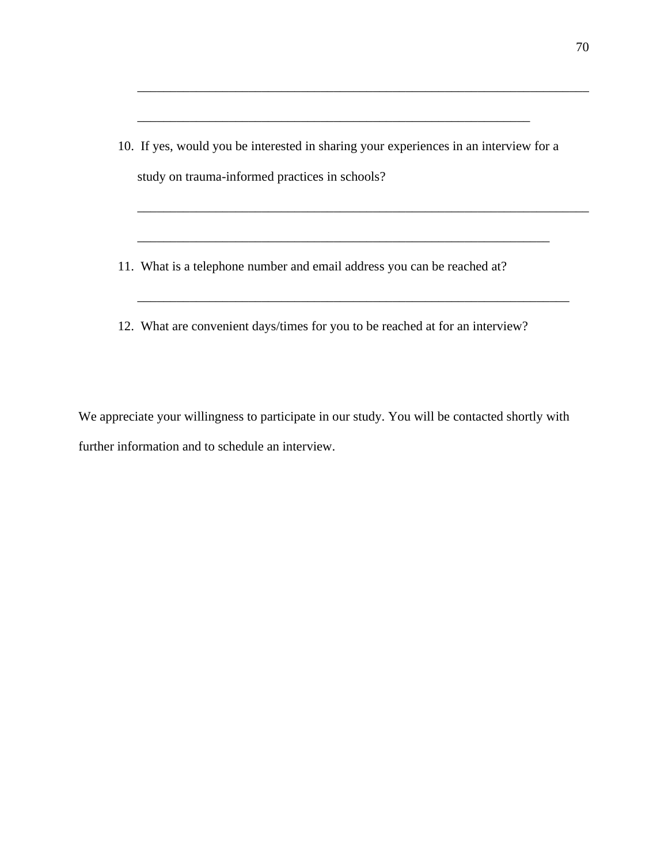10. If yes, would you be interested in sharing your experiences in an interview for a study on trauma-informed practices in schools?

\_\_\_\_\_\_\_\_\_\_\_\_\_\_\_\_\_\_\_\_\_\_\_\_\_\_\_\_\_\_\_\_\_\_\_\_\_\_\_\_\_\_\_\_\_\_\_\_\_\_\_\_\_\_\_\_\_\_\_\_\_\_\_\_\_\_\_\_\_

\_\_\_\_\_\_\_\_\_\_\_\_\_\_\_\_\_\_\_\_\_\_\_\_\_\_\_\_\_\_\_\_\_\_\_\_\_\_\_\_\_\_\_\_\_\_\_\_\_\_\_\_\_\_\_\_\_\_\_\_\_\_\_\_\_\_\_\_\_

\_\_\_\_\_\_\_\_\_\_\_\_\_\_\_\_\_\_\_\_\_\_\_\_\_\_\_\_\_\_\_\_\_\_\_\_\_\_\_\_\_\_\_\_\_\_\_\_\_\_\_\_\_\_\_\_\_\_\_\_\_\_\_\_\_\_

\_\_\_\_\_\_\_\_\_\_\_\_\_\_\_\_\_\_\_\_\_\_\_\_\_\_\_\_\_\_\_\_\_\_\_\_\_\_\_\_\_\_\_\_\_\_\_\_\_\_\_\_\_\_\_\_\_\_\_\_\_\_\_

\_\_\_\_\_\_\_\_\_\_\_\_\_\_\_\_\_\_\_\_\_\_\_\_\_\_\_\_\_\_\_\_\_\_\_\_\_\_\_\_\_\_\_\_\_\_\_\_\_\_\_\_\_\_\_\_\_\_\_\_

- 11. What is a telephone number and email address you can be reached at?
- 12. What are convenient days/times for you to be reached at for an interview?

We appreciate your willingness to participate in our study. You will be contacted shortly with further information and to schedule an interview.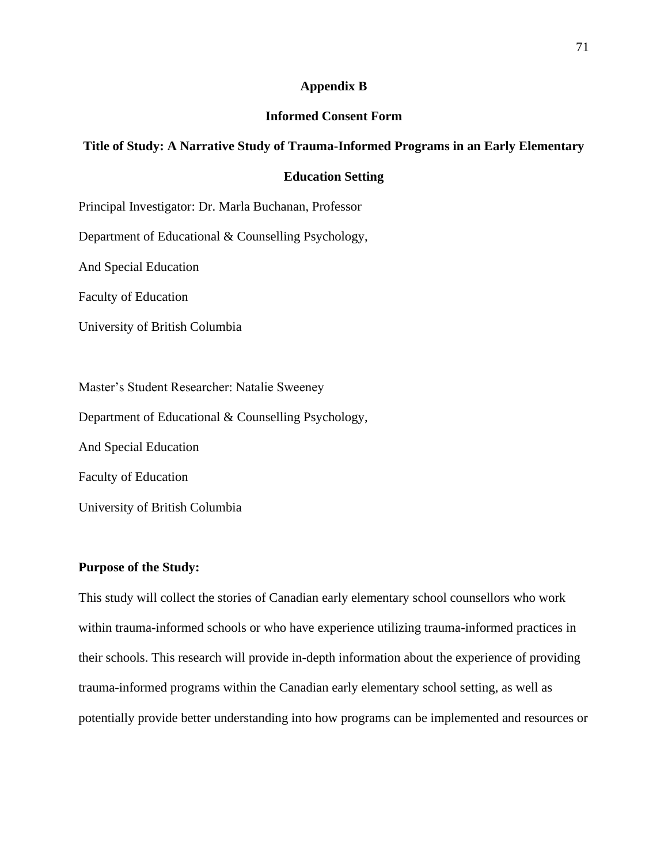## **Appendix B**

## **Informed Consent Form**

#### **Title of Study: A Narrative Study of Trauma-Informed Programs in an Early Elementary**

### **Education Setting**

Principal Investigator: Dr. Marla Buchanan, Professor

Department of Educational & Counselling Psychology,

And Special Education

Faculty of Education

University of British Columbia

Master's Student Researcher: Natalie Sweeney Department of Educational & Counselling Psychology, And Special Education Faculty of Education University of British Columbia

## **Purpose of the Study:**

This study will collect the stories of Canadian early elementary school counsellors who work within trauma-informed schools or who have experience utilizing trauma-informed practices in their schools. This research will provide in-depth information about the experience of providing trauma-informed programs within the Canadian early elementary school setting, as well as potentially provide better understanding into how programs can be implemented and resources or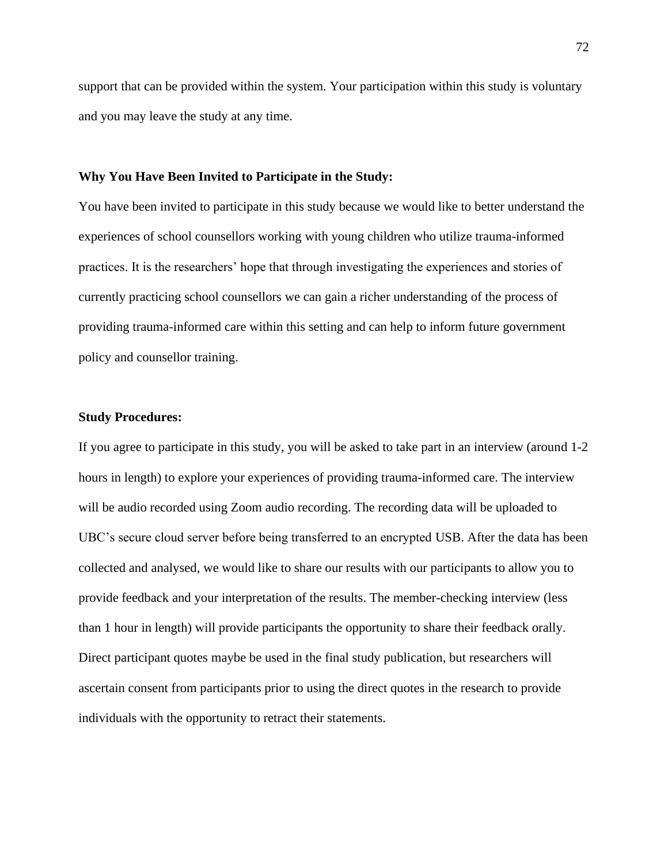support that can be provided within the system. Your participation within this study is voluntary and you may leave the study at any time.

## **Why You Have Been Invited to Participate in the Study:**

You have been invited to participate in this study because we would like to better understand the experiences of school counsellors working with young children who utilize trauma-informed practices. It is the researchers' hope that through investigating the experiences and stories of currently practicing school counsellors we can gain a richer understanding of the process of providing trauma-informed care within this setting and can help to inform future government policy and counsellor training.

## **Study Procedures:**

If you agree to participate in this study, you will be asked to take part in an interview (around 1-2 hours in length) to explore your experiences of providing trauma-informed care. The interview will be audio recorded using Zoom audio recording. The recording data will be uploaded to UBC's secure cloud server before being transferred to an encrypted USB. After the data has been collected and analysed, we would like to share our results with our participants to allow you to provide feedback and your interpretation of the results. The member-checking interview (less than 1 hour in length) will provide participants the opportunity to share their feedback orally. Direct participant quotes maybe be used in the final study publication, but researchers will ascertain consent from participants prior to using the direct quotes in the research to provide individuals with the opportunity to retract their statements.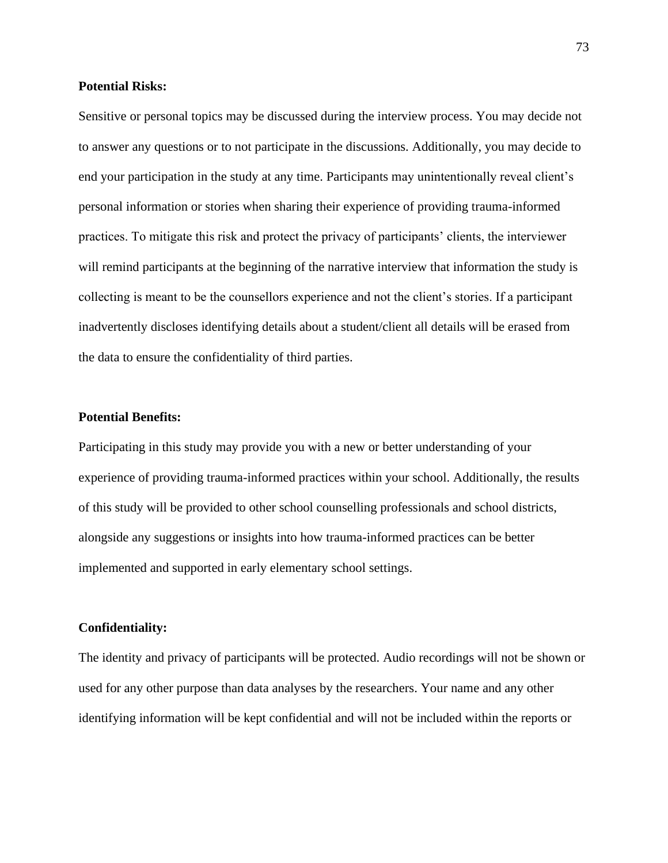#### **Potential Risks:**

Sensitive or personal topics may be discussed during the interview process. You may decide not to answer any questions or to not participate in the discussions. Additionally, you may decide to end your participation in the study at any time. Participants may unintentionally reveal client's personal information or stories when sharing their experience of providing trauma-informed practices. To mitigate this risk and protect the privacy of participants' clients, the interviewer will remind participants at the beginning of the narrative interview that information the study is collecting is meant to be the counsellors experience and not the client's stories. If a participant inadvertently discloses identifying details about a student/client all details will be erased from the data to ensure the confidentiality of third parties.

## **Potential Benefits:**

Participating in this study may provide you with a new or better understanding of your experience of providing trauma-informed practices within your school. Additionally, the results of this study will be provided to other school counselling professionals and school districts, alongside any suggestions or insights into how trauma-informed practices can be better implemented and supported in early elementary school settings.

#### **Confidentiality:**

The identity and privacy of participants will be protected. Audio recordings will not be shown or used for any other purpose than data analyses by the researchers. Your name and any other identifying information will be kept confidential and will not be included within the reports or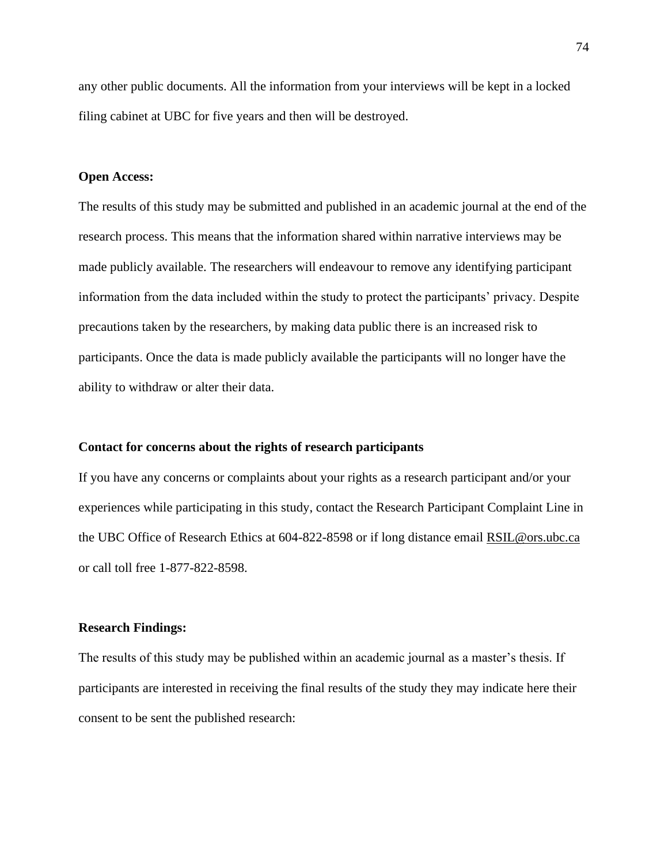any other public documents. All the information from your interviews will be kept in a locked filing cabinet at UBC for five years and then will be destroyed.

## **Open Access:**

The results of this study may be submitted and published in an academic journal at the end of the research process. This means that the information shared within narrative interviews may be made publicly available. The researchers will endeavour to remove any identifying participant information from the data included within the study to protect the participants' privacy. Despite precautions taken by the researchers, by making data public there is an increased risk to participants. Once the data is made publicly available the participants will no longer have the ability to withdraw or alter their data.

#### **Contact for concerns about the rights of research participants**

If you have any concerns or complaints about your rights as a research participant and/or your experiences while participating in this study, contact the Research Participant Complaint Line in the UBC Office of Research Ethics at 604-822-8598 or if long distance email [RSIL@ors.ubc.ca](mailto:RSIL@ors.ubc.ca) or call toll free 1-877-822-8598.

#### **Research Findings:**

The results of this study may be published within an academic journal as a master's thesis. If participants are interested in receiving the final results of the study they may indicate here their consent to be sent the published research: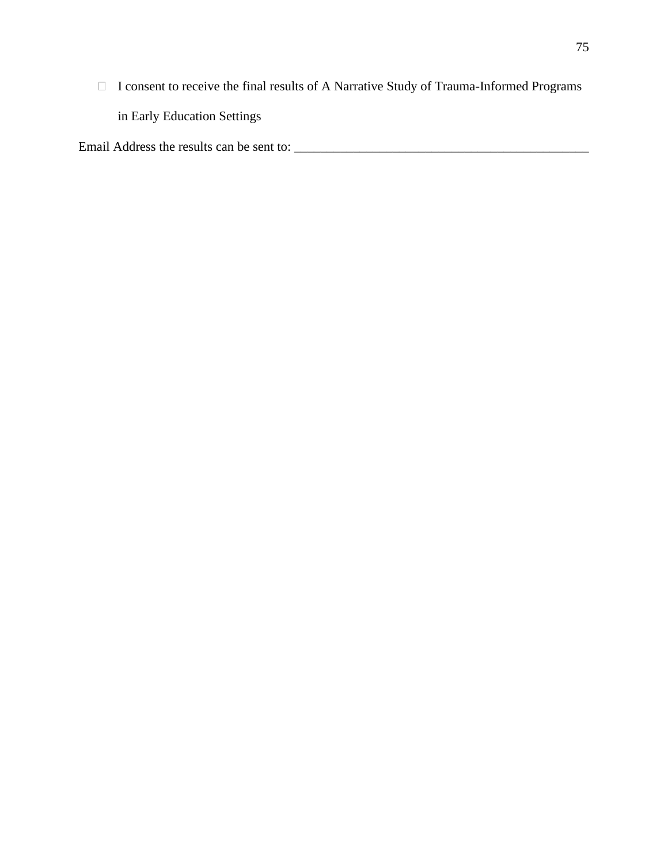• I consent to receive the final results of A Narrative Study of Trauma-Informed Programs in Early Education Settings

Email Address the results can be sent to: \_\_\_\_\_\_\_\_\_\_\_\_\_\_\_\_\_\_\_\_\_\_\_\_\_\_\_\_\_\_\_\_\_\_\_\_\_\_\_\_\_\_\_\_\_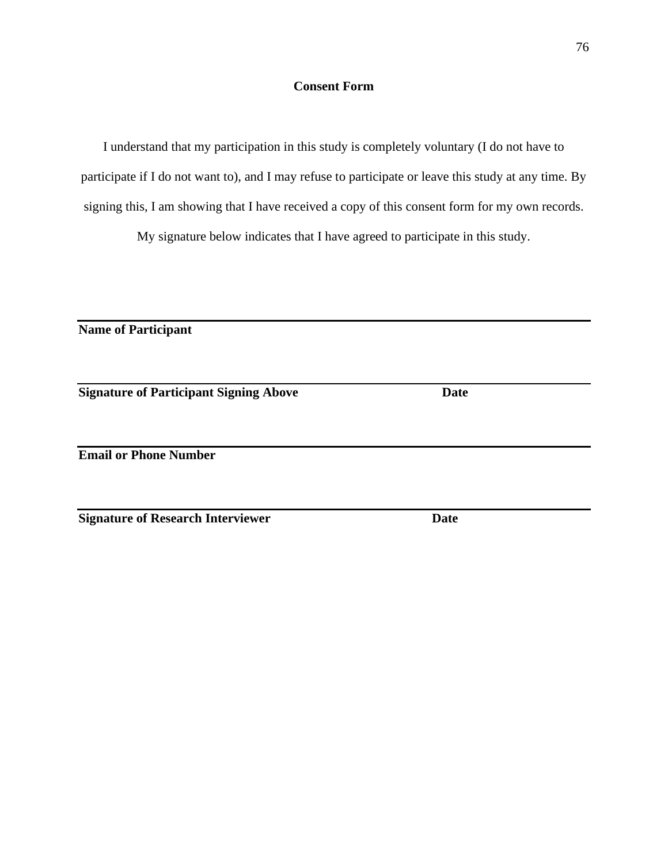# **Consent Form**

I understand that my participation in this study is completely voluntary (I do not have to participate if I do not want to), and I may refuse to participate or leave this study at any time. By signing this, I am showing that I have received a copy of this consent form for my own records.

My signature below indicates that I have agreed to participate in this study.

**Name of Participant**

**Signature of Participant Signing Above Date**

**Email or Phone Number**

**Signature of Research Interviewer Date**